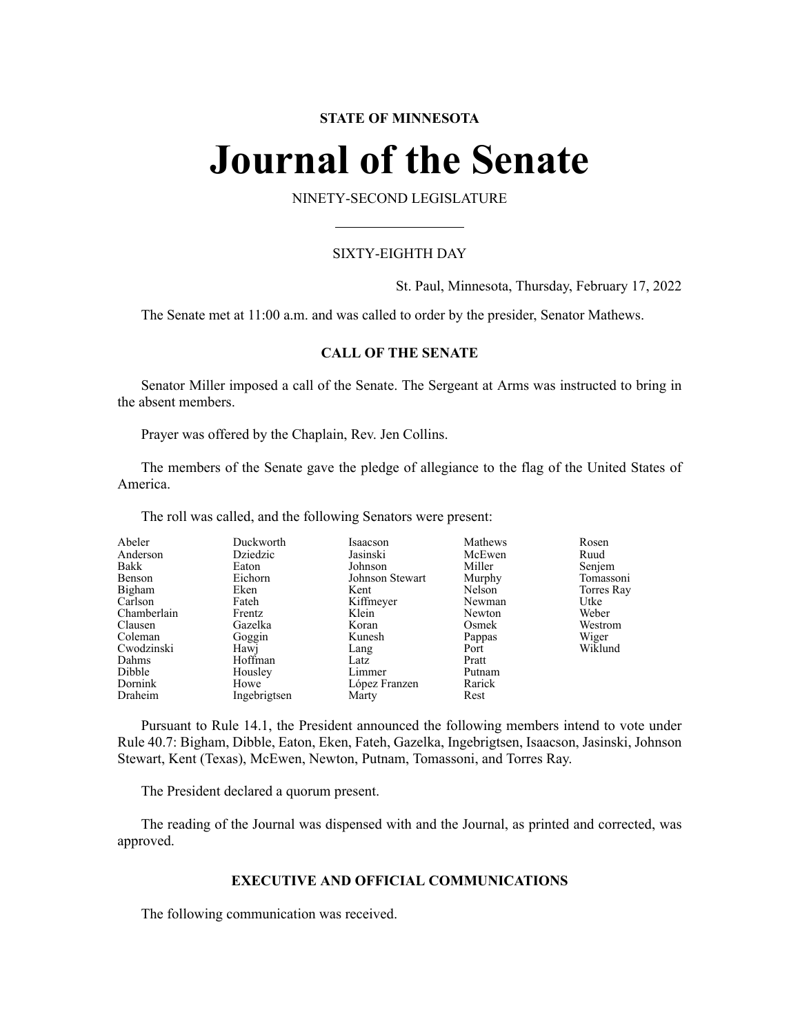# **STATE OF MINNESOTA**

# **Journal of the Senate**

NINETY-SECOND LEGISLATURE

# SIXTY-EIGHTH DAY

St. Paul, Minnesota, Thursday, February 17, 2022

The Senate met at 11:00 a.m. and was called to order by the presider, Senator Mathews.

# **CALL OF THE SENATE**

Senator Miller imposed a call of the Senate. The Sergeant at Arms was instructed to bring in the absent members.

Prayer was offered by the Chaplain, Rev. Jen Collins.

The members of the Senate gave the pledge of allegiance to the flag of the United States of America.

The roll was called, and the following Senators were present:

| Abeler      | Duckworth    | Isaacson        | Mathews | Rosen      |
|-------------|--------------|-----------------|---------|------------|
| Anderson    | Dziedzic     | Jasinski        | McEwen  | Ruud       |
| Bakk        | Eaton        | Johnson         | Miller  | Senjem     |
| Benson      | Eichorn      | Johnson Stewart | Murphy  | Tomassoni  |
| Bigham      | Eken         | Kent            | Nelson  | Torres Ray |
| Carlson     | Fateh        | Kiffmeyer       | Newman  | Utke       |
| Chamberlain | Frentz       | Klein           | Newton  | Weber      |
| Clausen     | Gazelka      | Koran           | Osmek   | Westrom    |
| Coleman     | Goggin       | Kunesh          | Pappas  | Wiger      |
| Cwodzinski  | Hawj         | Lang            | Port    | Wiklund    |
| Dahms       | Hoffman      | Latz            | Pratt   |            |
| Dibble      | Housley      | Limmer          | Putnam  |            |
| Dornink     | Howe         | López Franzen   | Rarick  |            |
| Draheim     | Ingebrigtsen | Marty           | Rest    |            |

Pursuant to Rule 14.1, the President announced the following members intend to vote under Rule 40.7: Bigham, Dibble, Eaton, Eken, Fateh, Gazelka, Ingebrigtsen, Isaacson, Jasinski, Johnson Stewart, Kent (Texas), McEwen, Newton, Putnam, Tomassoni, and Torres Ray.

The President declared a quorum present.

The reading of the Journal was dispensed with and the Journal, as printed and corrected, was approved.

# **EXECUTIVE AND OFFICIAL COMMUNICATIONS**

The following communication was received.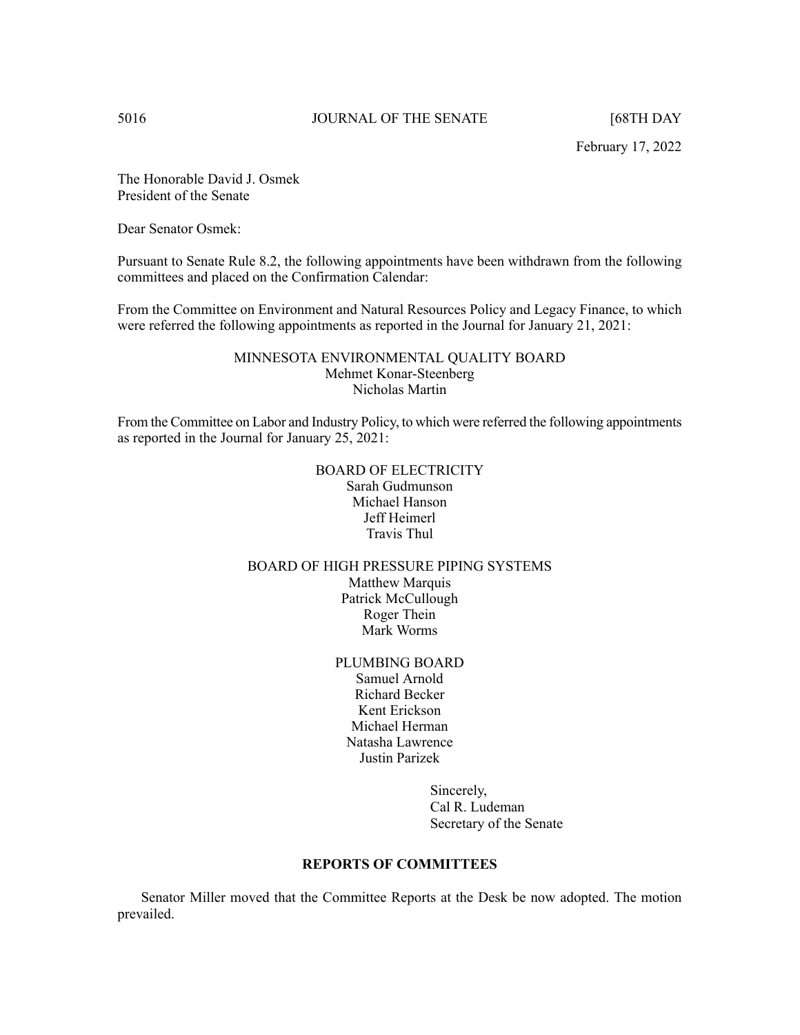February 17, 2022

The Honorable David J. Osmek President of the Senate

Dear Senator Osmek:

Pursuant to Senate Rule 8.2, the following appointments have been withdrawn from the following committees and placed on the Confirmation Calendar:

From the Committee on Environment and Natural Resources Policy and Legacy Finance, to which were referred the following appointments as reported in the Journal for January 21, 2021:

# MINNESOTA ENVIRONMENTAL QUALITY BOARD Mehmet Konar-Steenberg Nicholas Martin

From the Committee on Labor and Industry Policy, to which were referred the following appointments as reported in the Journal for January 25, 2021:

# BOARD OF ELECTRICITY Sarah Gudmunson Michael Hanson Jeff Heimerl Travis Thul

# BOARD OF HIGH PRESSURE PIPING SYSTEMS Matthew Marquis Patrick McCullough Roger Thein Mark Worms

PLUMBING BOARD Samuel Arnold Richard Becker Kent Erickson Michael Herman Natasha Lawrence Justin Parizek

> Sincerely, Cal R. Ludeman Secretary of the Senate

# **REPORTS OF COMMITTEES**

Senator Miller moved that the Committee Reports at the Desk be now adopted. The motion prevailed.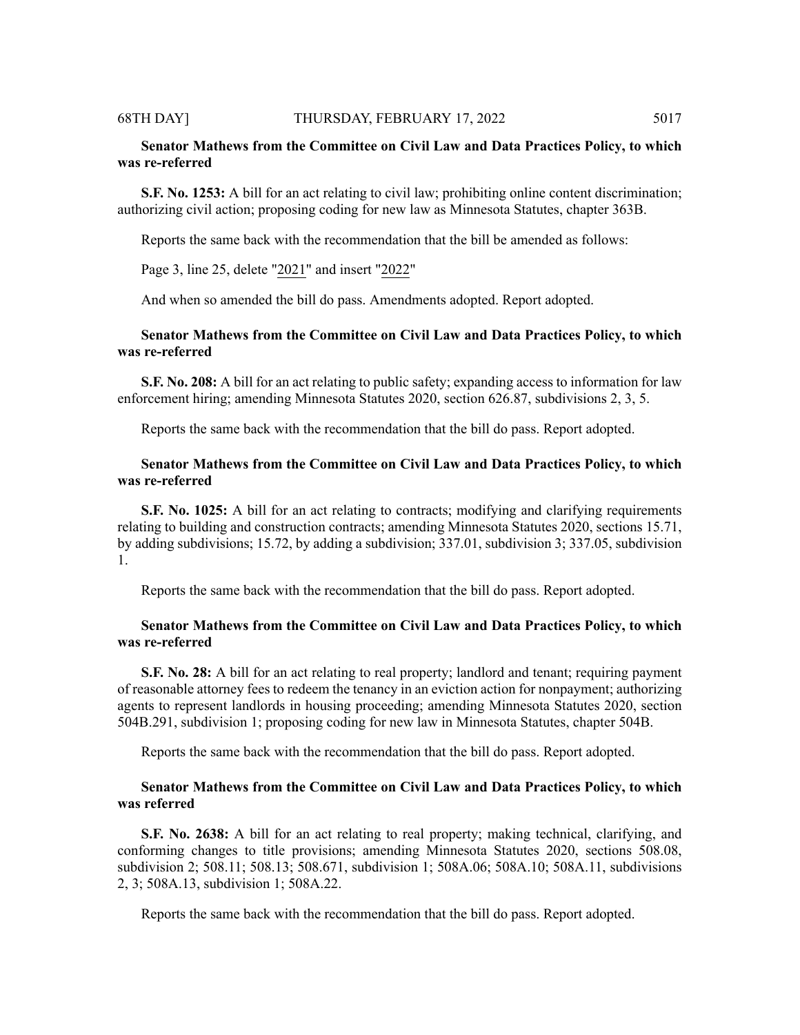#### 68TH DAY] THURSDAY, FEBRUARY 17, 2022 5017

# **Senator Mathews from the Committee on Civil Law and Data Practices Policy, to which was re-referred**

**S.F. No. 1253:** A bill for an act relating to civil law; prohibiting online content discrimination; authorizing civil action; proposing coding for new law as Minnesota Statutes, chapter 363B.

Reports the same back with the recommendation that the bill be amended as follows:

Page 3, line 25, delete "2021" and insert "2022"

And when so amended the bill do pass. Amendments adopted. Report adopted.

# **Senator Mathews from the Committee on Civil Law and Data Practices Policy, to which was re-referred**

**S.F. No. 208:** A bill for an act relating to public safety; expanding access to information for law enforcement hiring; amending Minnesota Statutes 2020, section 626.87, subdivisions 2, 3, 5.

Reports the same back with the recommendation that the bill do pass. Report adopted.

# **Senator Mathews from the Committee on Civil Law and Data Practices Policy, to which was re-referred**

**S.F. No. 1025:** A bill for an act relating to contracts; modifying and clarifying requirements relating to building and construction contracts; amending Minnesota Statutes 2020, sections 15.71, by adding subdivisions; 15.72, by adding a subdivision; 337.01, subdivision 3; 337.05, subdivision 1.

Reports the same back with the recommendation that the bill do pass. Report adopted.

# **Senator Mathews from the Committee on Civil Law and Data Practices Policy, to which was re-referred**

**S.F. No. 28:** A bill for an act relating to real property; landlord and tenant; requiring payment of reasonable attorney fees to redeem the tenancy in an eviction action for nonpayment; authorizing agents to represent landlords in housing proceeding; amending Minnesota Statutes 2020, section 504B.291, subdivision 1; proposing coding for new law in Minnesota Statutes, chapter 504B.

Reports the same back with the recommendation that the bill do pass. Report adopted.

# **Senator Mathews from the Committee on Civil Law and Data Practices Policy, to which was referred**

**S.F. No. 2638:** A bill for an act relating to real property; making technical, clarifying, and conforming changes to title provisions; amending Minnesota Statutes 2020, sections 508.08, subdivision 2; 508.11; 508.13; 508.671, subdivision 1; 508A.06; 508A.10; 508A.11, subdivisions 2, 3; 508A.13, subdivision 1; 508A.22.

Reports the same back with the recommendation that the bill do pass. Report adopted.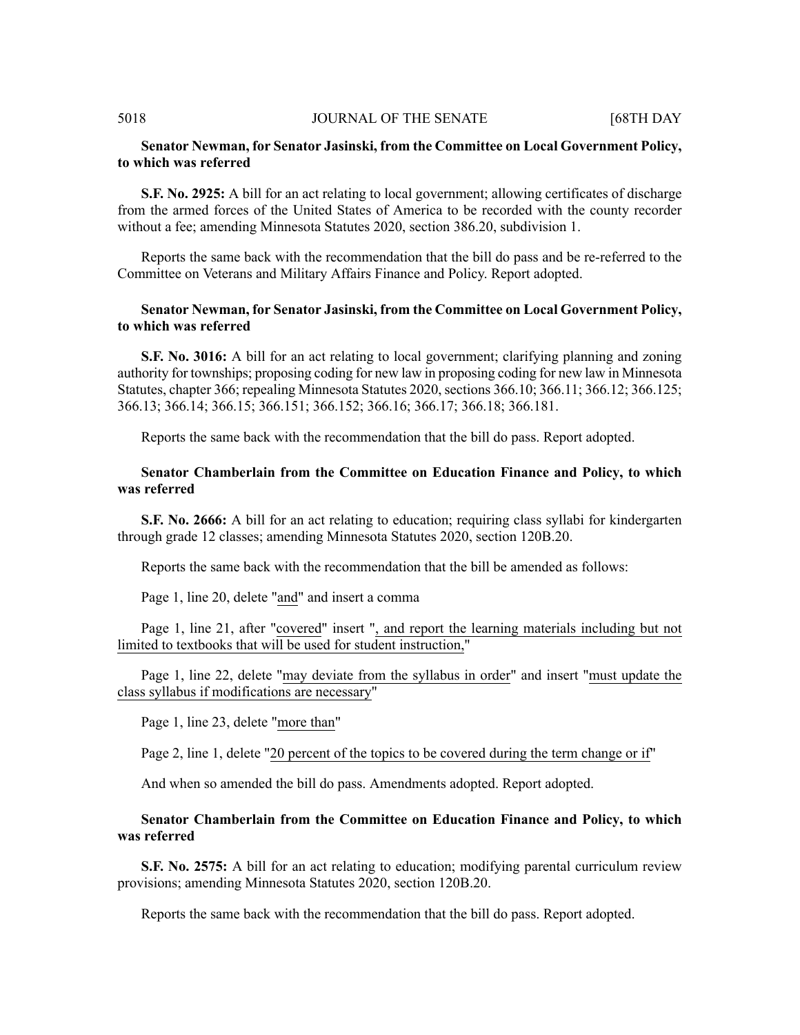# **Senator Newman, for Senator Jasinski, from the Committee on Local Government Policy, to which was referred**

**S.F. No. 2925:** A bill for an act relating to local government; allowing certificates of discharge from the armed forces of the United States of America to be recorded with the county recorder without a fee; amending Minnesota Statutes 2020, section 386.20, subdivision 1.

Reports the same back with the recommendation that the bill do pass and be re-referred to the Committee on Veterans and Military Affairs Finance and Policy. Report adopted.

# **Senator Newman, for Senator Jasinski, from the Committee on Local Government Policy, to which was referred**

**S.F. No. 3016:** A bill for an act relating to local government; clarifying planning and zoning authority for townships; proposing coding for new law in proposing coding for new law in Minnesota Statutes, chapter 366; repealing Minnesota Statutes 2020, sections 366.10; 366.11; 366.12; 366.125; 366.13; 366.14; 366.15; 366.151; 366.152; 366.16; 366.17; 366.18; 366.181.

Reports the same back with the recommendation that the bill do pass. Report adopted.

# **Senator Chamberlain from the Committee on Education Finance and Policy, to which was referred**

**S.F. No. 2666:** A bill for an act relating to education; requiring class syllabi for kindergarten through grade 12 classes; amending Minnesota Statutes 2020, section 120B.20.

Reports the same back with the recommendation that the bill be amended as follows:

Page 1, line 20, delete "and" and insert a comma

Page 1, line 21, after "covered" insert ", and report the learning materials including but not limited to textbooks that will be used for student instruction,"

Page 1, line 22, delete "may deviate from the syllabus in order" and insert "must update the class syllabus if modifications are necessary"

Page 1, line 23, delete "more than"

Page 2, line 1, delete "20 percent of the topics to be covered during the term change or if"

And when so amended the bill do pass. Amendments adopted. Report adopted.

**Senator Chamberlain from the Committee on Education Finance and Policy, to which was referred**

**S.F. No. 2575:** A bill for an act relating to education; modifying parental curriculum review provisions; amending Minnesota Statutes 2020, section 120B.20.

Reports the same back with the recommendation that the bill do pass. Report adopted.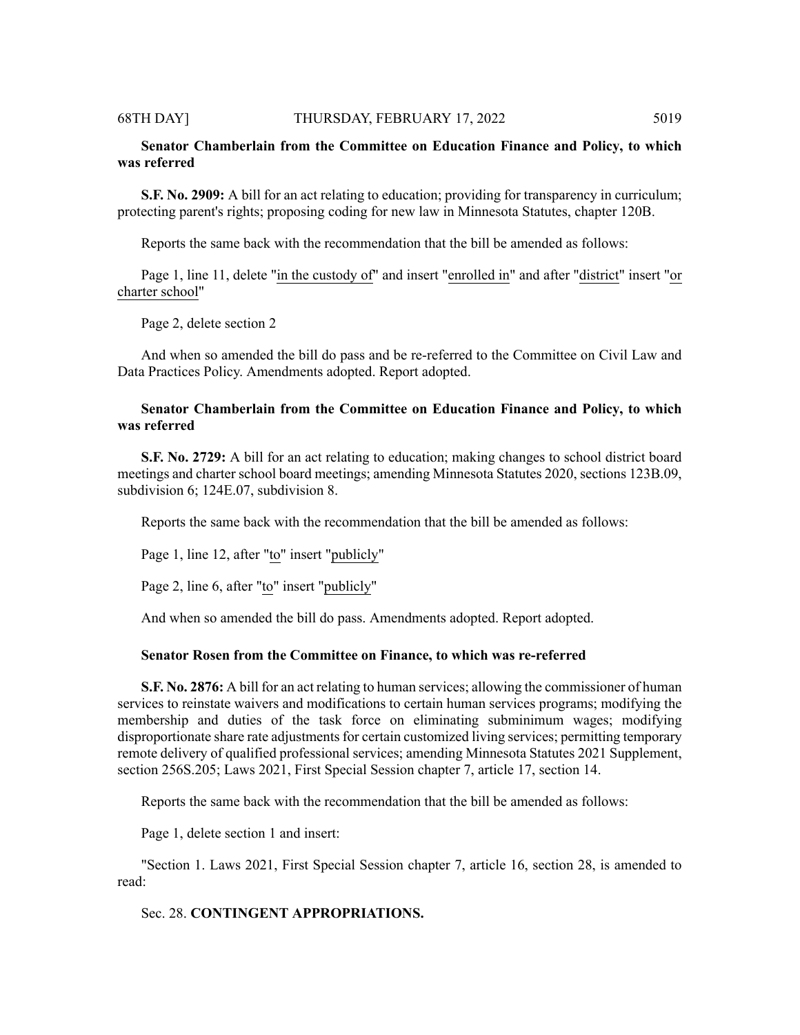#### 68TH DAY] THURSDAY, FEBRUARY 17, 2022 5019

# **Senator Chamberlain from the Committee on Education Finance and Policy, to which was referred**

**S.F. No. 2909:** A bill for an act relating to education; providing for transparency in curriculum; protecting parent's rights; proposing coding for new law in Minnesota Statutes, chapter 120B.

Reports the same back with the recommendation that the bill be amended as follows:

Page 1, line 11, delete "in the custody of" and insert "enrolled in" and after "district" insert "or charter school"

Page 2, delete section 2

And when so amended the bill do pass and be re-referred to the Committee on Civil Law and Data Practices Policy. Amendments adopted. Report adopted.

# **Senator Chamberlain from the Committee on Education Finance and Policy, to which was referred**

**S.F. No. 2729:** A bill for an act relating to education; making changes to school district board meetings and charter school board meetings; amending Minnesota Statutes 2020, sections 123B.09, subdivision 6; 124E.07, subdivision 8.

Reports the same back with the recommendation that the bill be amended as follows:

Page 1, line 12, after "to" insert "publicly"

Page 2, line 6, after "to" insert "publicly"

And when so amended the bill do pass. Amendments adopted. Report adopted.

### **Senator Rosen from the Committee on Finance, to which was re-referred**

**S.F. No. 2876:** A bill for an act relating to human services; allowing the commissioner of human services to reinstate waivers and modifications to certain human services programs; modifying the membership and duties of the task force on eliminating subminimum wages; modifying disproportionate share rate adjustments for certain customized living services; permitting temporary remote delivery of qualified professional services; amending Minnesota Statutes 2021 Supplement, section 256S.205; Laws 2021, First Special Session chapter 7, article 17, section 14.

Reports the same back with the recommendation that the bill be amended as follows:

Page 1, delete section 1 and insert:

"Section 1. Laws 2021, First Special Session chapter 7, article 16, section 28, is amended to read:

# Sec. 28. **CONTINGENT APPROPRIATIONS.**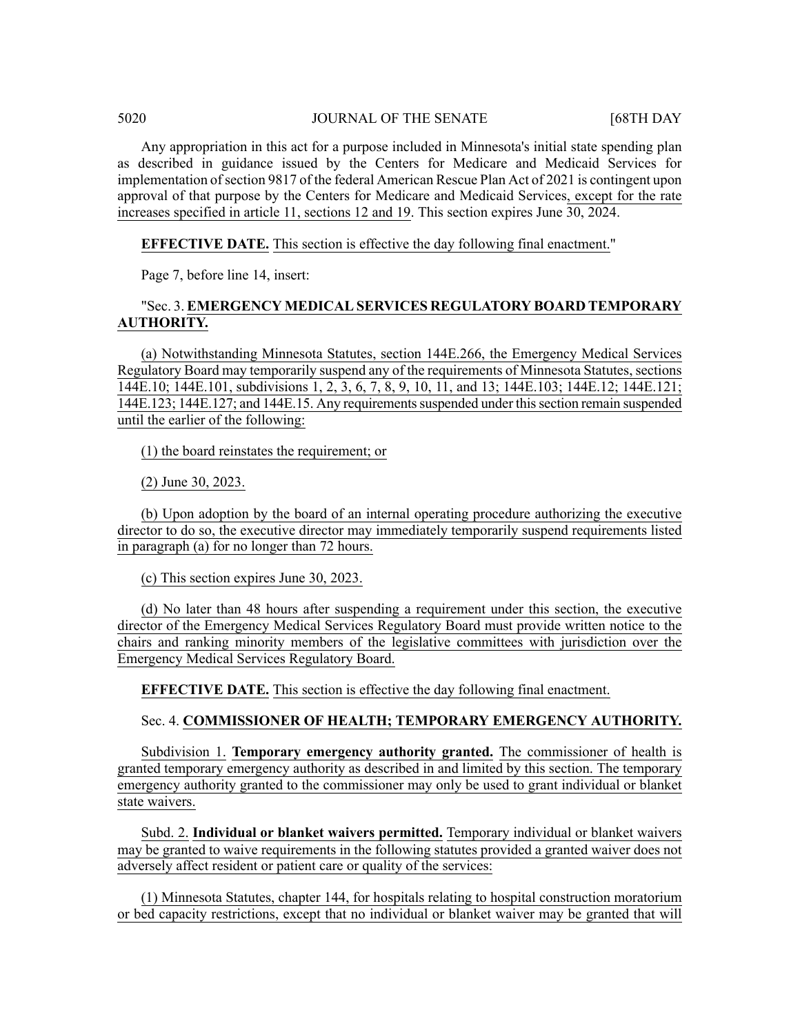Any appropriation in this act for a purpose included in Minnesota's initial state spending plan as described in guidance issued by the Centers for Medicare and Medicaid Services for implementation ofsection 9817 of the federal American Rescue Plan Act of 2021 is contingent upon approval of that purpose by the Centers for Medicare and Medicaid Services, except for the rate increases specified in article 11, sections 12 and 19. This section expires June 30, 2024.

# **EFFECTIVE DATE.** This section is effective the day following final enactment."

Page 7, before line 14, insert:

# "Sec. 3. **EMERGENCY MEDICAL SERVICES REGULATORY BOARD TEMPORARY AUTHORITY.**

(a) Notwithstanding Minnesota Statutes, section 144E.266, the Emergency Medical Services Regulatory Board may temporarily suspend any of the requirements of Minnesota Statutes, sections 144E.10; 144E.101, subdivisions 1, 2, 3, 6, 7, 8, 9, 10, 11, and 13; 144E.103; 144E.12; 144E.121; 144E.123; 144E.127; and 144E.15. Any requirementssuspended under thissection remain suspended until the earlier of the following:

(1) the board reinstates the requirement; or

(2) June 30, 2023.

(b) Upon adoption by the board of an internal operating procedure authorizing the executive director to do so, the executive director may immediately temporarily suspend requirements listed in paragraph (a) for no longer than 72 hours.

(c) This section expires June 30, 2023.

(d) No later than 48 hours after suspending a requirement under this section, the executive director of the Emergency Medical Services Regulatory Board must provide written notice to the chairs and ranking minority members of the legislative committees with jurisdiction over the Emergency Medical Services Regulatory Board.

**EFFECTIVE DATE.** This section is effective the day following final enactment.

### Sec. 4. **COMMISSIONER OF HEALTH; TEMPORARY EMERGENCY AUTHORITY.**

Subdivision 1. **Temporary emergency authority granted.** The commissioner of health is granted temporary emergency authority as described in and limited by this section. The temporary emergency authority granted to the commissioner may only be used to grant individual or blanket state waivers.

Subd. 2. **Individual or blanket waivers permitted.** Temporary individual or blanket waivers may be granted to waive requirements in the following statutes provided a granted waiver does not adversely affect resident or patient care or quality of the services:

(1) Minnesota Statutes, chapter 144, for hospitals relating to hospital construction moratorium or bed capacity restrictions, except that no individual or blanket waiver may be granted that will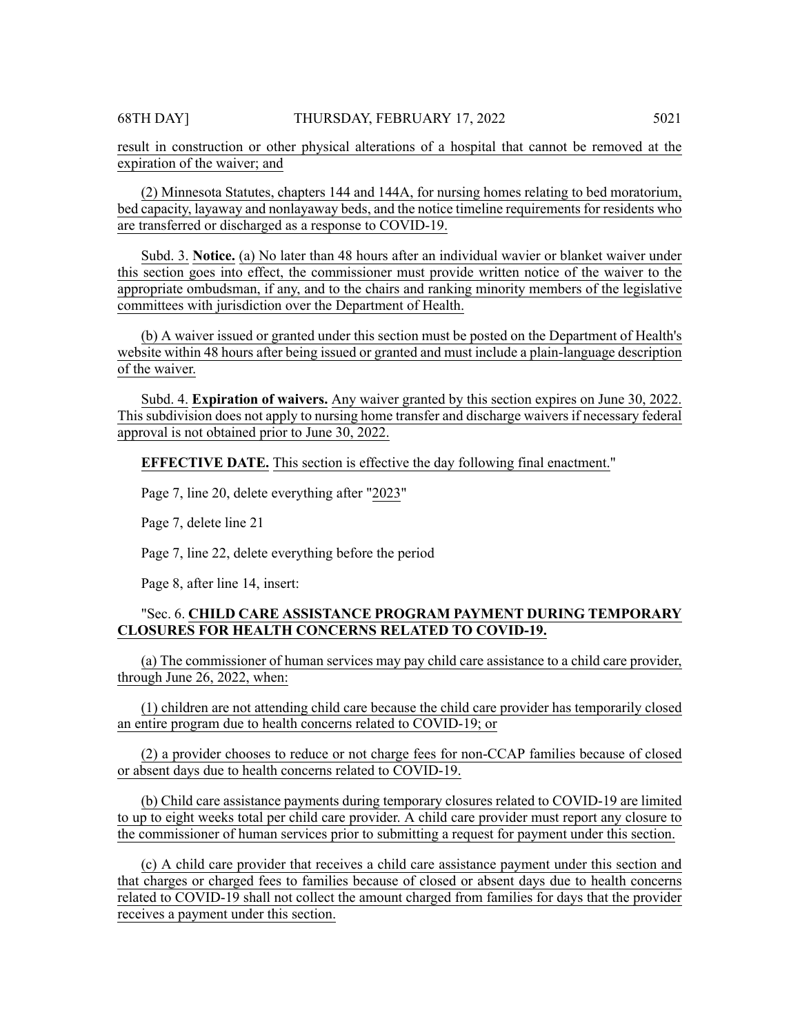result in construction or other physical alterations of a hospital that cannot be removed at the expiration of the waiver; and

(2) Minnesota Statutes, chapters 144 and 144A, for nursing homes relating to bed moratorium, bed capacity, layaway and nonlayaway beds, and the notice timeline requirements for residents who are transferred or discharged as a response to COVID-19.

Subd. 3. **Notice.** (a) No later than 48 hours after an individual wavier or blanket waiver under this section goes into effect, the commissioner must provide written notice of the waiver to the appropriate ombudsman, if any, and to the chairs and ranking minority members of the legislative committees with jurisdiction over the Department of Health.

(b) A waiver issued or granted under this section must be posted on the Department of Health's website within 48 hours after being issued or granted and must include a plain-language description of the waiver.

Subd. 4. **Expiration of waivers.** Any waiver granted by this section expires on June 30, 2022. This subdivision does not apply to nursing home transfer and discharge waivers if necessary federal approval is not obtained prior to June 30, 2022.

**EFFECTIVE DATE.** This section is effective the day following final enactment."

Page 7, line 20, delete everything after "2023"

Page 7, delete line 21

Page 7, line 22, delete everything before the period

Page 8, after line 14, insert:

# "Sec. 6. **CHILD CARE ASSISTANCE PROGRAM PAYMENT DURING TEMPORARY CLOSURES FOR HEALTH CONCERNS RELATED TO COVID-19.**

(a) The commissioner of human services may pay child care assistance to a child care provider, through June 26, 2022, when:

(1) children are not attending child care because the child care provider has temporarily closed an entire program due to health concerns related to COVID-19; or

(2) a provider chooses to reduce or not charge fees for non-CCAP families because of closed or absent days due to health concerns related to COVID-19.

(b) Child care assistance payments during temporary closures related to COVID-19 are limited to up to eight weeks total per child care provider. A child care provider must report any closure to the commissioner of human services prior to submitting a request for payment under this section.

(c) A child care provider that receives a child care assistance payment under this section and that charges or charged fees to families because of closed or absent days due to health concerns related to COVID-19 shall not collect the amount charged from families for days that the provider receives a payment under this section.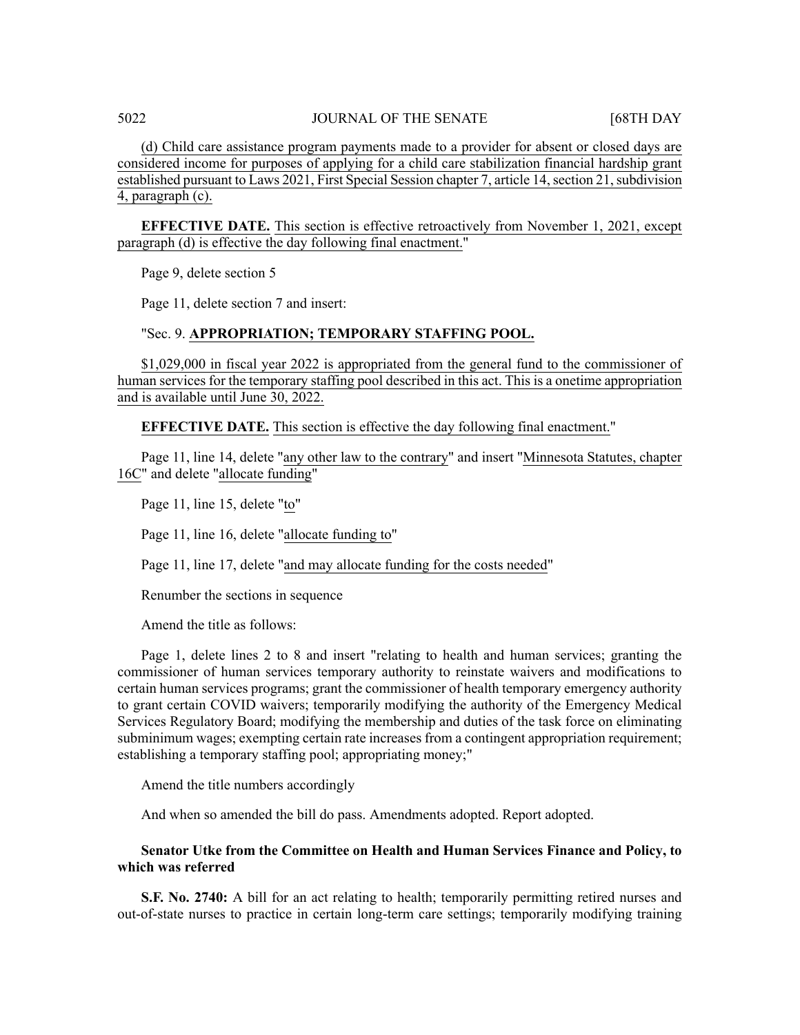(d) Child care assistance program payments made to a provider for absent or closed days are considered income for purposes of applying for a child care stabilization financial hardship grant established pursuant to Laws 2021, First Special Session chapter 7, article 14, section 21, subdivision 4, paragraph (c).

**EFFECTIVE DATE.** This section is effective retroactively from November 1, 2021, except paragraph (d) is effective the day following final enactment."

Page 9, delete section 5

Page 11, delete section 7 and insert:

# "Sec. 9. **APPROPRIATION; TEMPORARY STAFFING POOL.**

\$1,029,000 in fiscal year 2022 is appropriated from the general fund to the commissioner of human services for the temporary staffing pool described in this act. This is a onetime appropriation and is available until June 30, 2022.

**EFFECTIVE DATE.** This section is effective the day following final enactment."

Page 11, line 14, delete "any other law to the contrary" and insert "Minnesota Statutes, chapter 16C" and delete "allocate funding"

Page 11, line 15, delete "to"

Page 11, line 16, delete "allocate funding to"

Page 11, line 17, delete "and may allocate funding for the costs needed"

Renumber the sections in sequence

Amend the title as follows:

Page 1, delete lines 2 to 8 and insert "relating to health and human services; granting the commissioner of human services temporary authority to reinstate waivers and modifications to certain human services programs; grant the commissioner of health temporary emergency authority to grant certain COVID waivers; temporarily modifying the authority of the Emergency Medical Services Regulatory Board; modifying the membership and duties of the task force on eliminating subminimum wages; exempting certain rate increases from a contingent appropriation requirement; establishing a temporary staffing pool; appropriating money;"

Amend the title numbers accordingly

And when so amended the bill do pass. Amendments adopted. Report adopted.

# **Senator Utke from the Committee on Health and Human Services Finance and Policy, to which was referred**

**S.F. No. 2740:** A bill for an act relating to health; temporarily permitting retired nurses and out-of-state nurses to practice in certain long-term care settings; temporarily modifying training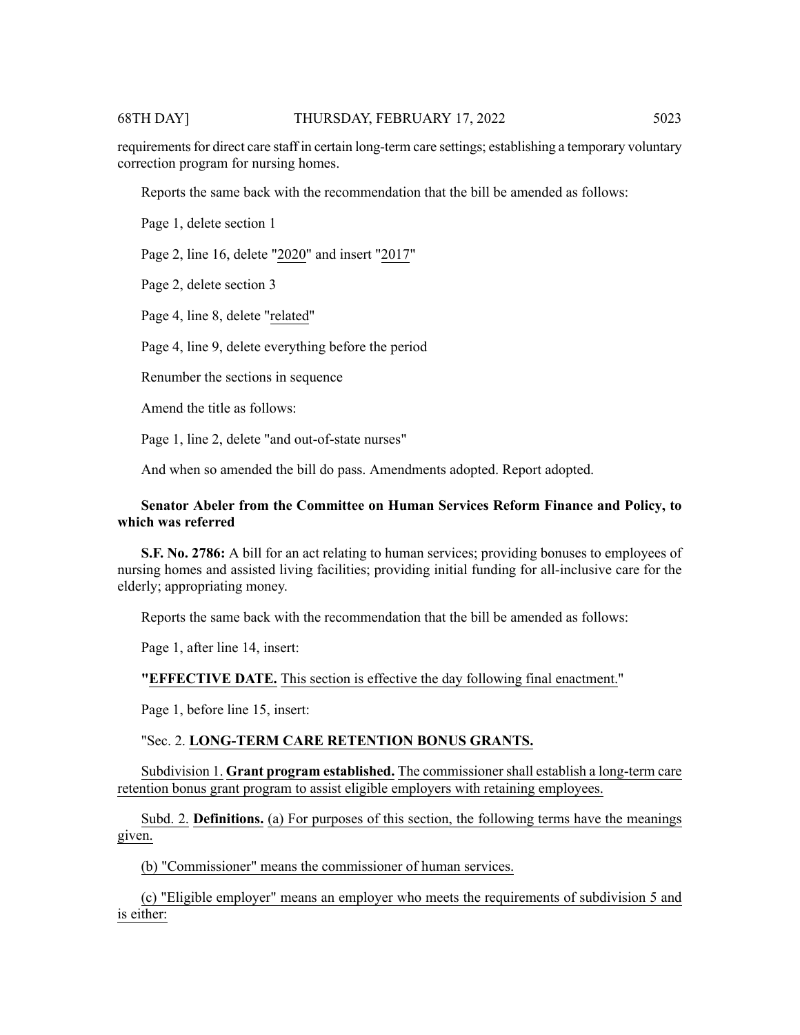# 68TH DAY] THURSDAY, FEBRUARY 17, 2022 5023

requirements for direct care staff in certain long-term care settings; establishing a temporary voluntary correction program for nursing homes.

Reports the same back with the recommendation that the bill be amended as follows:

Page 1, delete section 1

Page 2, line 16, delete "2020" and insert "2017"

Page 2, delete section 3

Page 4, line 8, delete "related"

Page 4, line 9, delete everything before the period

Renumber the sections in sequence

Amend the title as follows:

Page 1, line 2, delete "and out-of-state nurses"

And when so amended the bill do pass. Amendments adopted. Report adopted.

# **Senator Abeler from the Committee on Human Services Reform Finance and Policy, to which was referred**

**S.F. No. 2786:** A bill for an act relating to human services; providing bonuses to employees of nursing homes and assisted living facilities; providing initial funding for all-inclusive care for the elderly; appropriating money.

Reports the same back with the recommendation that the bill be amended as follows:

Page 1, after line 14, insert:

# **"EFFECTIVE DATE.** This section is effective the day following final enactment."

Page 1, before line 15, insert:

# "Sec. 2. **LONG-TERM CARE RETENTION BONUS GRANTS.**

Subdivision 1. **Grant program established.** The commissioner shall establish a long-term care retention bonus grant program to assist eligible employers with retaining employees.

Subd. 2. **Definitions.** (a) For purposes of this section, the following terms have the meanings given.

(b) "Commissioner" means the commissioner of human services.

(c) "Eligible employer" means an employer who meets the requirements of subdivision 5 and is either: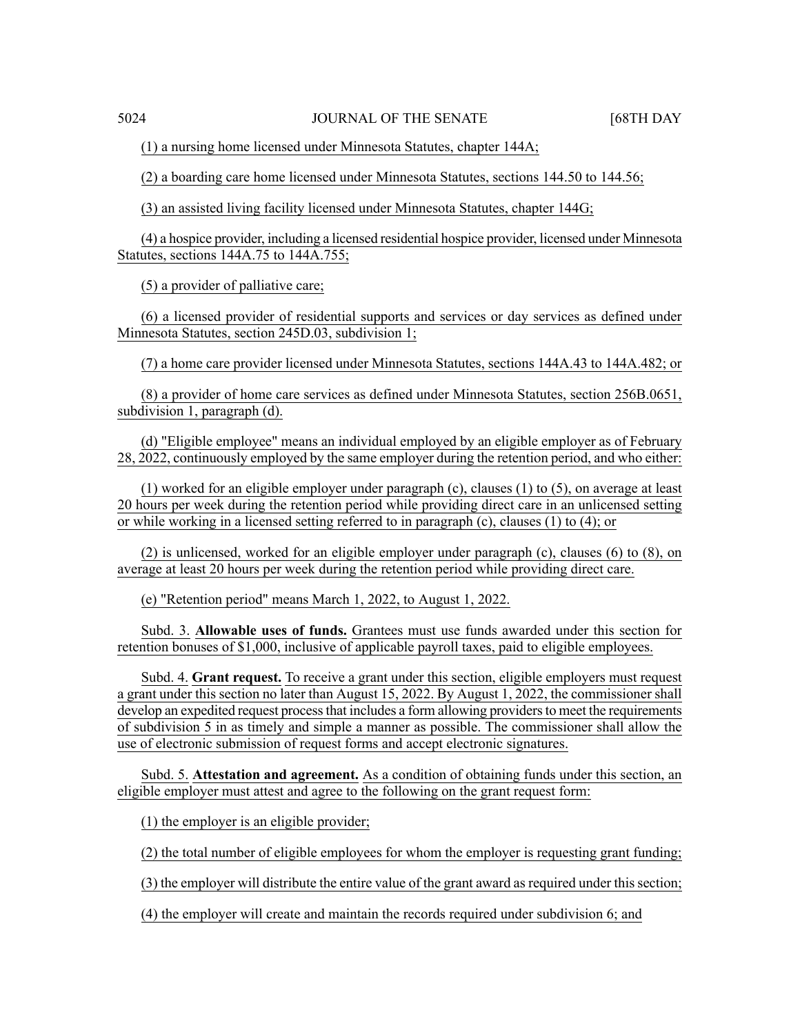(1) a nursing home licensed under Minnesota Statutes, chapter 144A;

(2) a boarding care home licensed under Minnesota Statutes, sections 144.50 to 144.56;

(3) an assisted living facility licensed under Minnesota Statutes, chapter 144G;

(4) a hospice provider, including a licensed residential hospice provider, licensed under Minnesota Statutes, sections 144A.75 to 144A.755;

(5) a provider of palliative care;

(6) a licensed provider of residential supports and services or day services as defined under Minnesota Statutes, section 245D.03, subdivision 1;

(7) a home care provider licensed under Minnesota Statutes, sections 144A.43 to 144A.482; or

(8) a provider of home care services as defined under Minnesota Statutes, section 256B.0651, subdivision 1, paragraph (d).

(d) "Eligible employee" means an individual employed by an eligible employer as of February 28, 2022, continuously employed by the same employer during the retention period, and who either:

(1) worked for an eligible employer under paragraph (c), clauses (1) to (5), on average at least 20 hours per week during the retention period while providing direct care in an unlicensed setting or while working in a licensed setting referred to in paragraph (c), clauses (1) to (4); or

(2) is unlicensed, worked for an eligible employer under paragraph (c), clauses (6) to (8), on average at least 20 hours per week during the retention period while providing direct care.

(e) "Retention period" means March 1, 2022, to August 1, 2022.

Subd. 3. **Allowable uses of funds.** Grantees must use funds awarded under this section for retention bonuses of \$1,000, inclusive of applicable payroll taxes, paid to eligible employees.

Subd. 4. **Grant request.** To receive a grant under this section, eligible employers must request a grant under this section no later than August 15, 2022. By August 1, 2022, the commissioner shall develop an expedited request process that includes a form allowing providers to meet the requirements of subdivision 5 in as timely and simple a manner as possible. The commissioner shall allow the use of electronic submission of request forms and accept electronic signatures.

Subd. 5. **Attestation and agreement.** As a condition of obtaining funds under this section, an eligible employer must attest and agree to the following on the grant request form:

(1) the employer is an eligible provider;

(2) the total number of eligible employees for whom the employer is requesting grant funding;

(3) the employer will distribute the entire value of the grant award as required under this section;

(4) the employer will create and maintain the records required under subdivision 6; and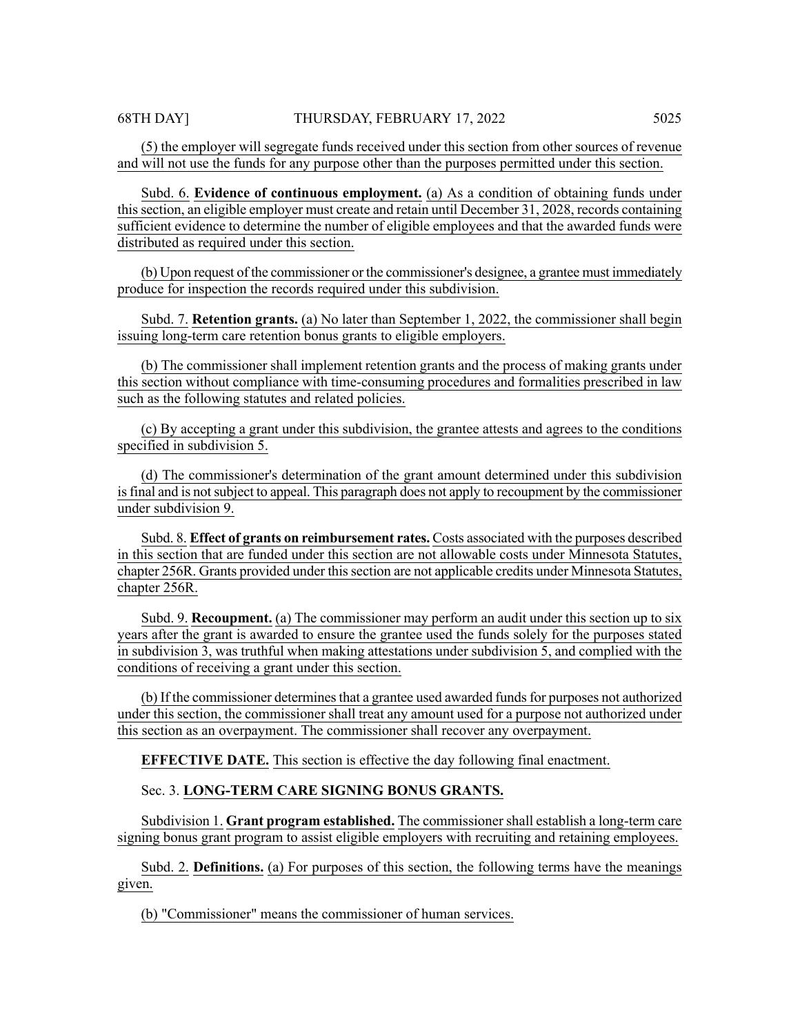Subd. 6. **Evidence of continuous employment.** (a) As a condition of obtaining funds under thissection, an eligible employer must create and retain until December 31, 2028, records containing sufficient evidence to determine the number of eligible employees and that the awarded funds were distributed as required under this section.

(b) Upon request of the commissioner or the commissioner's designee, a grantee must immediately produce for inspection the records required under this subdivision.

Subd. 7. **Retention grants.** (a) No later than September 1, 2022, the commissioner shall begin issuing long-term care retention bonus grants to eligible employers.

(b) The commissioner shall implement retention grants and the process of making grants under this section without compliance with time-consuming procedures and formalities prescribed in law such as the following statutes and related policies.

(c) By accepting a grant under this subdivision, the grantee attests and agrees to the conditions specified in subdivision 5.

(d) The commissioner's determination of the grant amount determined under this subdivision is final and is not subject to appeal. This paragraph does not apply to recoupment by the commissioner under subdivision 9.

Subd. 8. **Effect of grants on reimbursement rates.** Costs associated with the purposes described in this section that are funded under this section are not allowable costs under Minnesota Statutes, chapter 256R. Grants provided under this section are not applicable credits under Minnesota Statutes, chapter 256R.

Subd. 9. **Recoupment.** (a) The commissioner may perform an audit under this section up to six years after the grant is awarded to ensure the grantee used the funds solely for the purposes stated in subdivision 3, was truthful when making attestations under subdivision 5, and complied with the conditions of receiving a grant under this section.

(b) If the commissioner determines that a grantee used awarded funds for purposes not authorized under this section, the commissioner shall treat any amount used for a purpose not authorized under this section as an overpayment. The commissioner shall recover any overpayment.

**EFFECTIVE DATE.** This section is effective the day following final enactment.

# Sec. 3. **LONG-TERM CARE SIGNING BONUS GRANTS.**

Subdivision 1. **Grant program established.** The commissioner shall establish a long-term care signing bonus grant program to assist eligible employers with recruiting and retaining employees.

Subd. 2. **Definitions.** (a) For purposes of this section, the following terms have the meanings given.

(b) "Commissioner" means the commissioner of human services.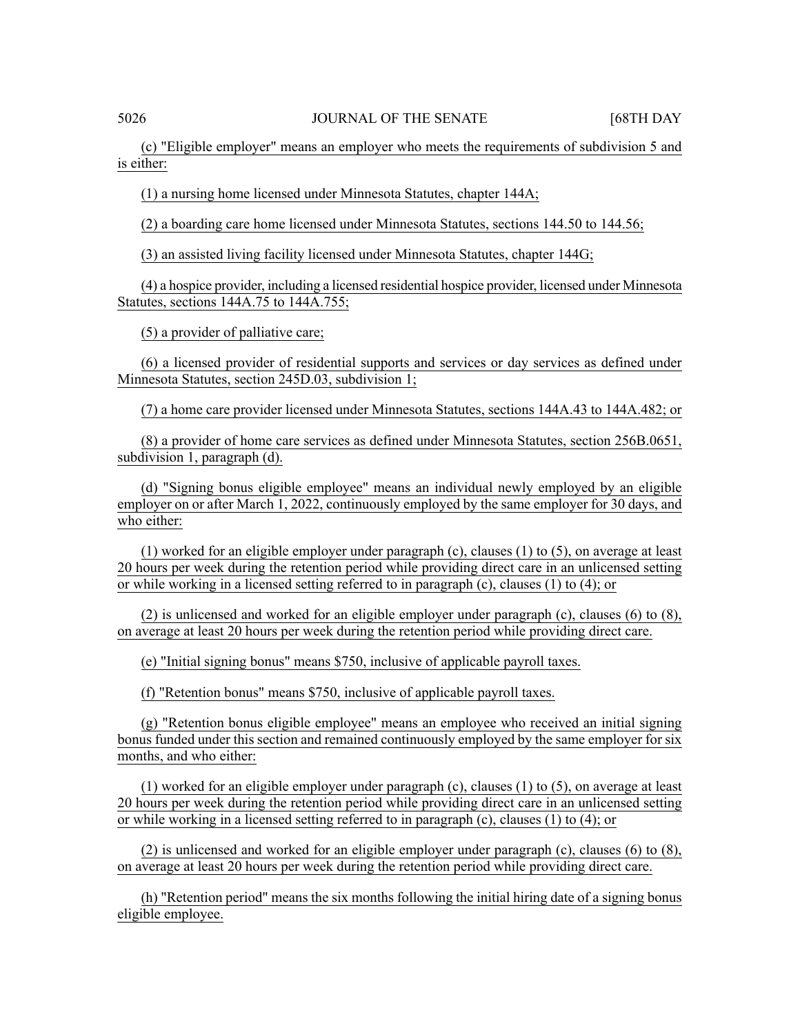(c) "Eligible employer" means an employer who meets the requirements of subdivision 5 and is either:

(1) a nursing home licensed under Minnesota Statutes, chapter 144A;

(2) a boarding care home licensed under Minnesota Statutes, sections 144.50 to 144.56;

(3) an assisted living facility licensed under Minnesota Statutes, chapter 144G;

(4) a hospice provider, including a licensed residential hospice provider, licensed under Minnesota Statutes, sections 144A.75 to 144A.755;

(5) a provider of palliative care;

(6) a licensed provider of residential supports and services or day services as defined under Minnesota Statutes, section 245D.03, subdivision 1;

(7) a home care provider licensed under Minnesota Statutes, sections 144A.43 to 144A.482; or

(8) a provider of home care services as defined under Minnesota Statutes, section 256B.0651, subdivision 1, paragraph (d).

(d) "Signing bonus eligible employee" means an individual newly employed by an eligible employer on or after March 1, 2022, continuously employed by the same employer for 30 days, and who either:

(1) worked for an eligible employer under paragraph (c), clauses (1) to (5), on average at least 20 hours per week during the retention period while providing direct care in an unlicensed setting or while working in a licensed setting referred to in paragraph (c), clauses (1) to (4); or

(2) is unlicensed and worked for an eligible employer under paragraph (c), clauses (6) to (8), on average at least 20 hours per week during the retention period while providing direct care.

(e) "Initial signing bonus" means \$750, inclusive of applicable payroll taxes.

(f) "Retention bonus" means \$750, inclusive of applicable payroll taxes.

(g) "Retention bonus eligible employee" means an employee who received an initial signing bonus funded under this section and remained continuously employed by the same employer for six months, and who either:

(1) worked for an eligible employer under paragraph (c), clauses (1) to (5), on average at least 20 hours per week during the retention period while providing direct care in an unlicensed setting or while working in a licensed setting referred to in paragraph (c), clauses (1) to (4); or

(2) is unlicensed and worked for an eligible employer under paragraph (c), clauses (6) to (8), on average at least 20 hours per week during the retention period while providing direct care.

(h) "Retention period" means the six months following the initial hiring date of a signing bonus eligible employee.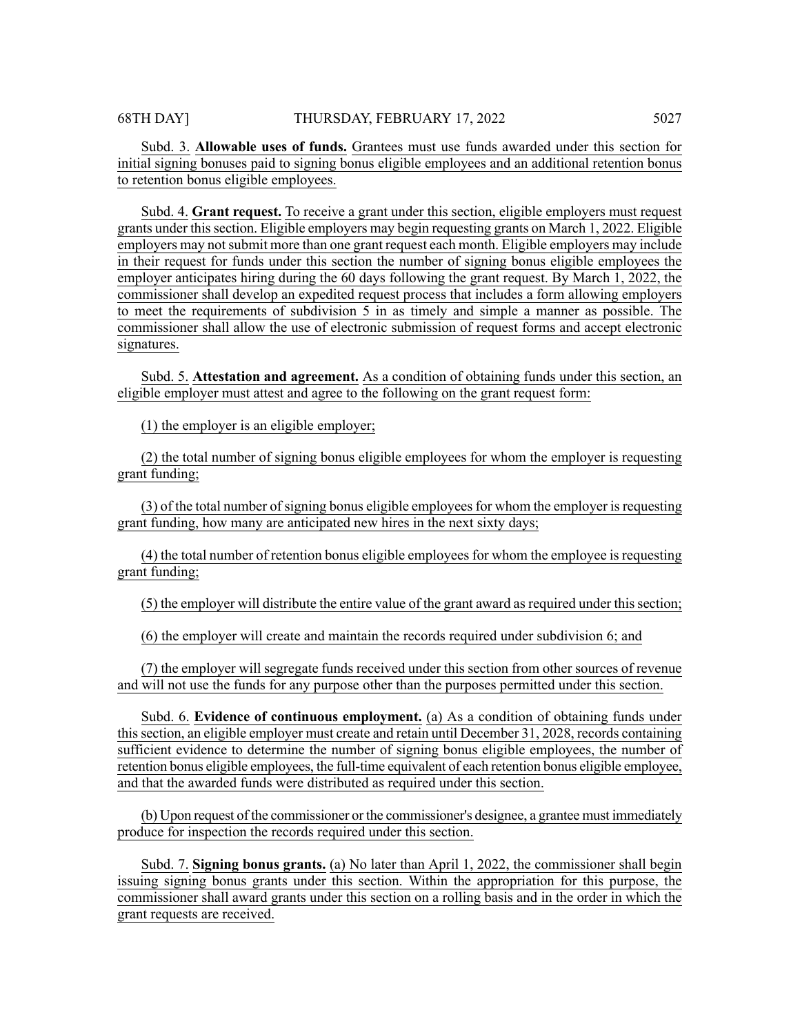Subd. 3. **Allowable uses of funds.** Grantees must use funds awarded under this section for initial signing bonuses paid to signing bonus eligible employees and an additional retention bonus to retention bonus eligible employees.

Subd. 4. **Grant request.** To receive a grant under this section, eligible employers must request grants under thissection. Eligible employers may begin requesting grants on March 1, 2022. Eligible employers may not submit more than one grant request each month. Eligible employers may include in their request for funds under this section the number of signing bonus eligible employees the employer anticipates hiring during the 60 days following the grant request. By March 1, 2022, the commissioner shall develop an expedited request process that includes a form allowing employers to meet the requirements of subdivision 5 in as timely and simple a manner as possible. The commissioner shall allow the use of electronic submission of request forms and accept electronic signatures.

Subd. 5. **Attestation and agreement.** As a condition of obtaining funds under this section, an eligible employer must attest and agree to the following on the grant request form:

(1) the employer is an eligible employer;

(2) the total number of signing bonus eligible employees for whom the employer is requesting grant funding;

 $(3)$  of the total number of signing bonus eligible employees for whom the employer is requesting grant funding, how many are anticipated new hires in the next sixty days;

(4) the total number of retention bonus eligible employees for whom the employee is requesting grant funding;

(5) the employer will distribute the entire value of the grant award as required under this section;

(6) the employer will create and maintain the records required under subdivision 6; and

(7) the employer will segregate funds received under this section from other sources of revenue and will not use the funds for any purpose other than the purposes permitted under this section.

Subd. 6. **Evidence of continuous employment.** (a) As a condition of obtaining funds under thissection, an eligible employer must create and retain until December 31, 2028, records containing sufficient evidence to determine the number of signing bonus eligible employees, the number of retention bonus eligible employees, the full-time equivalent of each retention bonus eligible employee, and that the awarded funds were distributed as required under this section.

(b) Upon request of the commissioner or the commissioner's designee, a grantee must immediately produce for inspection the records required under this section.

Subd. 7. **Signing bonus grants.** (a) No later than April 1, 2022, the commissioner shall begin issuing signing bonus grants under this section. Within the appropriation for this purpose, the commissioner shall award grants under this section on a rolling basis and in the order in which the grant requests are received.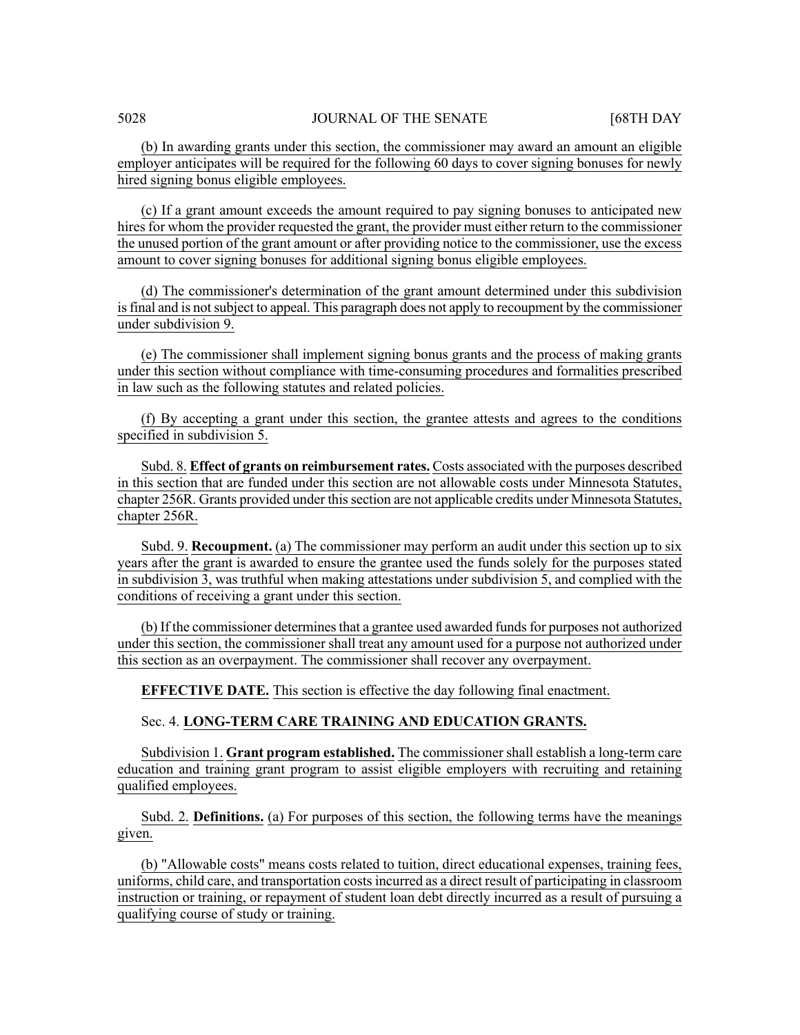(b) In awarding grants under this section, the commissioner may award an amount an eligible employer anticipates will be required for the following 60 days to cover signing bonuses for newly hired signing bonus eligible employees.

(c) If a grant amount exceeds the amount required to pay signing bonuses to anticipated new hires for whom the provider requested the grant, the provider must either return to the commissioner the unused portion of the grant amount or after providing notice to the commissioner, use the excess amount to cover signing bonuses for additional signing bonus eligible employees.

(d) The commissioner's determination of the grant amount determined under this subdivision isfinal and is notsubject to appeal. This paragraph does not apply to recoupment by the commissioner under subdivision 9.

(e) The commissioner shall implement signing bonus grants and the process of making grants under this section without compliance with time-consuming procedures and formalities prescribed in law such as the following statutes and related policies.

(f) By accepting a grant under this section, the grantee attests and agrees to the conditions specified in subdivision 5.

Subd. 8. **Effect of grants on reimbursement rates.** Costs associated with the purposes described in this section that are funded under this section are not allowable costs under Minnesota Statutes, chapter 256R. Grants provided under this section are not applicable credits under Minnesota Statutes, chapter 256R.

Subd. 9. **Recoupment.** (a) The commissioner may perform an audit under this section up to six years after the grant is awarded to ensure the grantee used the funds solely for the purposes stated in subdivision 3, was truthful when making attestations under subdivision 5, and complied with the conditions of receiving a grant under this section.

(b) If the commissioner determines that a grantee used awarded funds for purposes not authorized under this section, the commissioner shall treat any amount used for a purpose not authorized under this section as an overpayment. The commissioner shall recover any overpayment.

**EFFECTIVE DATE.** This section is effective the day following final enactment.

### Sec. 4. **LONG-TERM CARE TRAINING AND EDUCATION GRANTS.**

Subdivision 1. **Grant program established.** The commissioner shall establish a long-term care education and training grant program to assist eligible employers with recruiting and retaining qualified employees.

Subd. 2. **Definitions.** (a) For purposes of this section, the following terms have the meanings given.

(b) "Allowable costs" means costs related to tuition, direct educational expenses, training fees, uniforms, child care, and transportation costsincurred as a direct result of participating in classroom instruction or training, or repayment of student loan debt directly incurred as a result of pursuing a qualifying course of study or training.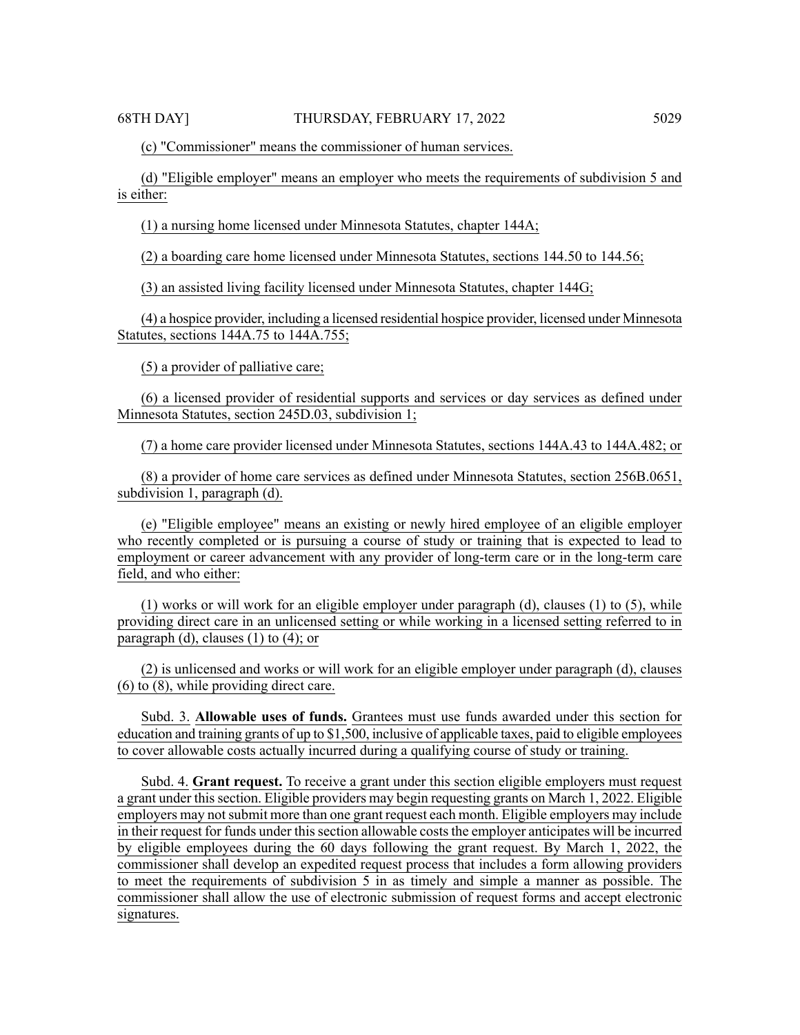(c) "Commissioner" means the commissioner of human services.

(d) "Eligible employer" means an employer who meets the requirements of subdivision 5 and is either:

(1) a nursing home licensed under Minnesota Statutes, chapter 144A;

(2) a boarding care home licensed under Minnesota Statutes, sections 144.50 to 144.56;

(3) an assisted living facility licensed under Minnesota Statutes, chapter 144G;

(4) a hospice provider, including a licensed residential hospice provider, licensed under Minnesota Statutes, sections 144A.75 to 144A.755;

(5) a provider of palliative care;

(6) a licensed provider of residential supports and services or day services as defined under Minnesota Statutes, section 245D.03, subdivision 1;

(7) a home care provider licensed under Minnesota Statutes, sections 144A.43 to 144A.482; or

(8) a provider of home care services as defined under Minnesota Statutes, section 256B.0651, subdivision 1, paragraph (d).

(e) "Eligible employee" means an existing or newly hired employee of an eligible employer who recently completed or is pursuing a course of study or training that is expected to lead to employment or career advancement with any provider of long-term care or in the long-term care field, and who either:

(1) works or will work for an eligible employer under paragraph (d), clauses (1) to (5), while providing direct care in an unlicensed setting or while working in a licensed setting referred to in paragraph (d), clauses  $(1)$  to  $(4)$ ; or

(2) is unlicensed and works or will work for an eligible employer under paragraph (d), clauses (6) to (8), while providing direct care.

Subd. 3. **Allowable uses of funds.** Grantees must use funds awarded under this section for education and training grants of up to \$1,500, inclusive of applicable taxes, paid to eligible employees to cover allowable costs actually incurred during a qualifying course of study or training.

Subd. 4. **Grant request.** To receive a grant under this section eligible employers must request a grant under this section. Eligible providers may begin requesting grants on March 1, 2022. Eligible employers may not submit more than one grant request each month. Eligible employers may include in their request for funds under this section allowable costs the employer anticipates will be incurred by eligible employees during the 60 days following the grant request. By March 1, 2022, the commissioner shall develop an expedited request process that includes a form allowing providers to meet the requirements of subdivision 5 in as timely and simple a manner as possible. The commissioner shall allow the use of electronic submission of request forms and accept electronic signatures.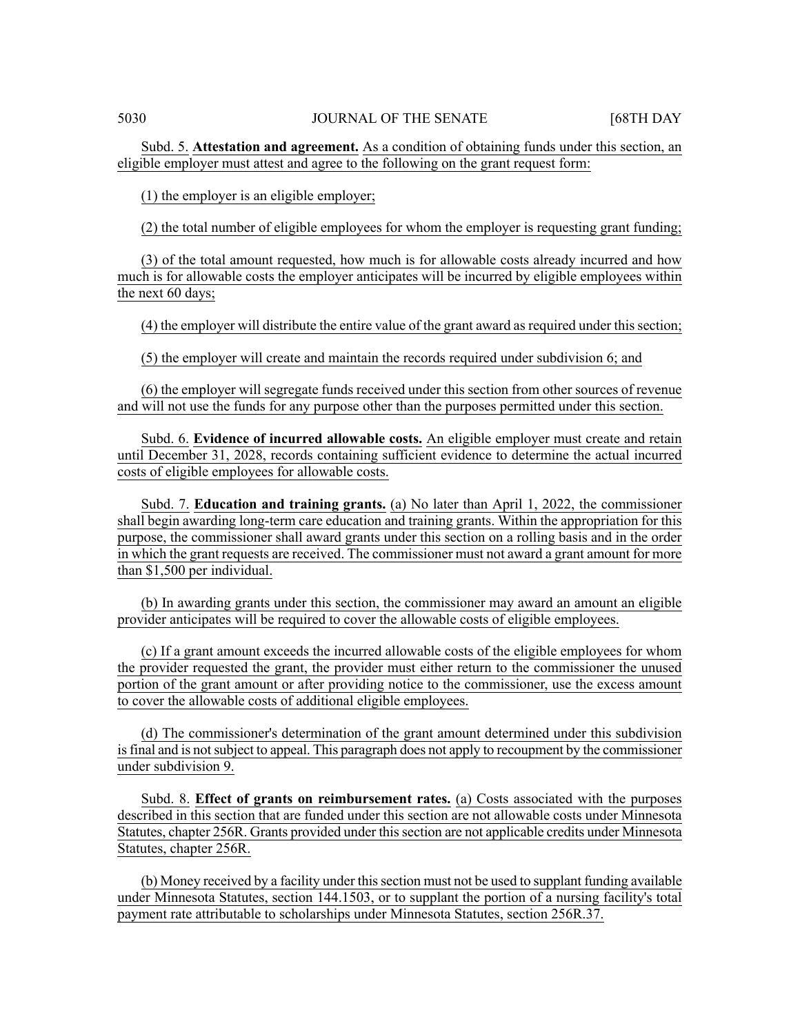Subd. 5. **Attestation and agreement.** As a condition of obtaining funds under this section, an eligible employer must attest and agree to the following on the grant request form:

(1) the employer is an eligible employer;

(2) the total number of eligible employees for whom the employer is requesting grant funding;

(3) of the total amount requested, how much is for allowable costs already incurred and how much is for allowable costs the employer anticipates will be incurred by eligible employees within the next 60 days;

(4) the employer will distribute the entire value of the grant award as required under this section;

(5) the employer will create and maintain the records required under subdivision 6; and

(6) the employer will segregate funds received under this section from other sources of revenue and will not use the funds for any purpose other than the purposes permitted under this section.

Subd. 6. **Evidence of incurred allowable costs.** An eligible employer must create and retain until December 31, 2028, records containing sufficient evidence to determine the actual incurred costs of eligible employees for allowable costs.

Subd. 7. **Education and training grants.** (a) No later than April 1, 2022, the commissioner shall begin awarding long-term care education and training grants. Within the appropriation for this purpose, the commissioner shall award grants under this section on a rolling basis and in the order in which the grant requests are received. The commissioner must not award a grant amount for more than \$1,500 per individual.

(b) In awarding grants under this section, the commissioner may award an amount an eligible provider anticipates will be required to cover the allowable costs of eligible employees.

(c) If a grant amount exceeds the incurred allowable costs of the eligible employees for whom the provider requested the grant, the provider must either return to the commissioner the unused portion of the grant amount or after providing notice to the commissioner, use the excess amount to cover the allowable costs of additional eligible employees.

(d) The commissioner's determination of the grant amount determined under this subdivision isfinal and is notsubject to appeal. This paragraph does not apply to recoupment by the commissioner under subdivision 9.

Subd. 8. **Effect of grants on reimbursement rates.** (a) Costs associated with the purposes described in this section that are funded under this section are not allowable costs under Minnesota Statutes, chapter 256R. Grants provided under this section are not applicable credits under Minnesota Statutes, chapter 256R.

(b) Money received by a facility under thissection must not be used to supplant funding available under Minnesota Statutes, section 144.1503, or to supplant the portion of a nursing facility's total payment rate attributable to scholarships under Minnesota Statutes, section 256R.37.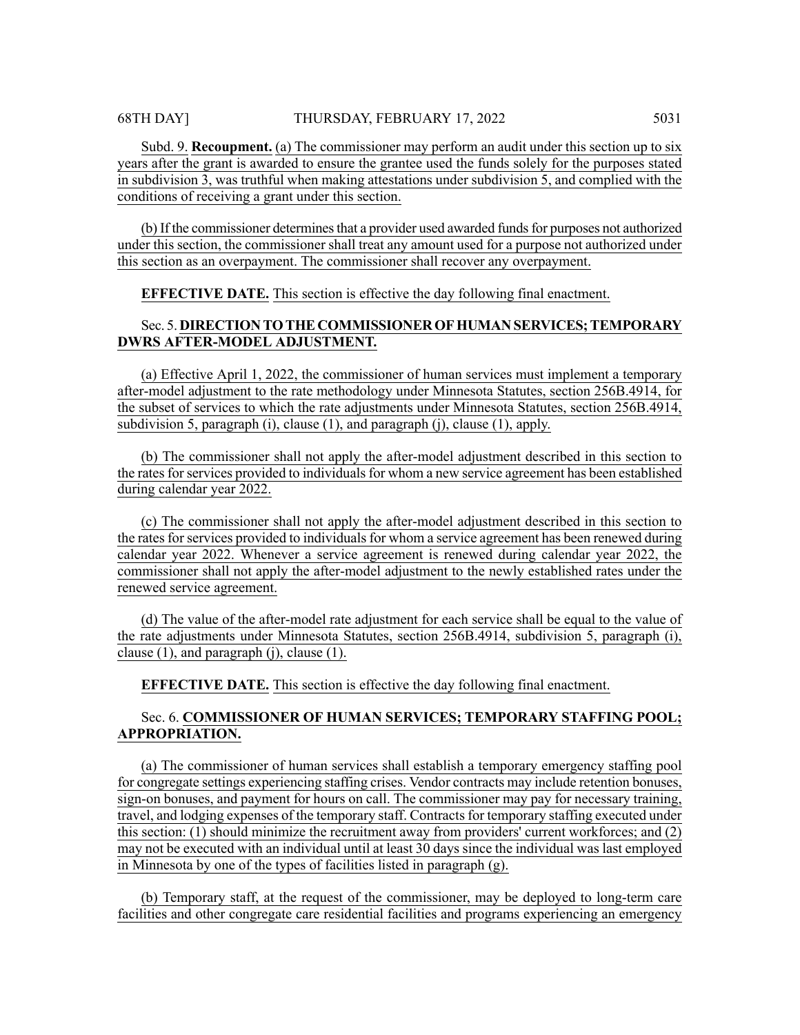Subd. 9. **Recoupment.** (a) The commissioner may perform an audit under this section up to six years after the grant is awarded to ensure the grantee used the funds solely for the purposes stated in subdivision 3, was truthful when making attestations under subdivision 5, and complied with the conditions of receiving a grant under this section.

(b) If the commissioner determines that a provider used awarded funds for purposes not authorized under this section, the commissioner shall treat any amount used for a purpose not authorized under this section as an overpayment. The commissioner shall recover any overpayment.

**EFFECTIVE DATE.** This section is effective the day following final enactment.

# Sec. 5. **DIRECTION TOTHE COMMISSIONEROFHUMAN SERVICES;TEMPORARY DWRS AFTER-MODEL ADJUSTMENT.**

(a) Effective April 1, 2022, the commissioner of human services must implement a temporary after-model adjustment to the rate methodology under Minnesota Statutes, section 256B.4914, for the subset of services to which the rate adjustments under Minnesota Statutes, section 256B.4914, subdivision 5, paragraph (i), clause (1), and paragraph (j), clause (1), apply.

(b) The commissioner shall not apply the after-model adjustment described in this section to the rates for services provided to individuals for whom a new service agreement has been established during calendar year 2022.

(c) The commissioner shall not apply the after-model adjustment described in this section to the rates for services provided to individuals for whom a service agreement has been renewed during calendar year 2022. Whenever a service agreement is renewed during calendar year 2022, the commissioner shall not apply the after-model adjustment to the newly established rates under the renewed service agreement.

(d) The value of the after-model rate adjustment for each service shall be equal to the value of the rate adjustments under Minnesota Statutes, section 256B.4914, subdivision 5, paragraph (i), clause (1), and paragraph (j), clause (1).

**EFFECTIVE DATE.** This section is effective the day following final enactment.

# Sec. 6. **COMMISSIONER OF HUMAN SERVICES; TEMPORARY STAFFING POOL; APPROPRIATION.**

(a) The commissioner of human services shall establish a temporary emergency staffing pool for congregate settings experiencing staffing crises. Vendor contracts may include retention bonuses, sign-on bonuses, and payment for hours on call. The commissioner may pay for necessary training, travel, and lodging expenses of the temporary staff. Contracts for temporary staffing executed under this section: (1) should minimize the recruitment away from providers' current workforces; and (2) may not be executed with an individual until at least 30 days since the individual was last employed in Minnesota by one of the types of facilities listed in paragraph (g).

(b) Temporary staff, at the request of the commissioner, may be deployed to long-term care facilities and other congregate care residential facilities and programs experiencing an emergency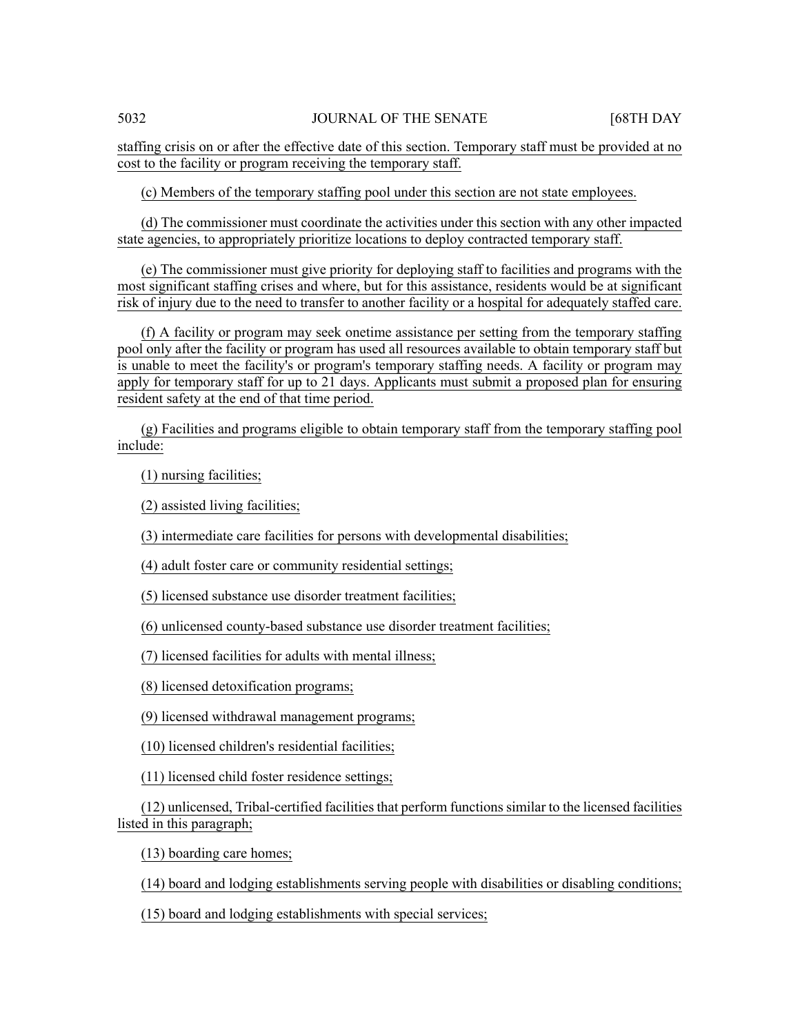staffing crisis on or after the effective date of this section. Temporary staff must be provided at no cost to the facility or program receiving the temporary staff.

(c) Members of the temporary staffing pool under this section are not state employees.

(d) The commissioner must coordinate the activities under this section with any other impacted state agencies, to appropriately prioritize locations to deploy contracted temporary staff.

(e) The commissioner must give priority for deploying staff to facilities and programs with the most significant staffing crises and where, but for this assistance, residents would be at significant risk of injury due to the need to transfer to another facility or a hospital for adequately staffed care.

(f) A facility or program may seek onetime assistance per setting from the temporary staffing pool only after the facility or program has used all resources available to obtain temporary staff but is unable to meet the facility's or program's temporary staffing needs. A facility or program may apply for temporary staff for up to 21 days. Applicants must submit a proposed plan for ensuring resident safety at the end of that time period.

(g) Facilities and programs eligible to obtain temporary staff from the temporary staffing pool include:

(1) nursing facilities;

(2) assisted living facilities;

(3) intermediate care facilities for persons with developmental disabilities;

(4) adult foster care or community residential settings;

(5) licensed substance use disorder treatment facilities;

(6) unlicensed county-based substance use disorder treatment facilities;

(7) licensed facilities for adults with mental illness;

(8) licensed detoxification programs;

(9) licensed withdrawal management programs;

(10) licensed children's residential facilities;

(11) licensed child foster residence settings;

(12) unlicensed, Tribal-certified facilities that perform functions similar to the licensed facilities listed in this paragraph;

(13) boarding care homes;

(14) board and lodging establishments serving people with disabilities or disabling conditions;

(15) board and lodging establishments with special services;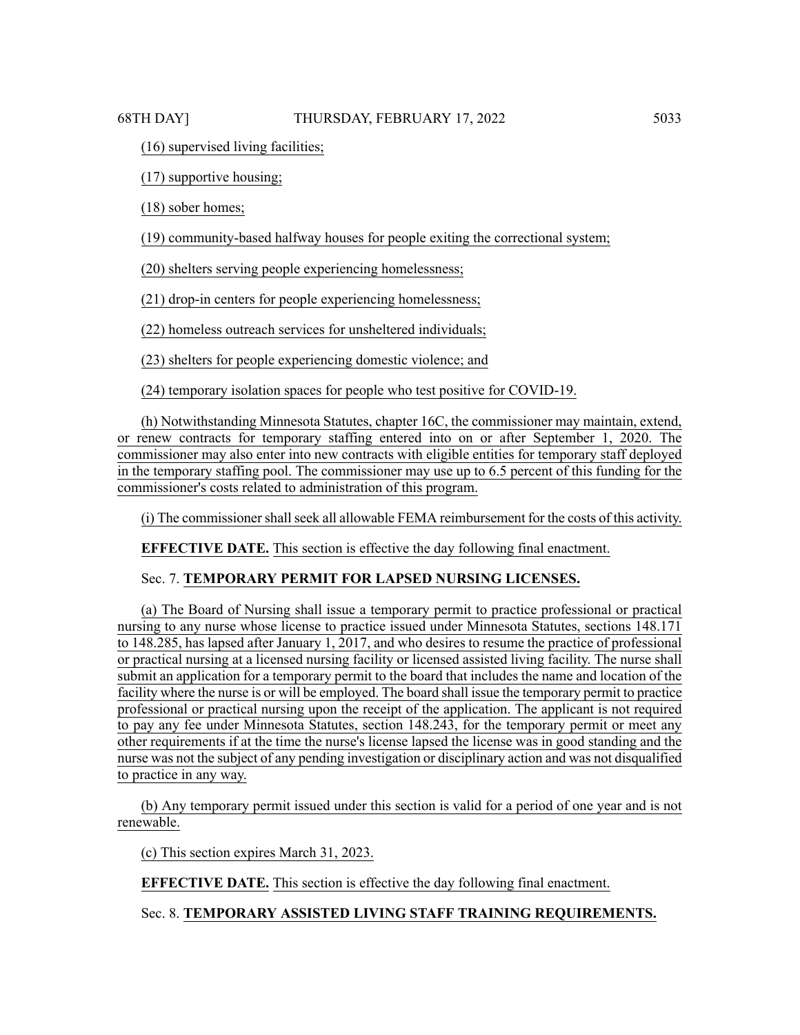# (16) supervised living facilities;

(17) supportive housing;

(18) sober homes;

(19) community-based halfway houses for people exiting the correctional system;

(20) shelters serving people experiencing homelessness;

(21) drop-in centers for people experiencing homelessness;

(22) homeless outreach services for unsheltered individuals;

(23) shelters for people experiencing domestic violence; and

(24) temporary isolation spaces for people who test positive for COVID-19.

(h) Notwithstanding Minnesota Statutes, chapter 16C, the commissioner may maintain, extend, or renew contracts for temporary staffing entered into on or after September 1, 2020. The commissioner may also enter into new contracts with eligible entities for temporary staff deployed in the temporary staffing pool. The commissioner may use up to 6.5 percent of this funding for the commissioner's costs related to administration of this program.

(i) The commissioner shall seek all allowable FEMA reimbursement for the costs of this activity.

**EFFECTIVE DATE.** This section is effective the day following final enactment.

# Sec. 7. **TEMPORARY PERMIT FOR LAPSED NURSING LICENSES.**

(a) The Board of Nursing shall issue a temporary permit to practice professional or practical nursing to any nurse whose license to practice issued under Minnesota Statutes, sections 148.171 to 148.285, has lapsed after January 1, 2017, and who desires to resume the practice of professional or practical nursing at a licensed nursing facility or licensed assisted living facility. The nurse shall submit an application for a temporary permit to the board that includes the name and location of the facility where the nurse is or will be employed. The board shall issue the temporary permit to practice professional or practical nursing upon the receipt of the application. The applicant is not required to pay any fee under Minnesota Statutes, section 148.243, for the temporary permit or meet any other requirements if at the time the nurse's license lapsed the license was in good standing and the nurse was not the subject of any pending investigation or disciplinary action and was not disqualified to practice in any way.

(b) Any temporary permit issued under this section is valid for a period of one year and is not renewable.

(c) This section expires March 31, 2023.

**EFFECTIVE DATE.** This section is effective the day following final enactment.

# Sec. 8. **TEMPORARY ASSISTED LIVING STAFF TRAINING REQUIREMENTS.**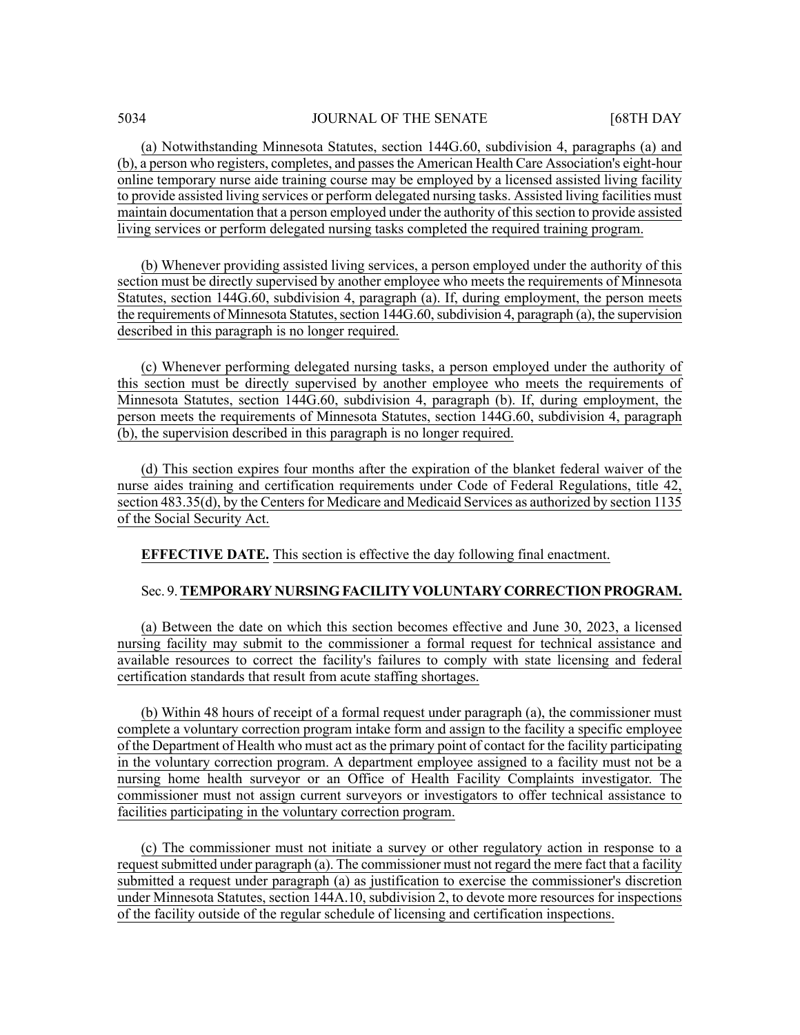(a) Notwithstanding Minnesota Statutes, section 144G.60, subdivision 4, paragraphs (a) and (b), a person who registers, completes, and passesthe American Health Care Association's eight-hour online temporary nurse aide training course may be employed by a licensed assisted living facility to provide assisted living services or perform delegated nursing tasks. Assisted living facilities must maintain documentation that a person employed under the authority of thissection to provide assisted living services or perform delegated nursing tasks completed the required training program.

(b) Whenever providing assisted living services, a person employed under the authority of this section must be directly supervised by another employee who meets the requirements of Minnesota Statutes, section 144G.60, subdivision 4, paragraph (a). If, during employment, the person meets the requirements of Minnesota Statutes, section 144G.60, subdivision 4, paragraph (a), the supervision described in this paragraph is no longer required.

(c) Whenever performing delegated nursing tasks, a person employed under the authority of this section must be directly supervised by another employee who meets the requirements of Minnesota Statutes, section 144G.60, subdivision 4, paragraph (b). If, during employment, the person meets the requirements of Minnesota Statutes, section 144G.60, subdivision 4, paragraph (b), the supervision described in this paragraph is no longer required.

(d) This section expires four months after the expiration of the blanket federal waiver of the nurse aides training and certification requirements under Code of Federal Regulations, title 42, section 483.35(d), by the Centers for Medicare and Medicaid Services as authorized by section 1135 of the Social Security Act.

**EFFECTIVE DATE.** This section is effective the day following final enactment.

#### Sec. 9.**TEMPORARY NURSINGFACILITY VOLUNTARY CORRECTION PROGRAM.**

(a) Between the date on which this section becomes effective and June 30, 2023, a licensed nursing facility may submit to the commissioner a formal request for technical assistance and available resources to correct the facility's failures to comply with state licensing and federal certification standards that result from acute staffing shortages.

(b) Within 48 hours of receipt of a formal request under paragraph (a), the commissioner must complete a voluntary correction program intake form and assign to the facility a specific employee of the Department of Health who must act asthe primary point of contact for the facility participating in the voluntary correction program. A department employee assigned to a facility must not be a nursing home health surveyor or an Office of Health Facility Complaints investigator. The commissioner must not assign current surveyors or investigators to offer technical assistance to facilities participating in the voluntary correction program.

(c) The commissioner must not initiate a survey or other regulatory action in response to a request submitted under paragraph (a). The commissioner must not regard the mere fact that a facility submitted a request under paragraph (a) as justification to exercise the commissioner's discretion under Minnesota Statutes, section 144A.10, subdivision 2, to devote more resources for inspections of the facility outside of the regular schedule of licensing and certification inspections.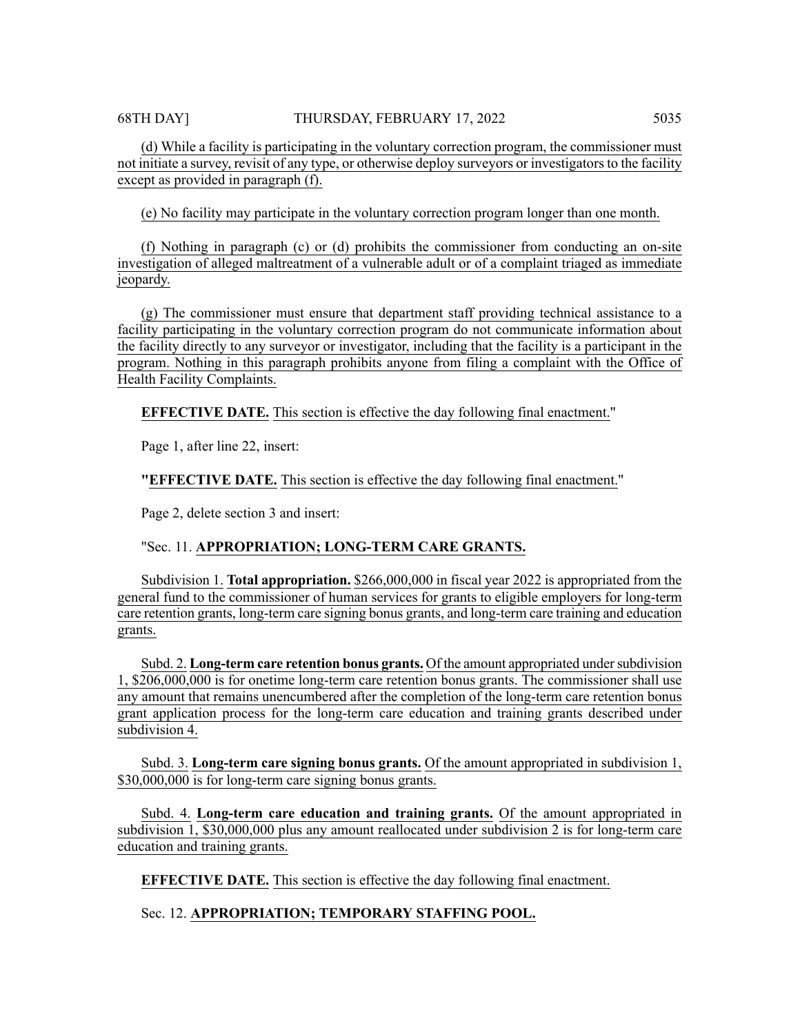68TH DAY] THURSDAY, FEBRUARY 17, 2022 5035

(d) While a facility is participating in the voluntary correction program, the commissioner must not initiate a survey, revisit of any type, or otherwise deploy surveyors or investigators to the facility except as provided in paragraph (f).

(e) No facility may participate in the voluntary correction program longer than one month.

(f) Nothing in paragraph (c) or (d) prohibits the commissioner from conducting an on-site investigation of alleged maltreatment of a vulnerable adult or of a complaint triaged as immediate jeopardy.

(g) The commissioner must ensure that department staff providing technical assistance to a facility participating in the voluntary correction program do not communicate information about the facility directly to any surveyor or investigator, including that the facility is a participant in the program. Nothing in this paragraph prohibits anyone from filing a complaint with the Office of Health Facility Complaints.

**EFFECTIVE DATE.** This section is effective the day following final enactment."

Page 1, after line 22, insert:

**"EFFECTIVE DATE.** This section is effective the day following final enactment."

Page 2, delete section 3 and insert:

# "Sec. 11. **APPROPRIATION; LONG-TERM CARE GRANTS.**

Subdivision 1. **Total appropriation.** \$266,000,000 in fiscal year 2022 is appropriated from the general fund to the commissioner of human services for grants to eligible employers for long-term care retention grants, long-term care signing bonus grants, and long-term care training and education grants.

Subd. 2. **Long-term care retention bonus grants.** Of the amount appropriated undersubdivision 1, \$206,000,000 is for onetime long-term care retention bonus grants. The commissioner shall use any amount that remains unencumbered after the completion of the long-term care retention bonus grant application process for the long-term care education and training grants described under subdivision 4.

Subd. 3. **Long-term care signing bonus grants.** Of the amount appropriated in subdivision 1, \$30,000,000 is for long-term care signing bonus grants.

Subd. 4. **Long-term care education and training grants.** Of the amount appropriated in subdivision 1, \$30,000,000 plus any amount reallocated under subdivision 2 is for long-term care education and training grants.

**EFFECTIVE DATE.** This section is effective the day following final enactment.

Sec. 12. **APPROPRIATION; TEMPORARY STAFFING POOL.**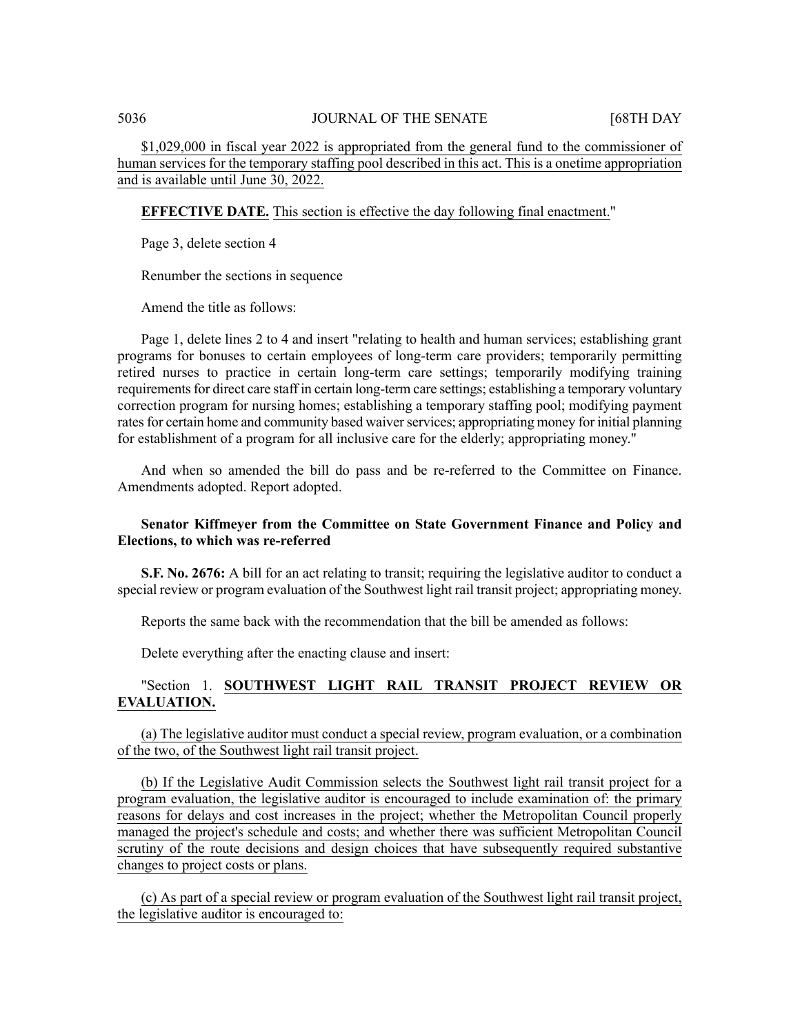\$1,029,000 in fiscal year 2022 is appropriated from the general fund to the commissioner of human services for the temporary staffing pool described in this act. This is a onetime appropriation and is available until June 30, 2022.

**EFFECTIVE DATE.** This section is effective the day following final enactment."

Page 3, delete section 4

Renumber the sections in sequence

Amend the title as follows:

Page 1, delete lines 2 to 4 and insert "relating to health and human services; establishing grant programs for bonuses to certain employees of long-term care providers; temporarily permitting retired nurses to practice in certain long-term care settings; temporarily modifying training requirements for direct care staff in certain long-term care settings; establishing a temporary voluntary correction program for nursing homes; establishing a temporary staffing pool; modifying payment rates for certain home and community based waiver services; appropriating money for initial planning for establishment of a program for all inclusive care for the elderly; appropriating money."

And when so amended the bill do pass and be re-referred to the Committee on Finance. Amendments adopted. Report adopted.

# **Senator Kiffmeyer from the Committee on State Government Finance and Policy and Elections, to which was re-referred**

**S.F. No. 2676:** A bill for an act relating to transit; requiring the legislative auditor to conduct a special review or program evaluation of the Southwest light rail transit project; appropriating money.

Reports the same back with the recommendation that the bill be amended as follows:

Delete everything after the enacting clause and insert:

# "Section 1. **SOUTHWEST LIGHT RAIL TRANSIT PROJECT REVIEW OR EVALUATION.**

(a) The legislative auditor must conduct a special review, program evaluation, or a combination of the two, of the Southwest light rail transit project.

(b) If the Legislative Audit Commission selects the Southwest light rail transit project for a program evaluation, the legislative auditor is encouraged to include examination of: the primary reasons for delays and cost increases in the project; whether the Metropolitan Council properly managed the project's schedule and costs; and whether there was sufficient Metropolitan Council scrutiny of the route decisions and design choices that have subsequently required substantive changes to project costs or plans.

(c) As part of a special review or program evaluation of the Southwest light rail transit project, the legislative auditor is encouraged to: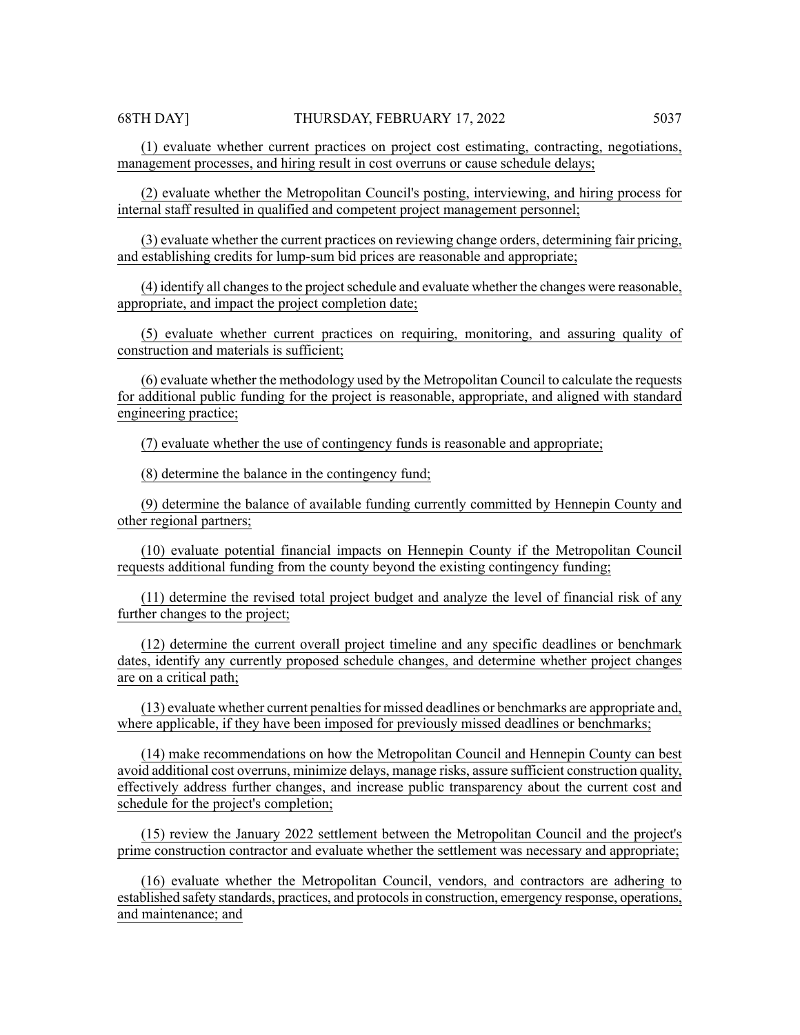(1) evaluate whether current practices on project cost estimating, contracting, negotiations, management processes, and hiring result in cost overruns or cause schedule delays;

(2) evaluate whether the Metropolitan Council's posting, interviewing, and hiring process for internal staff resulted in qualified and competent project management personnel;

(3) evaluate whether the current practices on reviewing change orders, determining fair pricing, and establishing credits for lump-sum bid prices are reasonable and appropriate;

(4) identify all changes to the project schedule and evaluate whether the changes were reasonable, appropriate, and impact the project completion date;

(5) evaluate whether current practices on requiring, monitoring, and assuring quality of construction and materials is sufficient;

(6) evaluate whether the methodology used by the Metropolitan Council to calculate the requests for additional public funding for the project is reasonable, appropriate, and aligned with standard engineering practice;

(7) evaluate whether the use of contingency funds is reasonable and appropriate;

(8) determine the balance in the contingency fund;

(9) determine the balance of available funding currently committed by Hennepin County and other regional partners;

(10) evaluate potential financial impacts on Hennepin County if the Metropolitan Council requests additional funding from the county beyond the existing contingency funding;

(11) determine the revised total project budget and analyze the level of financial risk of any further changes to the project;

(12) determine the current overall project timeline and any specific deadlines or benchmark dates, identify any currently proposed schedule changes, and determine whether project changes are on a critical path;

(13) evaluate whether current penaltiesfor missed deadlines or benchmarks are appropriate and, where applicable, if they have been imposed for previously missed deadlines or benchmarks;

(14) make recommendations on how the Metropolitan Council and Hennepin County can best avoid additional cost overruns, minimize delays, manage risks, assure sufficient construction quality, effectively address further changes, and increase public transparency about the current cost and schedule for the project's completion;

(15) review the January 2022 settlement between the Metropolitan Council and the project's prime construction contractor and evaluate whether the settlement was necessary and appropriate;

(16) evaluate whether the Metropolitan Council, vendors, and contractors are adhering to established safety standards, practices, and protocolsin construction, emergency response, operations, and maintenance; and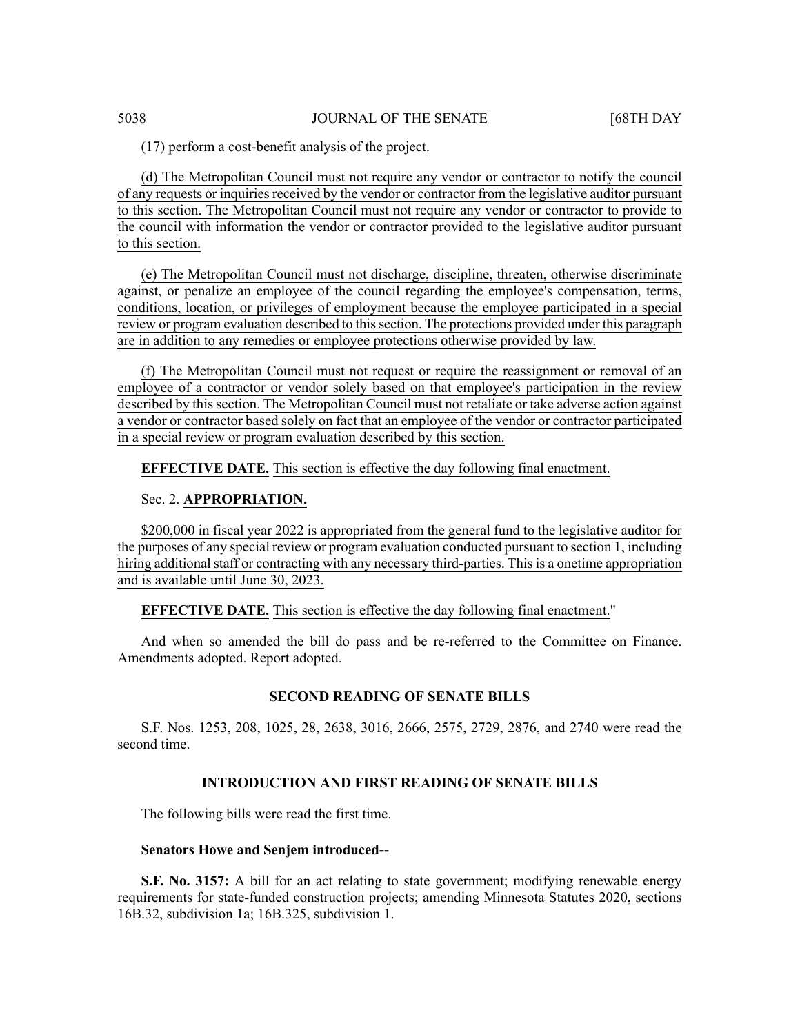# (17) perform a cost-benefit analysis of the project.

(d) The Metropolitan Council must not require any vendor or contractor to notify the council of any requests or inquiries received by the vendor or contractor from the legislative auditor pursuant to this section. The Metropolitan Council must not require any vendor or contractor to provide to the council with information the vendor or contractor provided to the legislative auditor pursuant to this section.

(e) The Metropolitan Council must not discharge, discipline, threaten, otherwise discriminate against, or penalize an employee of the council regarding the employee's compensation, terms, conditions, location, or privileges of employment because the employee participated in a special review or program evaluation described to this section. The protections provided under this paragraph are in addition to any remedies or employee protections otherwise provided by law.

(f) The Metropolitan Council must not request or require the reassignment or removal of an employee of a contractor or vendor solely based on that employee's participation in the review described by this section. The Metropolitan Council must not retaliate or take adverse action against a vendor or contractor based solely on fact that an employee of the vendor or contractor participated in a special review or program evaluation described by this section.

**EFFECTIVE DATE.** This section is effective the day following final enactment.

# Sec. 2. **APPROPRIATION.**

\$200,000 in fiscal year 2022 is appropriated from the general fund to the legislative auditor for the purposes of any special review or program evaluation conducted pursuant to section 1, including hiring additional staff or contracting with any necessary third-parties. This is a onetime appropriation and is available until June 30, 2023.

#### **EFFECTIVE DATE.** This section is effective the day following final enactment."

And when so amended the bill do pass and be re-referred to the Committee on Finance. Amendments adopted. Report adopted.

#### **SECOND READING OF SENATE BILLS**

S.F. Nos. 1253, 208, 1025, 28, 2638, 3016, 2666, 2575, 2729, 2876, and 2740 were read the second time.

#### **INTRODUCTION AND FIRST READING OF SENATE BILLS**

The following bills were read the first time.

#### **Senators Howe and Senjem introduced--**

**S.F. No. 3157:** A bill for an act relating to state government; modifying renewable energy requirements for state-funded construction projects; amending Minnesota Statutes 2020, sections 16B.32, subdivision 1a; 16B.325, subdivision 1.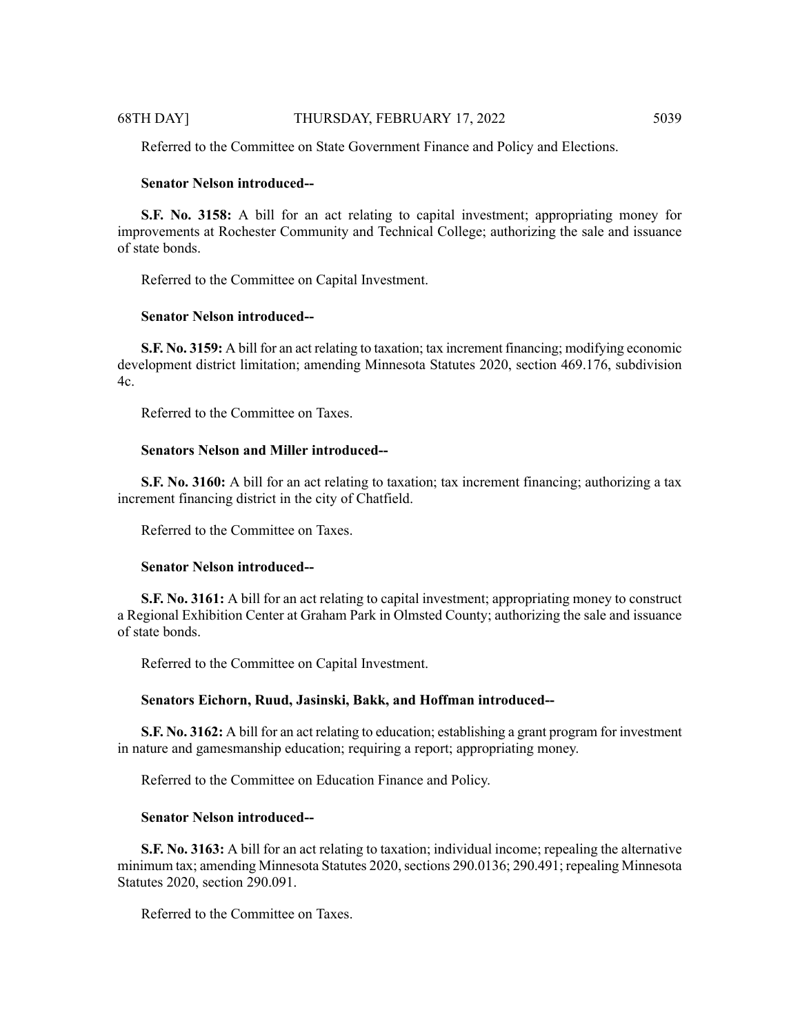# 68TH DAY] THURSDAY, FEBRUARY 17, 2022 5039

Referred to the Committee on State Government Finance and Policy and Elections.

# **Senator Nelson introduced--**

**S.F. No. 3158:** A bill for an act relating to capital investment; appropriating money for improvements at Rochester Community and Technical College; authorizing the sale and issuance of state bonds.

Referred to the Committee on Capital Investment.

# **Senator Nelson introduced--**

**S.F. No. 3159:** A bill for an act relating to taxation; tax increment financing; modifying economic development district limitation; amending Minnesota Statutes 2020, section 469.176, subdivision  $4c$ .

Referred to the Committee on Taxes.

# **Senators Nelson and Miller introduced--**

**S.F. No. 3160:** A bill for an act relating to taxation; tax increment financing; authorizing a tax increment financing district in the city of Chatfield.

Referred to the Committee on Taxes.

# **Senator Nelson introduced--**

**S.F. No. 3161:** A bill for an act relating to capital investment; appropriating money to construct a Regional Exhibition Center at Graham Park in Olmsted County; authorizing the sale and issuance of state bonds.

Referred to the Committee on Capital Investment.

# **Senators Eichorn, Ruud, Jasinski, Bakk, and Hoffman introduced--**

**S.F. No. 3162:** A bill for an act relating to education; establishing a grant program for investment in nature and gamesmanship education; requiring a report; appropriating money.

Referred to the Committee on Education Finance and Policy.

# **Senator Nelson introduced--**

**S.F. No. 3163:** A bill for an act relating to taxation; individual income; repealing the alternative minimum tax; amending Minnesota Statutes 2020, sections 290.0136; 290.491; repealing Minnesota Statutes 2020, section 290.091.

Referred to the Committee on Taxes.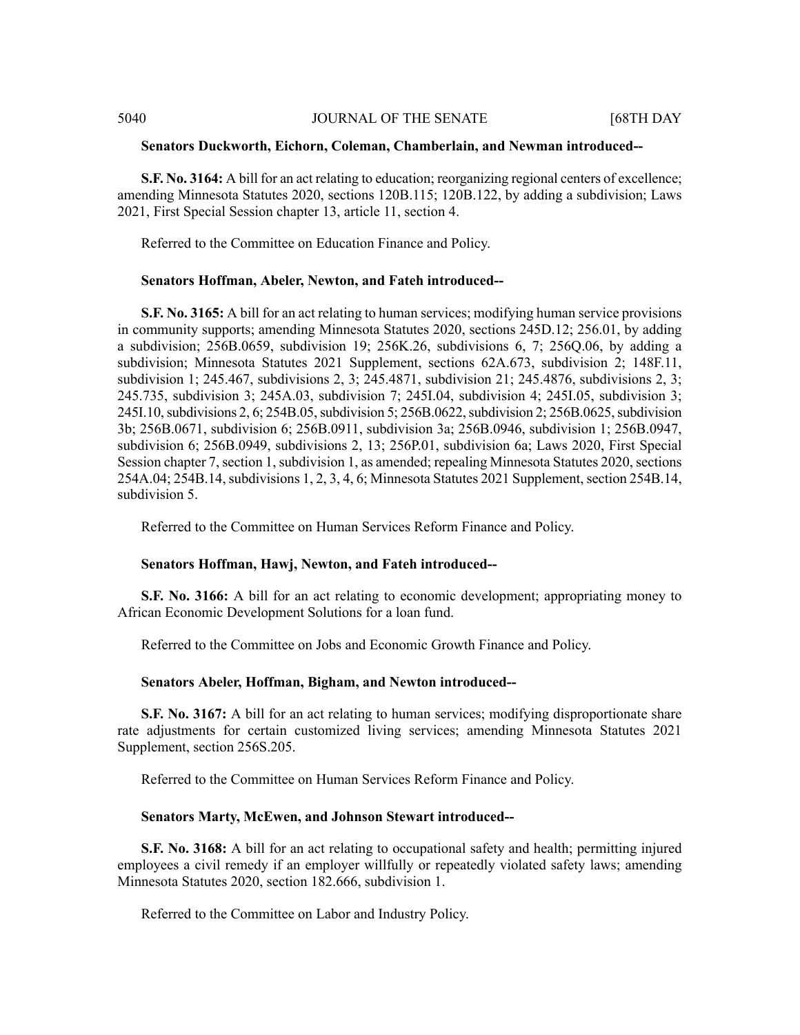#### **Senators Duckworth, Eichorn, Coleman, Chamberlain, and Newman introduced--**

**S.F. No. 3164:** A bill for an act relating to education; reorganizing regional centers of excellence; amending Minnesota Statutes 2020, sections 120B.115; 120B.122, by adding a subdivision; Laws 2021, First Special Session chapter 13, article 11, section 4.

Referred to the Committee on Education Finance and Policy.

#### **Senators Hoffman, Abeler, Newton, and Fateh introduced--**

**S.F. No. 3165:** A bill for an act relating to human services; modifying human service provisions in community supports; amending Minnesota Statutes 2020, sections 245D.12; 256.01, by adding a subdivision; 256B.0659, subdivision 19; 256K.26, subdivisions 6, 7; 256Q.06, by adding a subdivision; Minnesota Statutes 2021 Supplement, sections 62A.673, subdivision 2; 148F.11, subdivision 1; 245.467, subdivisions 2, 3; 245.4871, subdivision 21; 245.4876, subdivisions 2, 3; 245.735, subdivision 3; 245A.03, subdivision 7; 245I.04, subdivision 4; 245I.05, subdivision 3; 245I.10, subdivisions 2, 6; 254B.05, subdivision 5; 256B.0622, subdivision 2; 256B.0625, subdivision 3b; 256B.0671, subdivision 6; 256B.0911, subdivision 3a; 256B.0946, subdivision 1; 256B.0947, subdivision 6; 256B.0949, subdivisions 2, 13; 256P.01, subdivision 6a; Laws 2020, First Special Session chapter 7, section 1, subdivision 1, as amended; repealing Minnesota Statutes 2020, sections 254A.04; 254B.14, subdivisions 1, 2, 3, 4, 6; Minnesota Statutes 2021 Supplement, section 254B.14, subdivision 5.

Referred to the Committee on Human Services Reform Finance and Policy.

#### **Senators Hoffman, Hawj, Newton, and Fateh introduced--**

**S.F. No. 3166:** A bill for an act relating to economic development; appropriating money to African Economic Development Solutions for a loan fund.

Referred to the Committee on Jobs and Economic Growth Finance and Policy.

#### **Senators Abeler, Hoffman, Bigham, and Newton introduced--**

**S.F. No. 3167:** A bill for an act relating to human services; modifying disproportionate share rate adjustments for certain customized living services; amending Minnesota Statutes 2021 Supplement, section 256S.205.

Referred to the Committee on Human Services Reform Finance and Policy.

#### **Senators Marty, McEwen, and Johnson Stewart introduced--**

**S.F. No. 3168:** A bill for an act relating to occupational safety and health; permitting injured employees a civil remedy if an employer willfully or repeatedly violated safety laws; amending Minnesota Statutes 2020, section 182.666, subdivision 1.

Referred to the Committee on Labor and Industry Policy.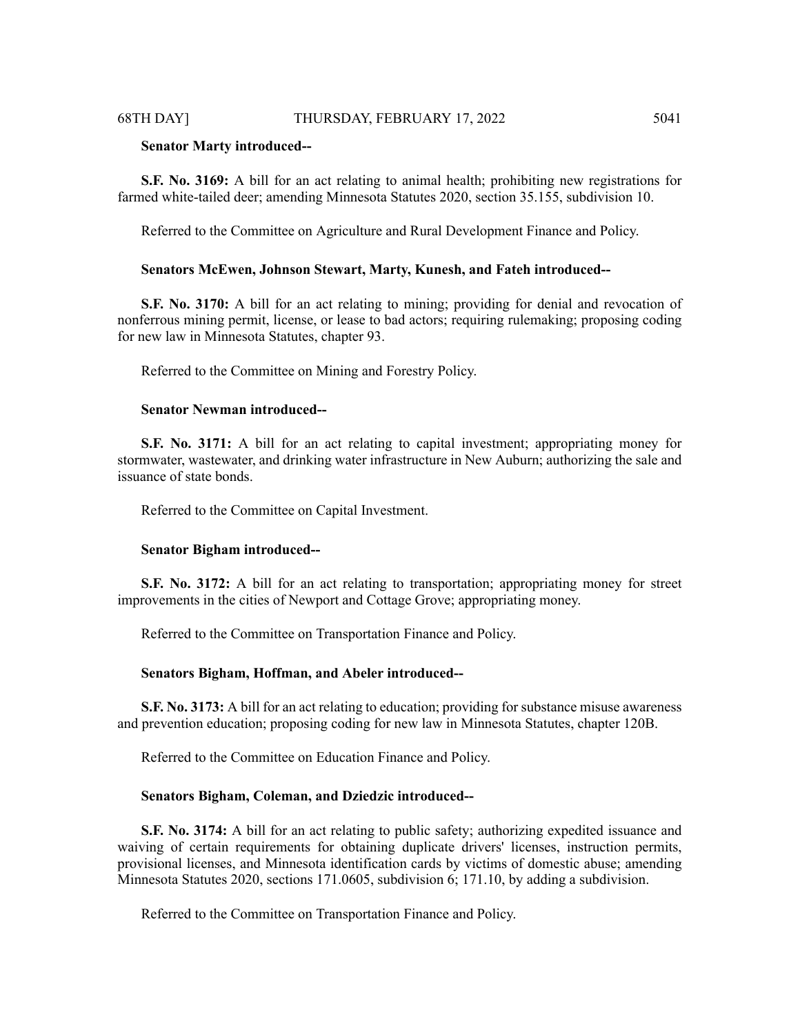#### **Senator Marty introduced--**

**S.F. No. 3169:** A bill for an act relating to animal health; prohibiting new registrations for farmed white-tailed deer; amending Minnesota Statutes 2020, section 35.155, subdivision 10.

Referred to the Committee on Agriculture and Rural Development Finance and Policy.

#### **Senators McEwen, Johnson Stewart, Marty, Kunesh, and Fateh introduced--**

**S.F. No. 3170:** A bill for an act relating to mining; providing for denial and revocation of nonferrous mining permit, license, or lease to bad actors; requiring rulemaking; proposing coding for new law in Minnesota Statutes, chapter 93.

Referred to the Committee on Mining and Forestry Policy.

#### **Senator Newman introduced--**

**S.F. No. 3171:** A bill for an act relating to capital investment; appropriating money for stormwater, wastewater, and drinking water infrastructure in New Auburn; authorizing the sale and issuance of state bonds.

Referred to the Committee on Capital Investment.

#### **Senator Bigham introduced--**

**S.F. No. 3172:** A bill for an act relating to transportation; appropriating money for street improvements in the cities of Newport and Cottage Grove; appropriating money.

Referred to the Committee on Transportation Finance and Policy.

#### **Senators Bigham, Hoffman, and Abeler introduced--**

**S.F. No. 3173:** A bill for an act relating to education; providing for substance misuse awareness and prevention education; proposing coding for new law in Minnesota Statutes, chapter 120B.

Referred to the Committee on Education Finance and Policy.

#### **Senators Bigham, Coleman, and Dziedzic introduced--**

**S.F. No. 3174:** A bill for an act relating to public safety; authorizing expedited issuance and waiving of certain requirements for obtaining duplicate drivers' licenses, instruction permits, provisional licenses, and Minnesota identification cards by victims of domestic abuse; amending Minnesota Statutes 2020, sections 171.0605, subdivision 6; 171.10, by adding a subdivision.

Referred to the Committee on Transportation Finance and Policy.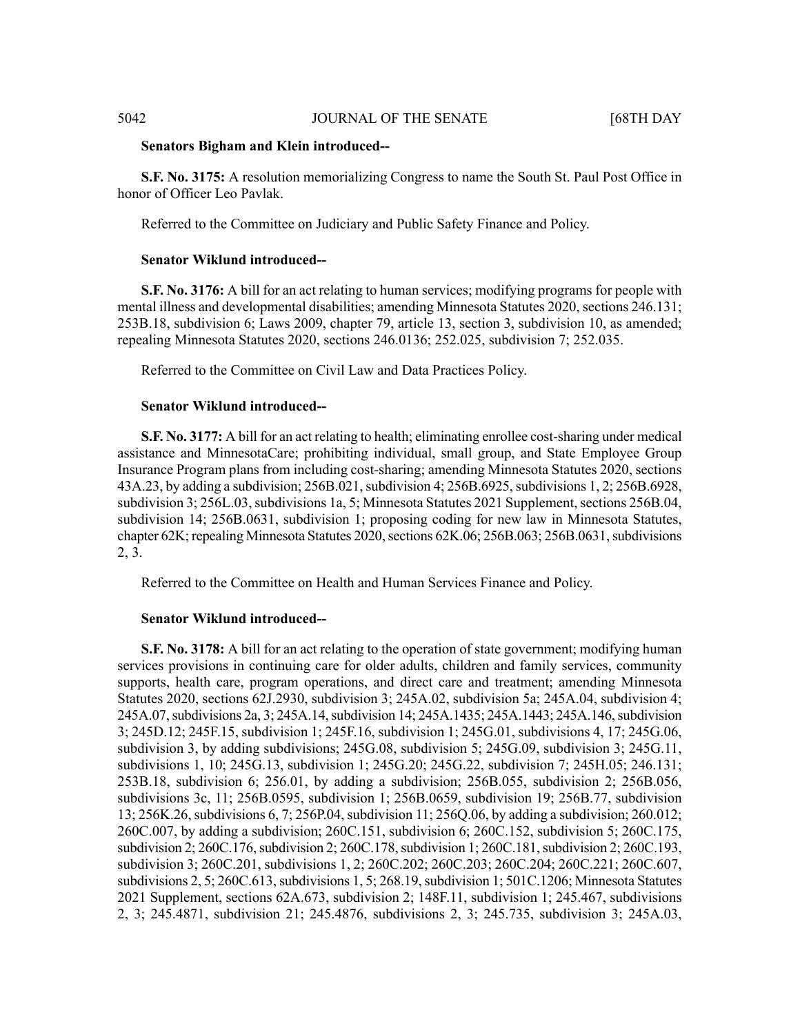#### **Senators Bigham and Klein introduced--**

**S.F. No. 3175:** A resolution memorializing Congress to name the South St. Paul Post Office in honor of Officer Leo Pavlak.

Referred to the Committee on Judiciary and Public Safety Finance and Policy.

# **Senator Wiklund introduced--**

**S.F. No. 3176:** A bill for an act relating to human services; modifying programs for people with mental illness and developmental disabilities; amending Minnesota Statutes 2020, sections 246.131; 253B.18, subdivision 6; Laws 2009, chapter 79, article 13, section 3, subdivision 10, as amended; repealing Minnesota Statutes 2020, sections 246.0136; 252.025, subdivision 7; 252.035.

Referred to the Committee on Civil Law and Data Practices Policy.

#### **Senator Wiklund introduced--**

**S.F. No. 3177:** A bill for an act relating to health; eliminating enrollee cost-sharing under medical assistance and MinnesotaCare; prohibiting individual, small group, and State Employee Group Insurance Program plans from including cost-sharing; amending Minnesota Statutes 2020, sections 43A.23, by adding a subdivision; 256B.021, subdivision 4; 256B.6925, subdivisions 1, 2; 256B.6928, subdivision 3; 256L.03, subdivisions 1a, 5; Minnesota Statutes 2021 Supplement, sections 256B.04, subdivision 14; 256B.0631, subdivision 1; proposing coding for new law in Minnesota Statutes, chapter 62K; repealing Minnesota Statutes 2020, sections 62K.06; 256B.063; 256B.0631, subdivisions 2, 3.

Referred to the Committee on Health and Human Services Finance and Policy.

# **Senator Wiklund introduced--**

**S.F. No. 3178:** A bill for an act relating to the operation of state government; modifying human services provisions in continuing care for older adults, children and family services, community supports, health care, program operations, and direct care and treatment; amending Minnesota Statutes 2020, sections 62J.2930, subdivision 3; 245A.02, subdivision 5a; 245A.04, subdivision 4; 245A.07, subdivisions 2a, 3; 245A.14, subdivision 14; 245A.1435; 245A.1443; 245A.146, subdivision 3; 245D.12; 245F.15, subdivision 1; 245F.16, subdivision 1; 245G.01, subdivisions 4, 17; 245G.06, subdivision 3, by adding subdivisions; 245G.08, subdivision 5; 245G.09, subdivision 3; 245G.11, subdivisions 1, 10; 245G.13, subdivision 1; 245G.20; 245G.22, subdivision 7; 245H.05; 246.131; 253B.18, subdivision 6; 256.01, by adding a subdivision; 256B.055, subdivision 2; 256B.056, subdivisions 3c, 11; 256B.0595, subdivision 1; 256B.0659, subdivision 19; 256B.77, subdivision 13; 256K.26, subdivisions 6, 7; 256P.04, subdivision 11; 256Q.06, by adding a subdivision; 260.012; 260C.007, by adding a subdivision; 260C.151, subdivision 6; 260C.152, subdivision 5; 260C.175, subdivision 2; 260C.176, subdivision 2; 260C.178, subdivision 1; 260C.181, subdivision 2; 260C.193, subdivision 3; 260C.201, subdivisions 1, 2; 260C.202; 260C.203; 260C.204; 260C.221; 260C.607, subdivisions 2, 5; 260C.613, subdivisions 1, 5; 268.19, subdivision 1; 501C.1206; Minnesota Statutes 2021 Supplement, sections 62A.673, subdivision 2; 148F.11, subdivision 1; 245.467, subdivisions 2, 3; 245.4871, subdivision 21; 245.4876, subdivisions 2, 3; 245.735, subdivision 3; 245A.03,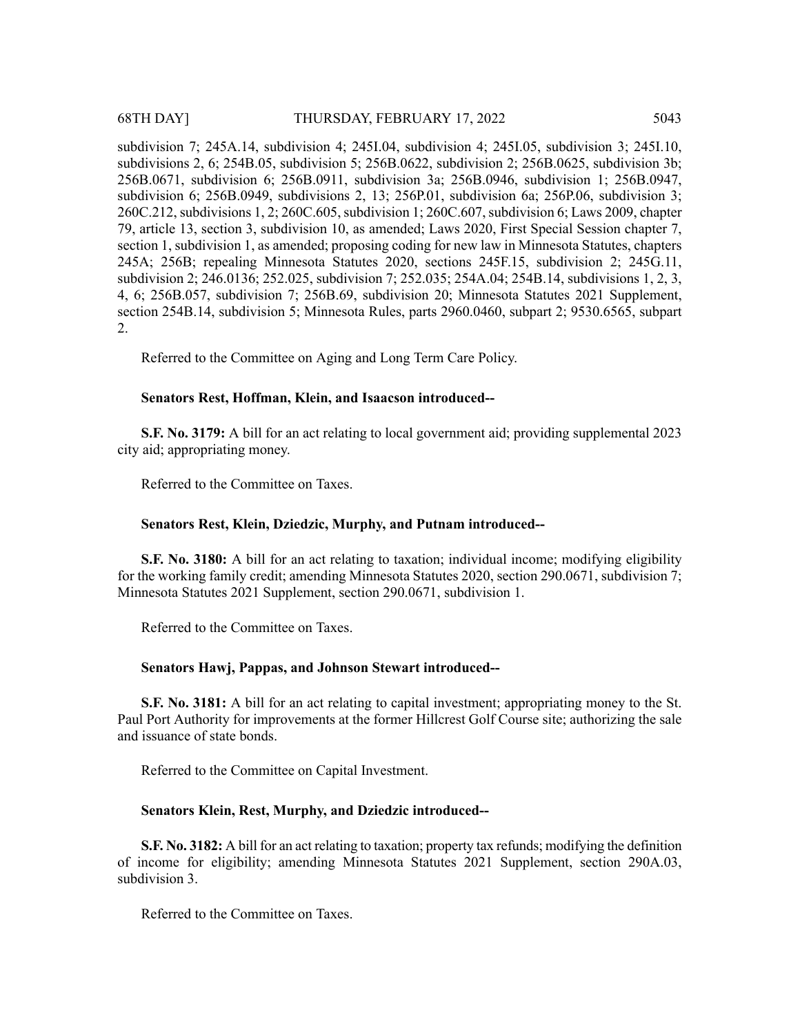subdivision 7; 245A.14, subdivision 4; 245I.04, subdivision 4; 245I.05, subdivision 3; 245I.10, subdivisions 2, 6; 254B.05, subdivision 5; 256B.0622, subdivision 2; 256B.0625, subdivision 3b; 256B.0671, subdivision 6; 256B.0911, subdivision 3a; 256B.0946, subdivision 1; 256B.0947, subdivision 6; 256B.0949, subdivisions 2, 13; 256P.01, subdivision 6a; 256P.06, subdivision 3; 260C.212, subdivisions 1, 2; 260C.605, subdivision 1; 260C.607, subdivision 6; Laws 2009, chapter 79, article 13, section 3, subdivision 10, as amended; Laws 2020, First Special Session chapter 7, section 1, subdivision 1, as amended; proposing coding for new law in Minnesota Statutes, chapters 245A; 256B; repealing Minnesota Statutes 2020, sections 245F.15, subdivision 2; 245G.11, subdivision 2; 246.0136; 252.025, subdivision 7; 252.035; 254A.04; 254B.14, subdivisions 1, 2, 3, 4, 6; 256B.057, subdivision 7; 256B.69, subdivision 20; Minnesota Statutes 2021 Supplement, section 254B.14, subdivision 5; Minnesota Rules, parts 2960.0460, subpart 2; 9530.6565, subpart 2.

Referred to the Committee on Aging and Long Term Care Policy.

# **Senators Rest, Hoffman, Klein, and Isaacson introduced--**

**S.F. No. 3179:** A bill for an act relating to local government aid; providing supplemental 2023 city aid; appropriating money.

Referred to the Committee on Taxes.

# **Senators Rest, Klein, Dziedzic, Murphy, and Putnam introduced--**

**S.F. No. 3180:** A bill for an act relating to taxation; individual income; modifying eligibility for the working family credit; amending Minnesota Statutes 2020, section 290.0671, subdivision 7; Minnesota Statutes 2021 Supplement, section 290.0671, subdivision 1.

Referred to the Committee on Taxes.

#### **Senators Hawj, Pappas, and Johnson Stewart introduced--**

**S.F. No. 3181:** A bill for an act relating to capital investment; appropriating money to the St. Paul Port Authority for improvements at the former Hillcrest Golf Course site; authorizing the sale and issuance of state bonds.

Referred to the Committee on Capital Investment.

#### **Senators Klein, Rest, Murphy, and Dziedzic introduced--**

**S.F. No. 3182:** A bill for an act relating to taxation; property tax refunds; modifying the definition of income for eligibility; amending Minnesota Statutes 2021 Supplement, section 290A.03, subdivision 3.

Referred to the Committee on Taxes.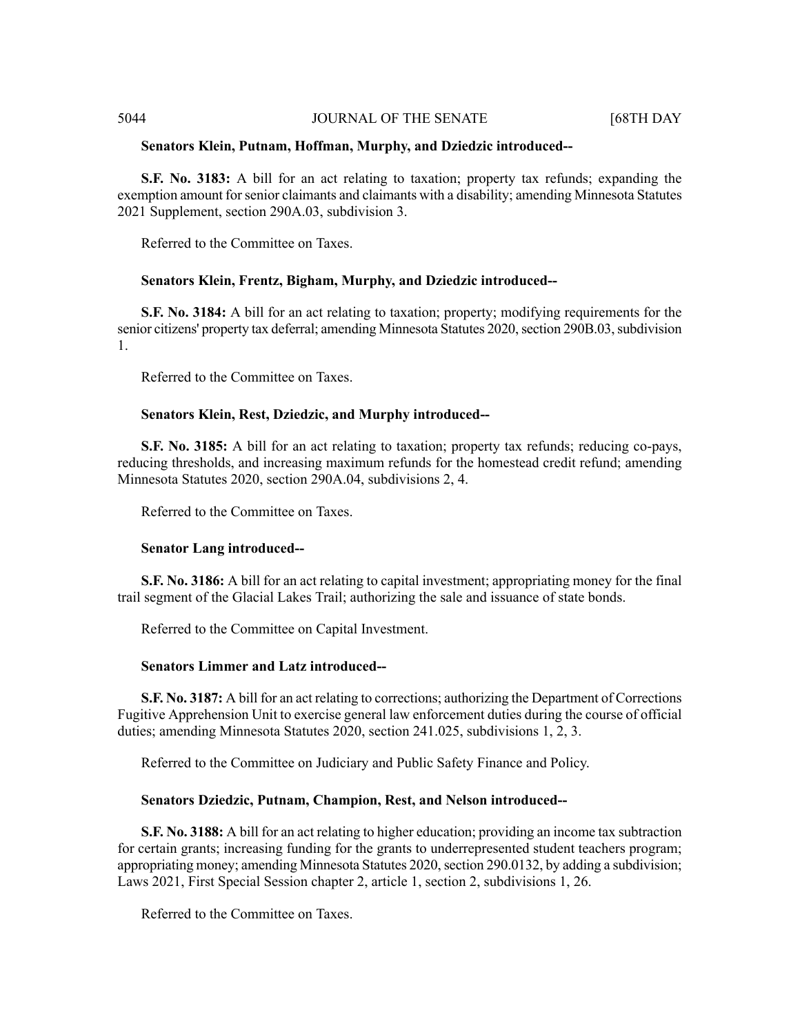#### **Senators Klein, Putnam, Hoffman, Murphy, and Dziedzic introduced--**

**S.F. No. 3183:** A bill for an act relating to taxation; property tax refunds; expanding the exemption amount forsenior claimants and claimants with a disability; amending Minnesota Statutes 2021 Supplement, section 290A.03, subdivision 3.

Referred to the Committee on Taxes.

# **Senators Klein, Frentz, Bigham, Murphy, and Dziedzic introduced--**

**S.F. No. 3184:** A bill for an act relating to taxation; property; modifying requirements for the senior citizens' property tax deferral; amending Minnesota Statutes 2020, section 290B.03, subdivision 1.

Referred to the Committee on Taxes.

#### **Senators Klein, Rest, Dziedzic, and Murphy introduced--**

**S.F. No. 3185:** A bill for an act relating to taxation; property tax refunds; reducing co-pays, reducing thresholds, and increasing maximum refunds for the homestead credit refund; amending Minnesota Statutes 2020, section 290A.04, subdivisions 2, 4.

Referred to the Committee on Taxes.

# **Senator Lang introduced--**

**S.F. No. 3186:** A bill for an act relating to capital investment; appropriating money for the final trail segment of the Glacial Lakes Trail; authorizing the sale and issuance of state bonds.

Referred to the Committee on Capital Investment.

# **Senators Limmer and Latz introduced--**

**S.F. No. 3187:** A bill for an act relating to corrections; authorizing the Department of Corrections Fugitive Apprehension Unit to exercise general law enforcement duties during the course of official duties; amending Minnesota Statutes 2020, section 241.025, subdivisions 1, 2, 3.

Referred to the Committee on Judiciary and Public Safety Finance and Policy.

### **Senators Dziedzic, Putnam, Champion, Rest, and Nelson introduced--**

**S.F. No. 3188:** A bill for an act relating to higher education; providing an income tax subtraction for certain grants; increasing funding for the grants to underrepresented student teachers program; appropriating money; amending Minnesota Statutes 2020, section 290.0132, by adding a subdivision; Laws 2021, First Special Session chapter 2, article 1, section 2, subdivisions 1, 26.

Referred to the Committee on Taxes.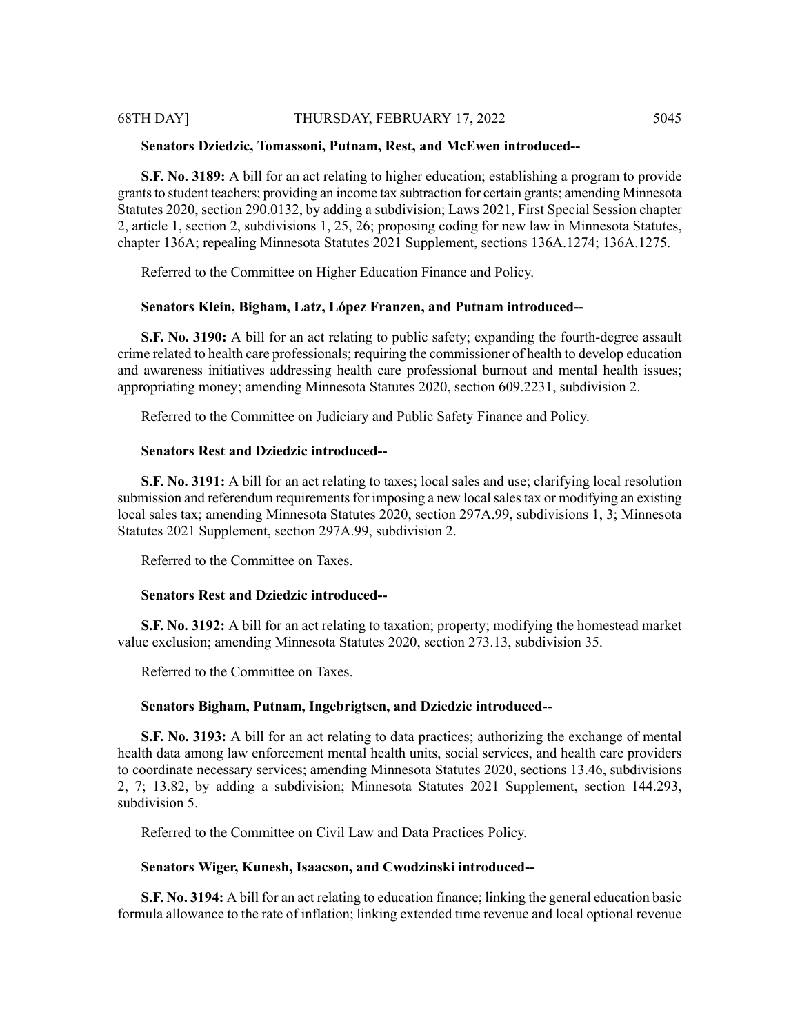# 68TH DAY] THURSDAY, FEBRUARY 17, 2022 5045

#### **Senators Dziedzic, Tomassoni, Putnam, Rest, and McEwen introduced--**

**S.F. No. 3189:** A bill for an act relating to higher education; establishing a program to provide grants to student teachers; providing an income tax subtraction for certain grants; amending Minnesota Statutes 2020, section 290.0132, by adding a subdivision; Laws 2021, First Special Session chapter 2, article 1, section 2, subdivisions 1, 25, 26; proposing coding for new law in Minnesota Statutes, chapter 136A; repealing Minnesota Statutes 2021 Supplement, sections 136A.1274; 136A.1275.

Referred to the Committee on Higher Education Finance and Policy.

#### **Senators Klein, Bigham, Latz, López Franzen, and Putnam introduced--**

**S.F. No. 3190:** A bill for an act relating to public safety; expanding the fourth-degree assault crime related to health care professionals; requiring the commissioner of health to develop education and awareness initiatives addressing health care professional burnout and mental health issues; appropriating money; amending Minnesota Statutes 2020, section 609.2231, subdivision 2.

Referred to the Committee on Judiciary and Public Safety Finance and Policy.

#### **Senators Rest and Dziedzic introduced--**

**S.F. No. 3191:** A bill for an act relating to taxes; local sales and use; clarifying local resolution submission and referendum requirements for imposing a new local sales tax or modifying an existing local sales tax; amending Minnesota Statutes 2020, section 297A.99, subdivisions 1, 3; Minnesota Statutes 2021 Supplement, section 297A.99, subdivision 2.

Referred to the Committee on Taxes.

#### **Senators Rest and Dziedzic introduced--**

**S.F. No. 3192:** A bill for an act relating to taxation; property; modifying the homestead market value exclusion; amending Minnesota Statutes 2020, section 273.13, subdivision 35.

Referred to the Committee on Taxes.

### **Senators Bigham, Putnam, Ingebrigtsen, and Dziedzic introduced--**

**S.F. No. 3193:** A bill for an act relating to data practices; authorizing the exchange of mental health data among law enforcement mental health units, social services, and health care providers to coordinate necessary services; amending Minnesota Statutes 2020, sections 13.46, subdivisions 2, 7; 13.82, by adding a subdivision; Minnesota Statutes 2021 Supplement, section 144.293, subdivision 5.

Referred to the Committee on Civil Law and Data Practices Policy.

#### **Senators Wiger, Kunesh, Isaacson, and Cwodzinski introduced--**

**S.F. No. 3194:** A bill for an act relating to education finance; linking the general education basic formula allowance to the rate of inflation; linking extended time revenue and local optional revenue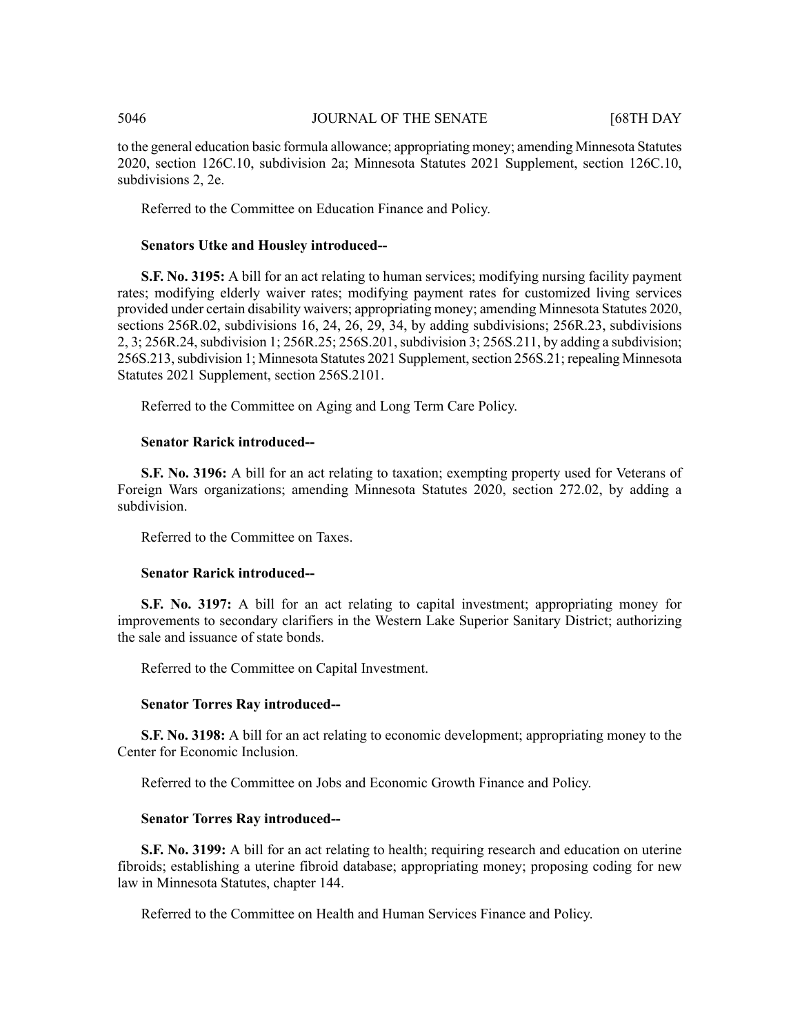to the general education basic formula allowance; appropriating money; amending Minnesota Statutes 2020, section 126C.10, subdivision 2a; Minnesota Statutes 2021 Supplement, section 126C.10, subdivisions 2, 2e.

Referred to the Committee on Education Finance and Policy.

#### **Senators Utke and Housley introduced--**

**S.F. No. 3195:** A bill for an act relating to human services; modifying nursing facility payment rates; modifying elderly waiver rates; modifying payment rates for customized living services provided under certain disability waivers; appropriating money; amending Minnesota Statutes 2020, sections 256R.02, subdivisions 16, 24, 26, 29, 34, by adding subdivisions; 256R.23, subdivisions 2, 3; 256R.24, subdivision 1; 256R.25; 256S.201, subdivision 3; 256S.211, by adding a subdivision; 256S.213, subdivision 1; Minnesota Statutes 2021 Supplement, section 256S.21; repealing Minnesota Statutes 2021 Supplement, section 256S.2101.

Referred to the Committee on Aging and Long Term Care Policy.

#### **Senator Rarick introduced--**

**S.F. No. 3196:** A bill for an act relating to taxation; exempting property used for Veterans of Foreign Wars organizations; amending Minnesota Statutes 2020, section 272.02, by adding a subdivision.

Referred to the Committee on Taxes.

#### **Senator Rarick introduced--**

**S.F. No. 3197:** A bill for an act relating to capital investment; appropriating money for improvements to secondary clarifiers in the Western Lake Superior Sanitary District; authorizing the sale and issuance of state bonds.

Referred to the Committee on Capital Investment.

#### **Senator Torres Ray introduced--**

**S.F. No. 3198:** A bill for an act relating to economic development; appropriating money to the Center for Economic Inclusion.

Referred to the Committee on Jobs and Economic Growth Finance and Policy.

#### **Senator Torres Ray introduced--**

**S.F. No. 3199:** A bill for an act relating to health; requiring research and education on uterine fibroids; establishing a uterine fibroid database; appropriating money; proposing coding for new law in Minnesota Statutes, chapter 144.

Referred to the Committee on Health and Human Services Finance and Policy.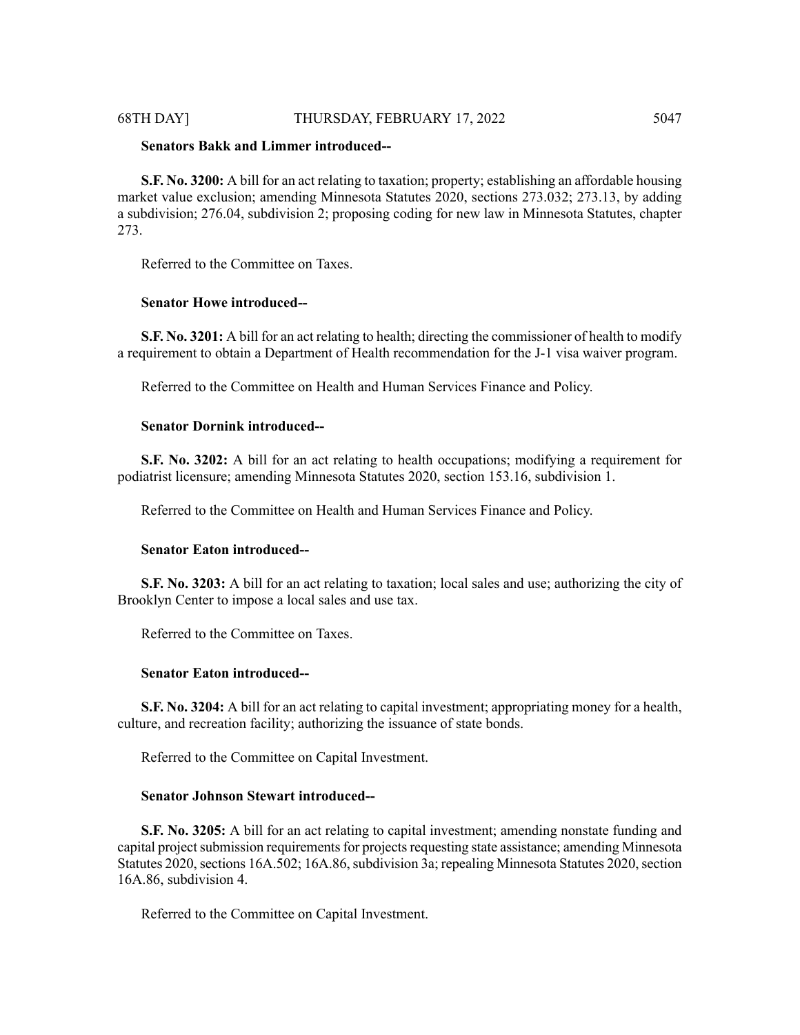# 68TH DAY] THURSDAY, FEBRUARY 17, 2022 5047

# **Senators Bakk and Limmer introduced--**

**S.F. No. 3200:** A bill for an act relating to taxation; property; establishing an affordable housing market value exclusion; amending Minnesota Statutes 2020, sections 273.032; 273.13, by adding a subdivision; 276.04, subdivision 2; proposing coding for new law in Minnesota Statutes, chapter 273.

Referred to the Committee on Taxes.

### **Senator Howe introduced--**

**S.F. No. 3201:** A bill for an act relating to health; directing the commissioner of health to modify a requirement to obtain a Department of Health recommendation for the J-1 visa waiver program.

Referred to the Committee on Health and Human Services Finance and Policy.

# **Senator Dornink introduced--**

**S.F. No. 3202:** A bill for an act relating to health occupations; modifying a requirement for podiatrist licensure; amending Minnesota Statutes 2020, section 153.16, subdivision 1.

Referred to the Committee on Health and Human Services Finance and Policy.

#### **Senator Eaton introduced--**

**S.F. No. 3203:** A bill for an act relating to taxation; local sales and use; authorizing the city of Brooklyn Center to impose a local sales and use tax.

Referred to the Committee on Taxes.

#### **Senator Eaton introduced--**

**S.F. No. 3204:** A bill for an act relating to capital investment; appropriating money for a health, culture, and recreation facility; authorizing the issuance of state bonds.

Referred to the Committee on Capital Investment.

#### **Senator Johnson Stewart introduced--**

**S.F. No. 3205:** A bill for an act relating to capital investment; amending nonstate funding and capital project submission requirements for projects requesting state assistance; amending Minnesota Statutes 2020, sections 16A.502; 16A.86, subdivision 3a; repealing Minnesota Statutes 2020, section 16A.86, subdivision 4.

Referred to the Committee on Capital Investment.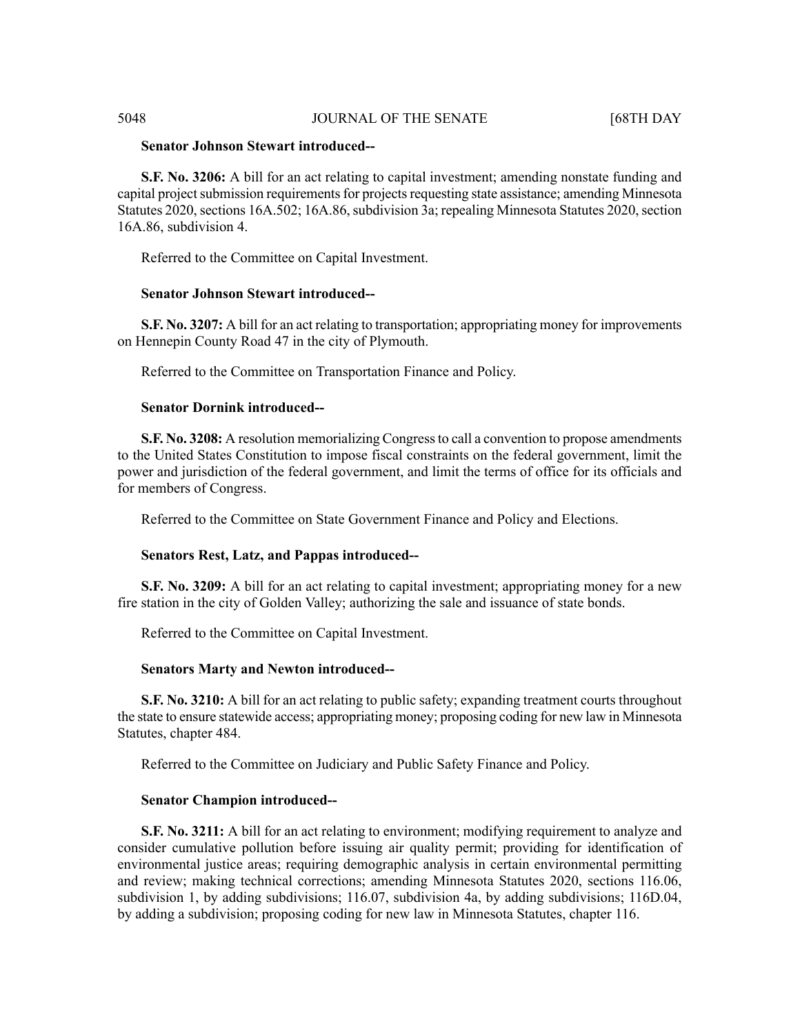# **Senator Johnson Stewart introduced--**

**S.F. No. 3206:** A bill for an act relating to capital investment; amending nonstate funding and capital project submission requirements for projects requesting state assistance; amending Minnesota Statutes 2020, sections 16A.502; 16A.86, subdivision 3a; repealing Minnesota Statutes 2020, section 16A.86, subdivision 4.

Referred to the Committee on Capital Investment.

#### **Senator Johnson Stewart introduced--**

**S.F. No. 3207:** A bill for an act relating to transportation; appropriating money for improvements on Hennepin County Road 47 in the city of Plymouth.

Referred to the Committee on Transportation Finance and Policy.

#### **Senator Dornink introduced--**

**S.F. No. 3208:** A resolution memorializing Congressto call a convention to propose amendments to the United States Constitution to impose fiscal constraints on the federal government, limit the power and jurisdiction of the federal government, and limit the terms of office for its officials and for members of Congress.

Referred to the Committee on State Government Finance and Policy and Elections.

# **Senators Rest, Latz, and Pappas introduced--**

**S.F. No. 3209:** A bill for an act relating to capital investment; appropriating money for a new fire station in the city of Golden Valley; authorizing the sale and issuance of state bonds.

Referred to the Committee on Capital Investment.

#### **Senators Marty and Newton introduced--**

**S.F. No. 3210:** A bill for an act relating to public safety; expanding treatment courts throughout the state to ensure statewide access; appropriating money; proposing coding for new law in Minnesota Statutes, chapter 484.

Referred to the Committee on Judiciary and Public Safety Finance and Policy.

#### **Senator Champion introduced--**

**S.F. No. 3211:** A bill for an act relating to environment; modifying requirement to analyze and consider cumulative pollution before issuing air quality permit; providing for identification of environmental justice areas; requiring demographic analysis in certain environmental permitting and review; making technical corrections; amending Minnesota Statutes 2020, sections 116.06, subdivision 1, by adding subdivisions; 116.07, subdivision 4a, by adding subdivisions; 116D.04, by adding a subdivision; proposing coding for new law in Minnesota Statutes, chapter 116.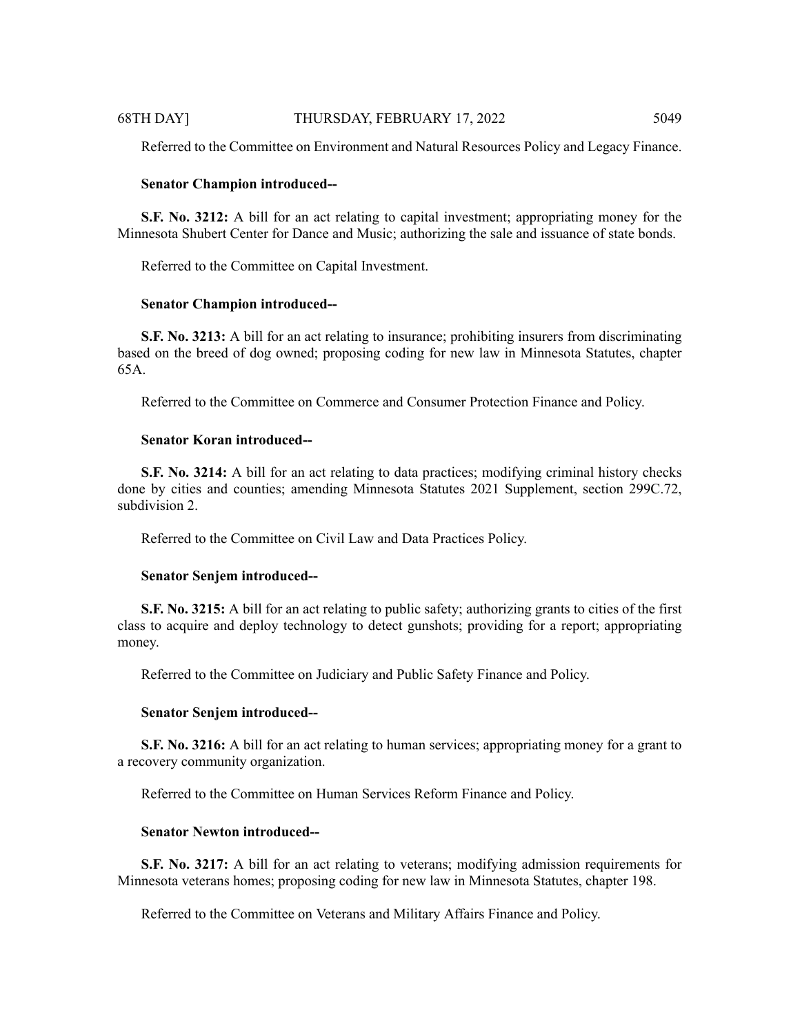Referred to the Committee on Environment and Natural Resources Policy and Legacy Finance.

#### **Senator Champion introduced--**

**S.F. No. 3212:** A bill for an act relating to capital investment; appropriating money for the Minnesota Shubert Center for Dance and Music; authorizing the sale and issuance of state bonds.

Referred to the Committee on Capital Investment.

#### **Senator Champion introduced--**

**S.F. No. 3213:** A bill for an act relating to insurance; prohibiting insurers from discriminating based on the breed of dog owned; proposing coding for new law in Minnesota Statutes, chapter 65A.

Referred to the Committee on Commerce and Consumer Protection Finance and Policy.

#### **Senator Koran introduced--**

**S.F. No. 3214:** A bill for an act relating to data practices; modifying criminal history checks done by cities and counties; amending Minnesota Statutes 2021 Supplement, section 299C.72, subdivision 2.

Referred to the Committee on Civil Law and Data Practices Policy.

#### **Senator Senjem introduced--**

**S.F. No. 3215:** A bill for an act relating to public safety; authorizing grants to cities of the first class to acquire and deploy technology to detect gunshots; providing for a report; appropriating money.

Referred to the Committee on Judiciary and Public Safety Finance and Policy.

#### **Senator Senjem introduced--**

**S.F. No. 3216:** A bill for an act relating to human services; appropriating money for a grant to a recovery community organization.

Referred to the Committee on Human Services Reform Finance and Policy.

#### **Senator Newton introduced--**

**S.F. No. 3217:** A bill for an act relating to veterans; modifying admission requirements for Minnesota veterans homes; proposing coding for new law in Minnesota Statutes, chapter 198.

Referred to the Committee on Veterans and Military Affairs Finance and Policy.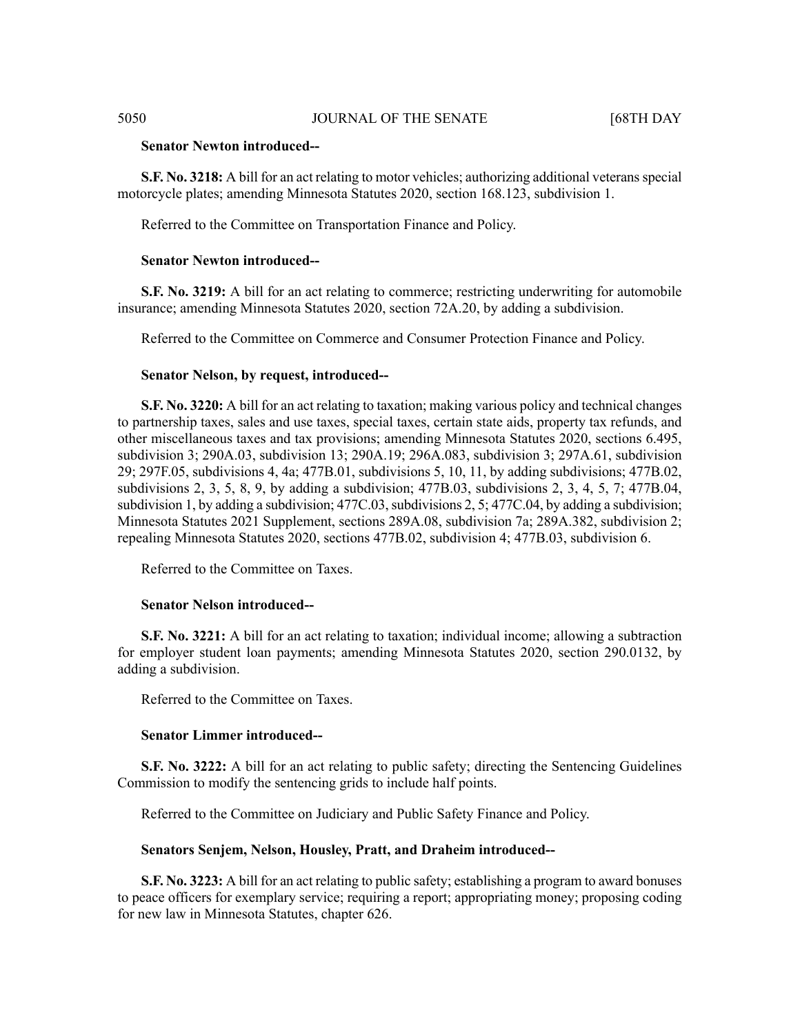# **Senator Newton introduced--**

**S.F. No. 3218:** A bill for an act relating to motor vehicles; authorizing additional veteransspecial motorcycle plates; amending Minnesota Statutes 2020, section 168.123, subdivision 1.

Referred to the Committee on Transportation Finance and Policy.

# **Senator Newton introduced--**

**S.F. No. 3219:** A bill for an act relating to commerce; restricting underwriting for automobile insurance; amending Minnesota Statutes 2020, section 72A.20, by adding a subdivision.

Referred to the Committee on Commerce and Consumer Protection Finance and Policy.

### **Senator Nelson, by request, introduced--**

**S.F. No. 3220:** A bill for an act relating to taxation; making various policy and technical changes to partnership taxes, sales and use taxes, special taxes, certain state aids, property tax refunds, and other miscellaneous taxes and tax provisions; amending Minnesota Statutes 2020, sections 6.495, subdivision 3; 290A.03, subdivision 13; 290A.19; 296A.083, subdivision 3; 297A.61, subdivision 29; 297F.05, subdivisions 4, 4a; 477B.01, subdivisions 5, 10, 11, by adding subdivisions; 477B.02, subdivisions 2, 3, 5, 8, 9, by adding a subdivision; 477B.03, subdivisions 2, 3, 4, 5, 7; 477B.04, subdivision 1, by adding a subdivision;  $477C.03$ , subdivisions 2, 5;  $477C.04$ , by adding a subdivision; Minnesota Statutes 2021 Supplement, sections 289A.08, subdivision 7a; 289A.382, subdivision 2; repealing Minnesota Statutes 2020, sections 477B.02, subdivision 4; 477B.03, subdivision 6.

Referred to the Committee on Taxes.

#### **Senator Nelson introduced--**

**S.F. No. 3221:** A bill for an act relating to taxation; individual income; allowing a subtraction for employer student loan payments; amending Minnesota Statutes 2020, section 290.0132, by adding a subdivision.

Referred to the Committee on Taxes.

### **Senator Limmer introduced--**

**S.F. No. 3222:** A bill for an act relating to public safety; directing the Sentencing Guidelines Commission to modify the sentencing grids to include half points.

Referred to the Committee on Judiciary and Public Safety Finance and Policy.

#### **Senators Senjem, Nelson, Housley, Pratt, and Draheim introduced--**

**S.F. No. 3223:** A bill for an act relating to public safety; establishing a program to award bonuses to peace officers for exemplary service; requiring a report; appropriating money; proposing coding for new law in Minnesota Statutes, chapter 626.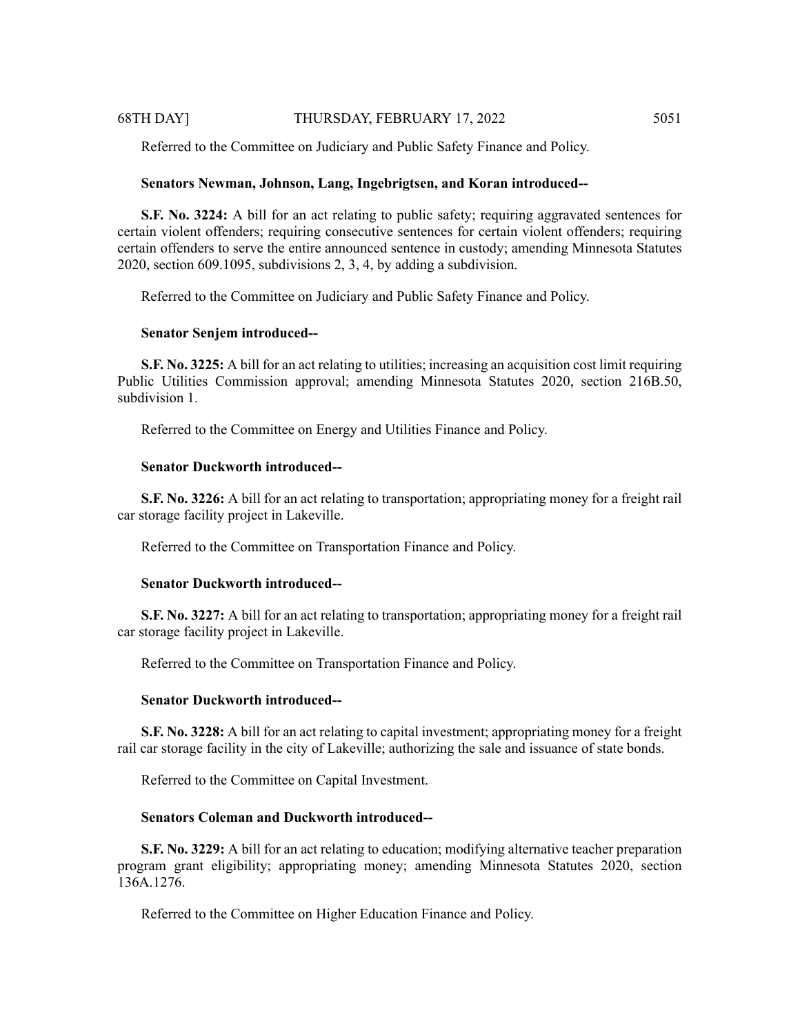Referred to the Committee on Judiciary and Public Safety Finance and Policy.

# **Senators Newman, Johnson, Lang, Ingebrigtsen, and Koran introduced--**

**S.F. No. 3224:** A bill for an act relating to public safety; requiring aggravated sentences for certain violent offenders; requiring consecutive sentences for certain violent offenders; requiring certain offenders to serve the entire announced sentence in custody; amending Minnesota Statutes 2020, section 609.1095, subdivisions 2, 3, 4, by adding a subdivision.

Referred to the Committee on Judiciary and Public Safety Finance and Policy.

# **Senator Senjem introduced--**

**S.F. No. 3225:** A bill for an act relating to utilities; increasing an acquisition cost limit requiring Public Utilities Commission approval; amending Minnesota Statutes 2020, section 216B.50, subdivision 1.

Referred to the Committee on Energy and Utilities Finance and Policy.

# **Senator Duckworth introduced--**

**S.F. No. 3226:** A bill for an act relating to transportation; appropriating money for a freight rail car storage facility project in Lakeville.

Referred to the Committee on Transportation Finance and Policy.

# **Senator Duckworth introduced--**

**S.F. No. 3227:** A bill for an act relating to transportation; appropriating money for a freight rail car storage facility project in Lakeville.

Referred to the Committee on Transportation Finance and Policy.

# **Senator Duckworth introduced--**

**S.F. No. 3228:** A bill for an act relating to capital investment; appropriating money for a freight rail car storage facility in the city of Lakeville; authorizing the sale and issuance of state bonds.

Referred to the Committee on Capital Investment.

# **Senators Coleman and Duckworth introduced--**

**S.F. No. 3229:** A bill for an act relating to education; modifying alternative teacher preparation program grant eligibility; appropriating money; amending Minnesota Statutes 2020, section 136A.1276.

Referred to the Committee on Higher Education Finance and Policy.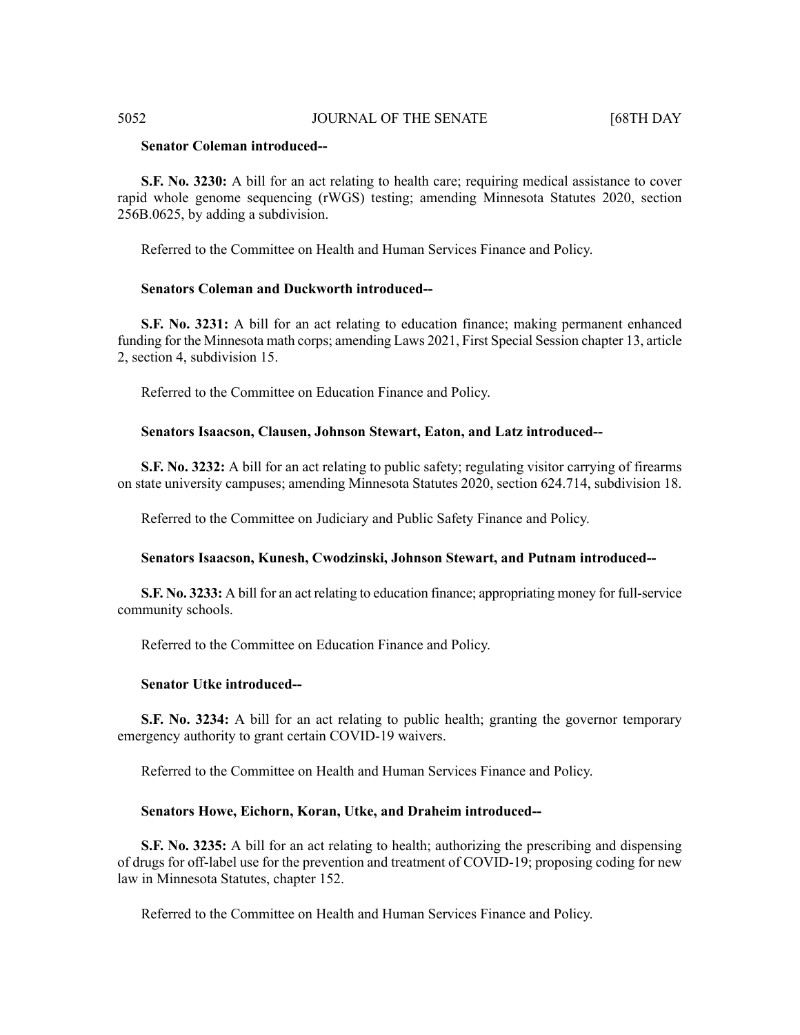# **Senator Coleman introduced--**

**S.F. No. 3230:** A bill for an act relating to health care; requiring medical assistance to cover rapid whole genome sequencing (rWGS) testing; amending Minnesota Statutes 2020, section 256B.0625, by adding a subdivision.

Referred to the Committee on Health and Human Services Finance and Policy.

# **Senators Coleman and Duckworth introduced--**

**S.F. No. 3231:** A bill for an act relating to education finance; making permanent enhanced funding for the Minnesota math corps; amending Laws 2021, First Special Session chapter 13, article 2, section 4, subdivision 15.

Referred to the Committee on Education Finance and Policy.

#### **Senators Isaacson, Clausen, Johnson Stewart, Eaton, and Latz introduced--**

**S.F. No. 3232:** A bill for an act relating to public safety; regulating visitor carrying of firearms on state university campuses; amending Minnesota Statutes 2020, section 624.714, subdivision 18.

Referred to the Committee on Judiciary and Public Safety Finance and Policy.

#### **Senators Isaacson, Kunesh, Cwodzinski, Johnson Stewart, and Putnam introduced--**

**S.F. No. 3233:** A bill for an act relating to education finance; appropriating money for full-service community schools.

Referred to the Committee on Education Finance and Policy.

# **Senator Utke introduced--**

**S.F. No. 3234:** A bill for an act relating to public health; granting the governor temporary emergency authority to grant certain COVID-19 waivers.

Referred to the Committee on Health and Human Services Finance and Policy.

#### **Senators Howe, Eichorn, Koran, Utke, and Draheim introduced--**

**S.F. No. 3235:** A bill for an act relating to health; authorizing the prescribing and dispensing of drugs for off-label use for the prevention and treatment of COVID-19; proposing coding for new law in Minnesota Statutes, chapter 152.

Referred to the Committee on Health and Human Services Finance and Policy.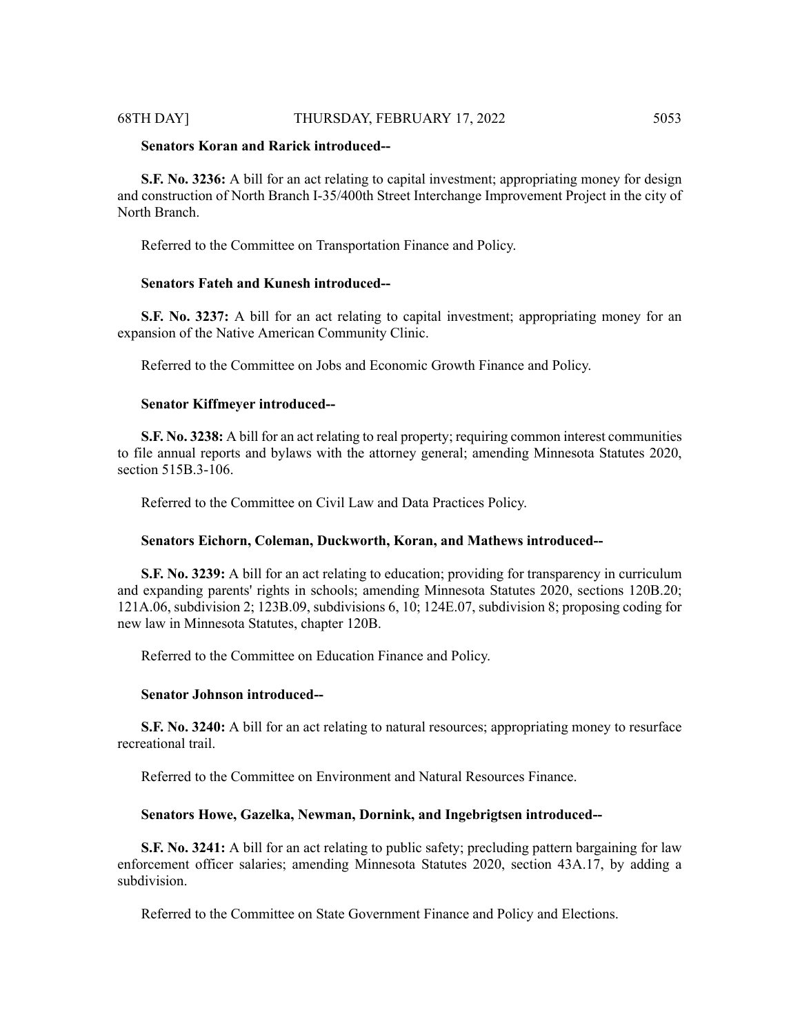# 68TH DAY] THURSDAY, FEBRUARY 17, 2022 5053

# **Senators Koran and Rarick introduced--**

**S.F. No. 3236:** A bill for an act relating to capital investment; appropriating money for design and construction of North Branch I-35/400th Street Interchange Improvement Project in the city of North Branch.

Referred to the Committee on Transportation Finance and Policy.

# **Senators Fateh and Kunesh introduced--**

**S.F. No. 3237:** A bill for an act relating to capital investment; appropriating money for an expansion of the Native American Community Clinic.

Referred to the Committee on Jobs and Economic Growth Finance and Policy.

#### **Senator Kiffmeyer introduced--**

**S.F. No. 3238:** A bill for an act relating to real property; requiring common interest communities to file annual reports and bylaws with the attorney general; amending Minnesota Statutes 2020, section 515B.3-106.

Referred to the Committee on Civil Law and Data Practices Policy.

#### **Senators Eichorn, Coleman, Duckworth, Koran, and Mathews introduced--**

**S.F. No. 3239:** A bill for an act relating to education; providing for transparency in curriculum and expanding parents' rights in schools; amending Minnesota Statutes 2020, sections 120B.20; 121A.06, subdivision 2; 123B.09, subdivisions 6, 10; 124E.07, subdivision 8; proposing coding for new law in Minnesota Statutes, chapter 120B.

Referred to the Committee on Education Finance and Policy.

#### **Senator Johnson introduced--**

**S.F. No. 3240:** A bill for an act relating to natural resources; appropriating money to resurface recreational trail.

Referred to the Committee on Environment and Natural Resources Finance.

#### **Senators Howe, Gazelka, Newman, Dornink, and Ingebrigtsen introduced--**

**S.F. No. 3241:** A bill for an act relating to public safety; precluding pattern bargaining for law enforcement officer salaries; amending Minnesota Statutes 2020, section 43A.17, by adding a subdivision.

Referred to the Committee on State Government Finance and Policy and Elections.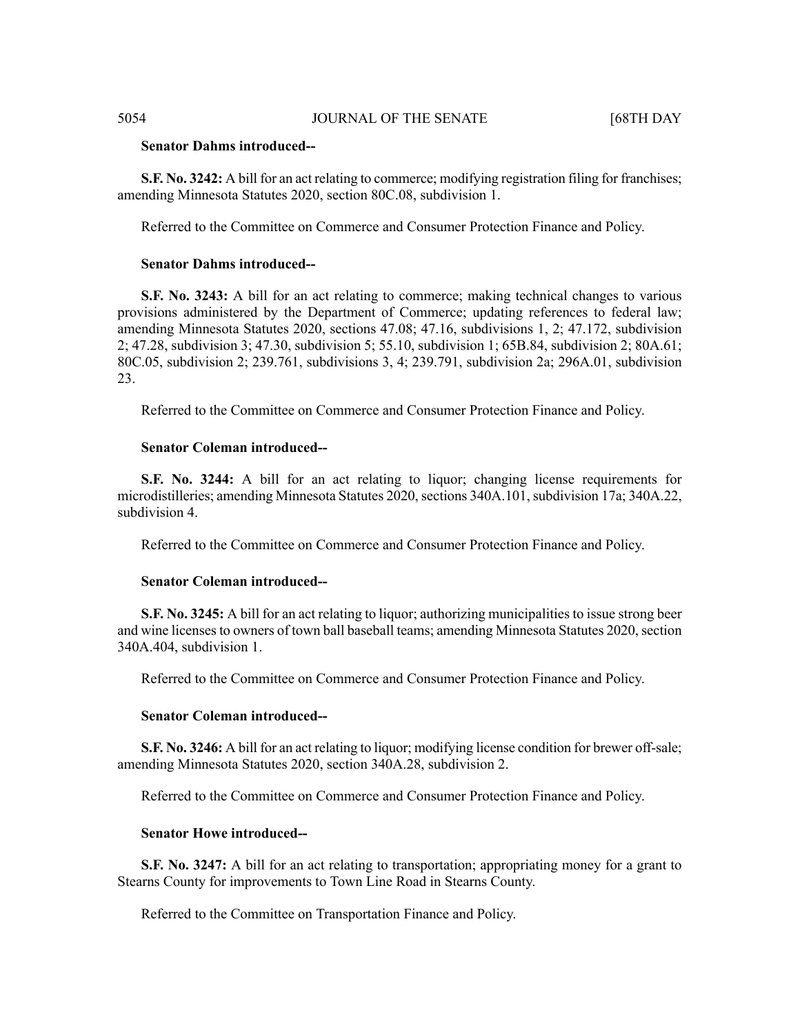# **Senator Dahms introduced--**

**S.F. No. 3242:** A bill for an act relating to commerce; modifying registration filing for franchises; amending Minnesota Statutes 2020, section 80C.08, subdivision 1.

Referred to the Committee on Commerce and Consumer Protection Finance and Policy.

#### **Senator Dahms introduced--**

**S.F. No. 3243:** A bill for an act relating to commerce; making technical changes to various provisions administered by the Department of Commerce; updating references to federal law; amending Minnesota Statutes 2020, sections 47.08; 47.16, subdivisions 1, 2; 47.172, subdivision 2; 47.28, subdivision 3; 47.30, subdivision 5; 55.10, subdivision 1; 65B.84, subdivision 2; 80A.61; 80C.05, subdivision 2; 239.761, subdivisions 3, 4; 239.791, subdivision 2a; 296A.01, subdivision 23.

Referred to the Committee on Commerce and Consumer Protection Finance and Policy.

# **Senator Coleman introduced--**

**S.F. No. 3244:** A bill for an act relating to liquor; changing license requirements for microdistilleries; amending Minnesota Statutes 2020, sections 340A.101, subdivision 17a; 340A.22, subdivision 4.

Referred to the Committee on Commerce and Consumer Protection Finance and Policy.

# **Senator Coleman introduced--**

**S.F. No. 3245:** A bill for an act relating to liquor; authorizing municipalities to issue strong beer and wine licenses to owners of town ball baseball teams; amending Minnesota Statutes 2020, section 340A.404, subdivision 1.

Referred to the Committee on Commerce and Consumer Protection Finance and Policy.

#### **Senator Coleman introduced--**

**S.F. No. 3246:** A bill for an act relating to liquor; modifying license condition for brewer off-sale; amending Minnesota Statutes 2020, section 340A.28, subdivision 2.

Referred to the Committee on Commerce and Consumer Protection Finance and Policy.

# **Senator Howe introduced--**

**S.F. No. 3247:** A bill for an act relating to transportation; appropriating money for a grant to Stearns County for improvements to Town Line Road in Stearns County.

Referred to the Committee on Transportation Finance and Policy.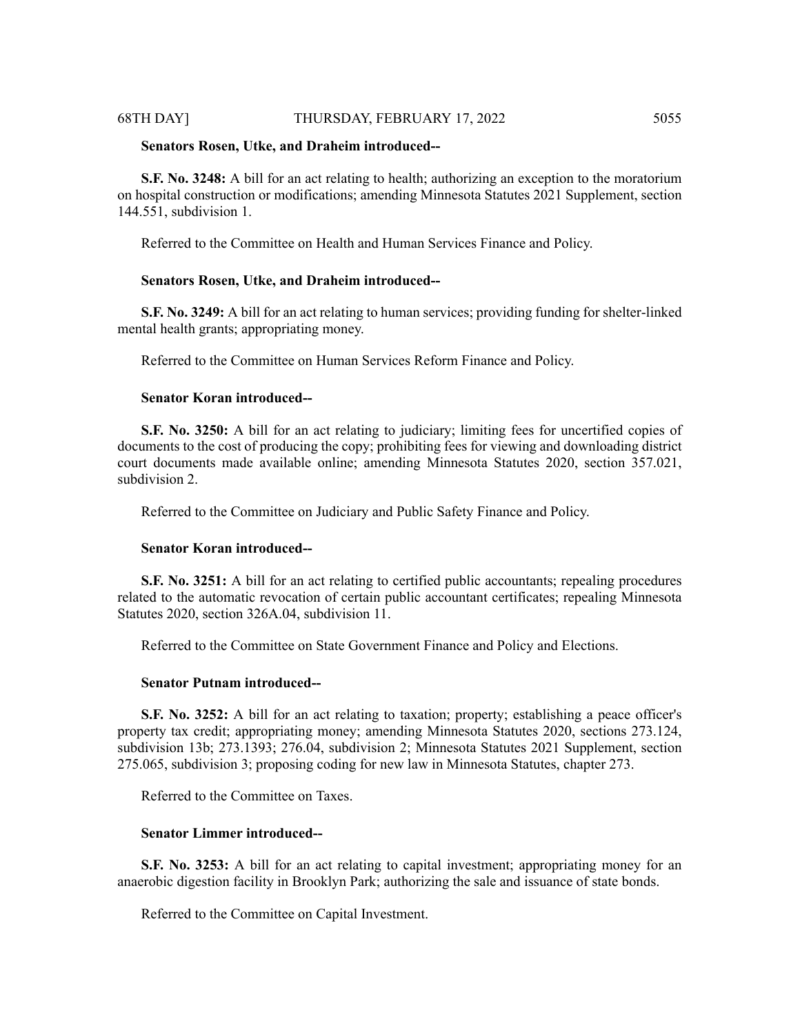#### 68TH DAY] THURSDAY, FEBRUARY 17, 2022 5055

#### **Senators Rosen, Utke, and Draheim introduced--**

**S.F. No. 3248:** A bill for an act relating to health; authorizing an exception to the moratorium on hospital construction or modifications; amending Minnesota Statutes 2021 Supplement, section 144.551, subdivision 1.

Referred to the Committee on Health and Human Services Finance and Policy.

# **Senators Rosen, Utke, and Draheim introduced--**

**S.F. No. 3249:** A bill for an act relating to human services; providing funding for shelter-linked mental health grants; appropriating money.

Referred to the Committee on Human Services Reform Finance and Policy.

# **Senator Koran introduced--**

**S.F. No. 3250:** A bill for an act relating to judiciary; limiting fees for uncertified copies of documents to the cost of producing the copy; prohibiting fees for viewing and downloading district court documents made available online; amending Minnesota Statutes 2020, section 357.021, subdivision 2.

Referred to the Committee on Judiciary and Public Safety Finance and Policy.

#### **Senator Koran introduced--**

**S.F. No. 3251:** A bill for an act relating to certified public accountants; repealing procedures related to the automatic revocation of certain public accountant certificates; repealing Minnesota Statutes 2020, section 326A.04, subdivision 11.

Referred to the Committee on State Government Finance and Policy and Elections.

# **Senator Putnam introduced--**

**S.F. No. 3252:** A bill for an act relating to taxation; property; establishing a peace officer's property tax credit; appropriating money; amending Minnesota Statutes 2020, sections 273.124, subdivision 13b; 273.1393; 276.04, subdivision 2; Minnesota Statutes 2021 Supplement, section 275.065, subdivision 3; proposing coding for new law in Minnesota Statutes, chapter 273.

Referred to the Committee on Taxes.

# **Senator Limmer introduced--**

**S.F. No. 3253:** A bill for an act relating to capital investment; appropriating money for an anaerobic digestion facility in Brooklyn Park; authorizing the sale and issuance of state bonds.

Referred to the Committee on Capital Investment.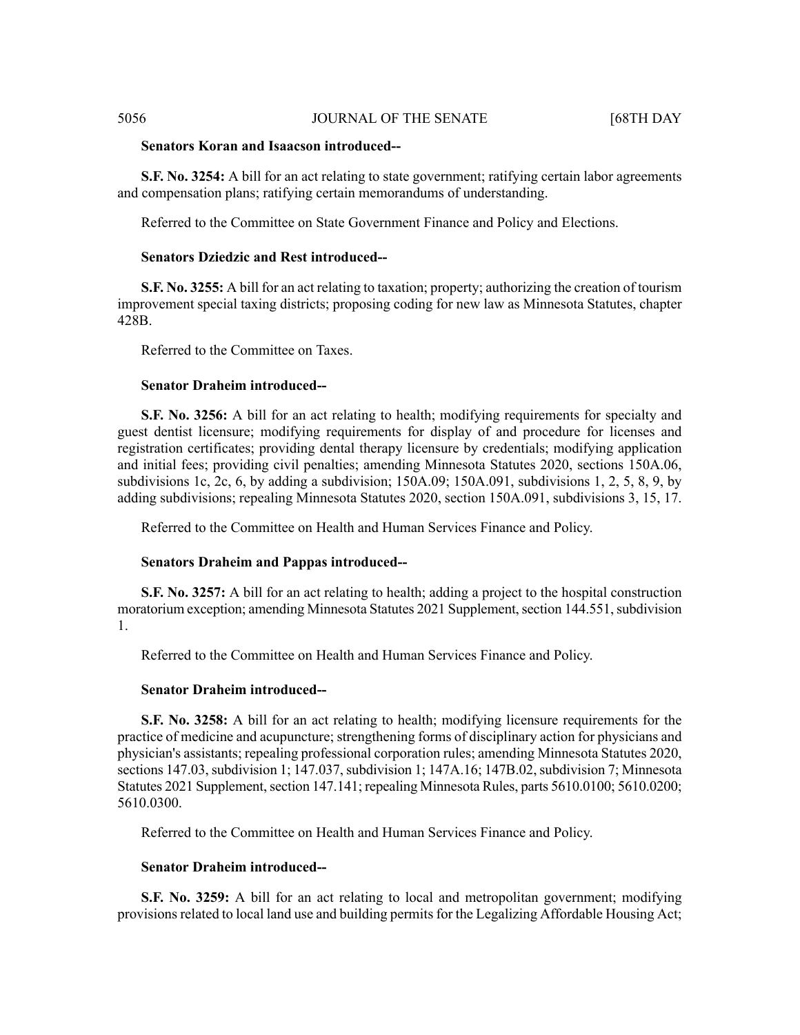# **Senators Koran and Isaacson introduced--**

**S.F. No. 3254:** A bill for an act relating to state government; ratifying certain labor agreements and compensation plans; ratifying certain memorandums of understanding.

Referred to the Committee on State Government Finance and Policy and Elections.

# **Senators Dziedzic and Rest introduced--**

**S.F. No. 3255:** A bill for an act relating to taxation; property; authorizing the creation of tourism improvement special taxing districts; proposing coding for new law as Minnesota Statutes, chapter 428B.

Referred to the Committee on Taxes.

#### **Senator Draheim introduced--**

**S.F. No. 3256:** A bill for an act relating to health; modifying requirements for specialty and guest dentist licensure; modifying requirements for display of and procedure for licenses and registration certificates; providing dental therapy licensure by credentials; modifying application and initial fees; providing civil penalties; amending Minnesota Statutes 2020, sections 150A.06, subdivisions 1c, 2c, 6, by adding a subdivision; 150A.09; 150A.091, subdivisions 1, 2, 5, 8, 9, by adding subdivisions; repealing Minnesota Statutes 2020, section 150A.091, subdivisions 3, 15, 17.

Referred to the Committee on Health and Human Services Finance and Policy.

#### **Senators Draheim and Pappas introduced--**

**S.F. No. 3257:** A bill for an act relating to health; adding a project to the hospital construction moratorium exception; amending Minnesota Statutes 2021 Supplement, section 144.551, subdivision 1.

Referred to the Committee on Health and Human Services Finance and Policy.

#### **Senator Draheim introduced--**

**S.F. No. 3258:** A bill for an act relating to health; modifying licensure requirements for the practice of medicine and acupuncture; strengthening forms of disciplinary action for physicians and physician's assistants; repealing professional corporation rules; amending Minnesota Statutes 2020, sections 147.03, subdivision 1; 147.037, subdivision 1; 147A.16; 147B.02, subdivision 7; Minnesota Statutes 2021 Supplement, section 147.141; repealing Minnesota Rules, parts 5610.0100; 5610.0200; 5610.0300.

Referred to the Committee on Health and Human Services Finance and Policy.

# **Senator Draheim introduced--**

**S.F. No. 3259:** A bill for an act relating to local and metropolitan government; modifying provisions related to local land use and building permits for the Legalizing Affordable Housing Act;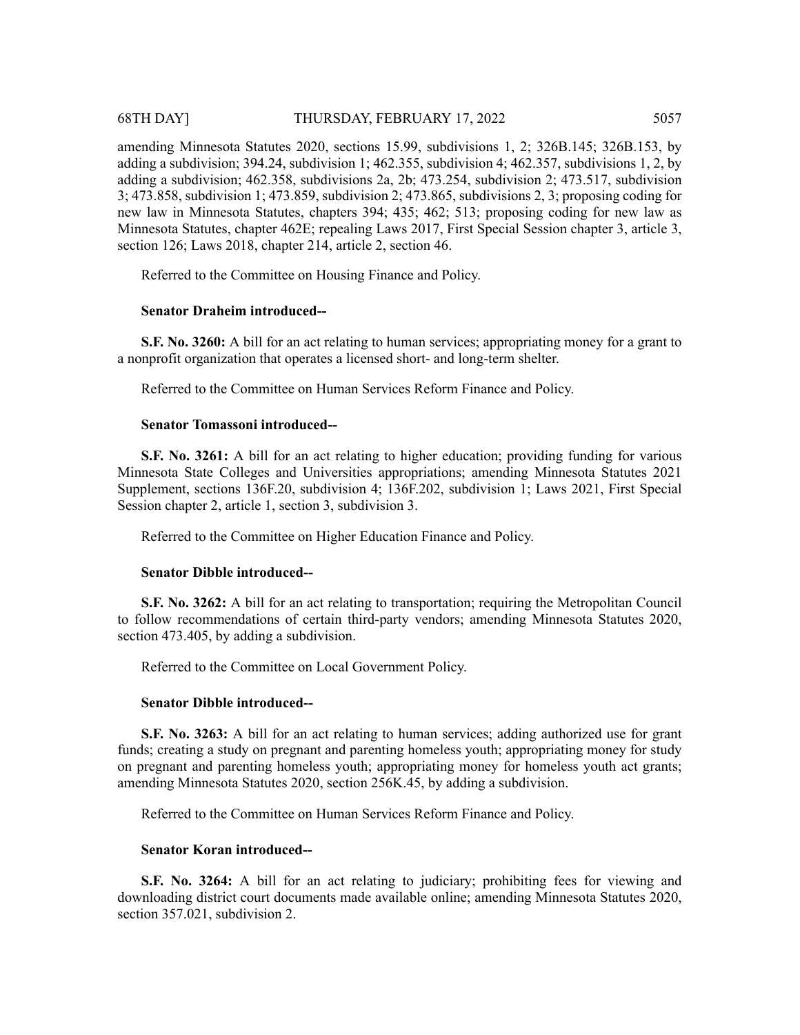amending Minnesota Statutes 2020, sections 15.99, subdivisions 1, 2; 326B.145; 326B.153, by adding a subdivision; 394.24, subdivision 1; 462.355, subdivision 4; 462.357, subdivisions 1, 2, by adding a subdivision; 462.358, subdivisions 2a, 2b; 473.254, subdivision 2; 473.517, subdivision 3; 473.858, subdivision 1; 473.859, subdivision 2; 473.865, subdivisions 2, 3; proposing coding for new law in Minnesota Statutes, chapters 394; 435; 462; 513; proposing coding for new law as Minnesota Statutes, chapter 462E; repealing Laws 2017, First Special Session chapter 3, article 3, section 126; Laws 2018, chapter 214, article 2, section 46.

Referred to the Committee on Housing Finance and Policy.

# **Senator Draheim introduced--**

**S.F. No. 3260:** A bill for an act relating to human services; appropriating money for a grant to a nonprofit organization that operates a licensed short- and long-term shelter.

Referred to the Committee on Human Services Reform Finance and Policy.

# **Senator Tomassoni introduced--**

**S.F. No. 3261:** A bill for an act relating to higher education; providing funding for various Minnesota State Colleges and Universities appropriations; amending Minnesota Statutes 2021 Supplement, sections 136F.20, subdivision 4; 136F.202, subdivision 1; Laws 2021, First Special Session chapter 2, article 1, section 3, subdivision 3.

Referred to the Committee on Higher Education Finance and Policy.

# **Senator Dibble introduced--**

**S.F. No. 3262:** A bill for an act relating to transportation; requiring the Metropolitan Council to follow recommendations of certain third-party vendors; amending Minnesota Statutes 2020, section 473.405, by adding a subdivision.

Referred to the Committee on Local Government Policy.

# **Senator Dibble introduced--**

**S.F. No. 3263:** A bill for an act relating to human services; adding authorized use for grant funds; creating a study on pregnant and parenting homeless youth; appropriating money for study on pregnant and parenting homeless youth; appropriating money for homeless youth act grants; amending Minnesota Statutes 2020, section 256K.45, by adding a subdivision.

Referred to the Committee on Human Services Reform Finance and Policy.

# **Senator Koran introduced--**

**S.F. No. 3264:** A bill for an act relating to judiciary; prohibiting fees for viewing and downloading district court documents made available online; amending Minnesota Statutes 2020, section 357.021, subdivision 2.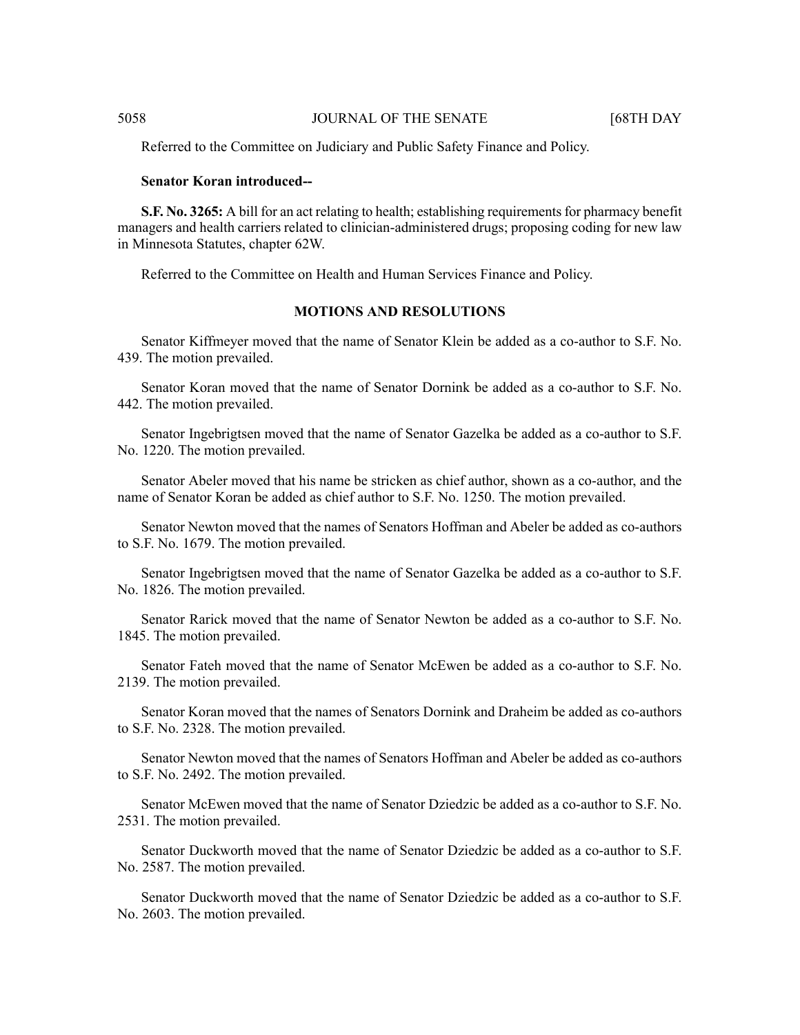Referred to the Committee on Judiciary and Public Safety Finance and Policy.

### **Senator Koran introduced--**

**S.F. No. 3265:** A bill for an act relating to health; establishing requirements for pharmacy benefit managers and health carriers related to clinician-administered drugs; proposing coding for new law in Minnesota Statutes, chapter 62W.

Referred to the Committee on Health and Human Services Finance and Policy.

# **MOTIONS AND RESOLUTIONS**

Senator Kiffmeyer moved that the name of Senator Klein be added as a co-author to S.F. No. 439. The motion prevailed.

Senator Koran moved that the name of Senator Dornink be added as a co-author to S.F. No. 442. The motion prevailed.

Senator Ingebrigtsen moved that the name of Senator Gazelka be added as a co-author to S.F. No. 1220. The motion prevailed.

Senator Abeler moved that his name be stricken as chief author, shown as a co-author, and the name of Senator Koran be added as chief author to S.F. No. 1250. The motion prevailed.

Senator Newton moved that the names of Senators Hoffman and Abeler be added as co-authors to S.F. No. 1679. The motion prevailed.

Senator Ingebrigtsen moved that the name of Senator Gazelka be added as a co-author to S.F. No. 1826. The motion prevailed.

Senator Rarick moved that the name of Senator Newton be added as a co-author to S.F. No. 1845. The motion prevailed.

Senator Fateh moved that the name of Senator McEwen be added as a co-author to S.F. No. 2139. The motion prevailed.

Senator Koran moved that the names of Senators Dornink and Draheim be added as co-authors to S.F. No. 2328. The motion prevailed.

Senator Newton moved that the names of Senators Hoffman and Abeler be added as co-authors to S.F. No. 2492. The motion prevailed.

Senator McEwen moved that the name of Senator Dziedzic be added as a co-author to S.F. No. 2531. The motion prevailed.

Senator Duckworth moved that the name of Senator Dziedzic be added as a co-author to S.F. No. 2587. The motion prevailed.

Senator Duckworth moved that the name of Senator Dziedzic be added as a co-author to S.F. No. 2603. The motion prevailed.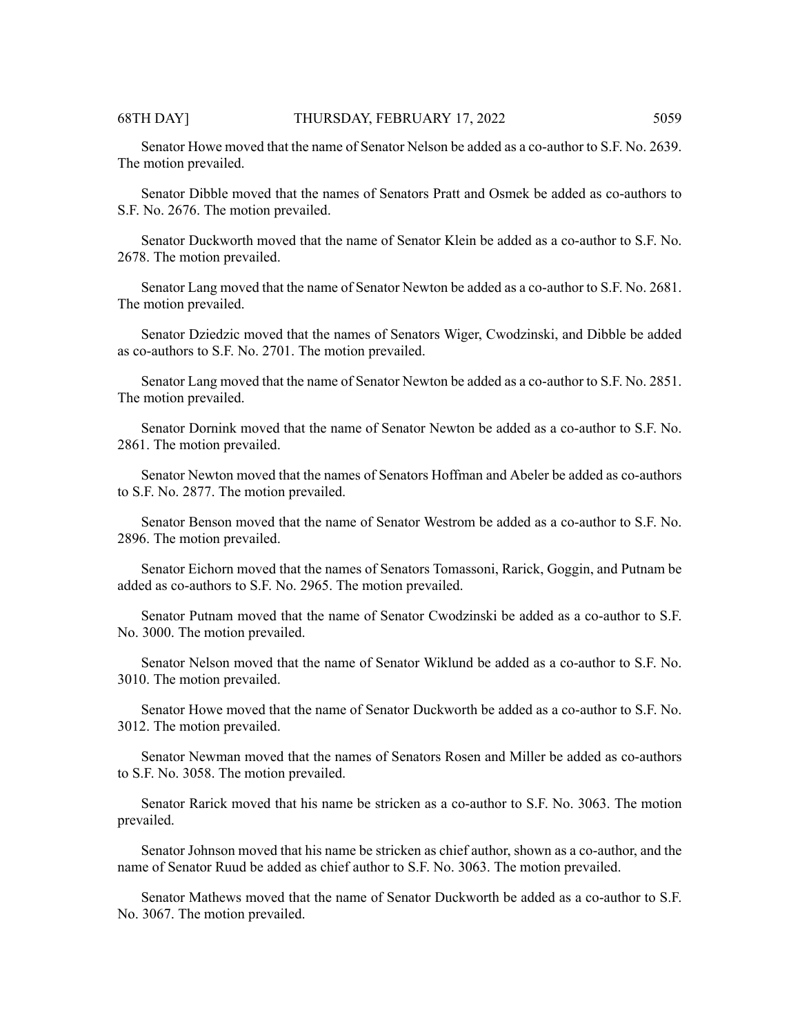Senator Howe moved that the name of Senator Nelson be added as a co-author to S.F. No. 2639. The motion prevailed.

Senator Dibble moved that the names of Senators Pratt and Osmek be added as co-authors to S.F. No. 2676. The motion prevailed.

Senator Duckworth moved that the name of Senator Klein be added as a co-author to S.F. No. 2678. The motion prevailed.

Senator Lang moved that the name of Senator Newton be added as a co-author to S.F. No. 2681. The motion prevailed.

Senator Dziedzic moved that the names of Senators Wiger, Cwodzinski, and Dibble be added as co-authors to S.F. No. 2701. The motion prevailed.

Senator Lang moved that the name of Senator Newton be added as a co-author to S.F. No. 2851. The motion prevailed.

Senator Dornink moved that the name of Senator Newton be added as a co-author to S.F. No. 2861. The motion prevailed.

Senator Newton moved that the names of Senators Hoffman and Abeler be added as co-authors to S.F. No. 2877. The motion prevailed.

Senator Benson moved that the name of Senator Westrom be added as a co-author to S.F. No. 2896. The motion prevailed.

Senator Eichorn moved that the names of Senators Tomassoni, Rarick, Goggin, and Putnam be added as co-authors to S.F. No. 2965. The motion prevailed.

Senator Putnam moved that the name of Senator Cwodzinski be added as a co-author to S.F. No. 3000. The motion prevailed.

Senator Nelson moved that the name of Senator Wiklund be added as a co-author to S.F. No. 3010. The motion prevailed.

Senator Howe moved that the name of Senator Duckworth be added as a co-author to S.F. No. 3012. The motion prevailed.

Senator Newman moved that the names of Senators Rosen and Miller be added as co-authors to S.F. No. 3058. The motion prevailed.

Senator Rarick moved that his name be stricken as a co-author to S.F. No. 3063. The motion prevailed.

Senator Johnson moved that his name be stricken as chief author, shown as a co-author, and the name of Senator Ruud be added as chief author to S.F. No. 3063. The motion prevailed.

Senator Mathews moved that the name of Senator Duckworth be added as a co-author to S.F. No. 3067. The motion prevailed.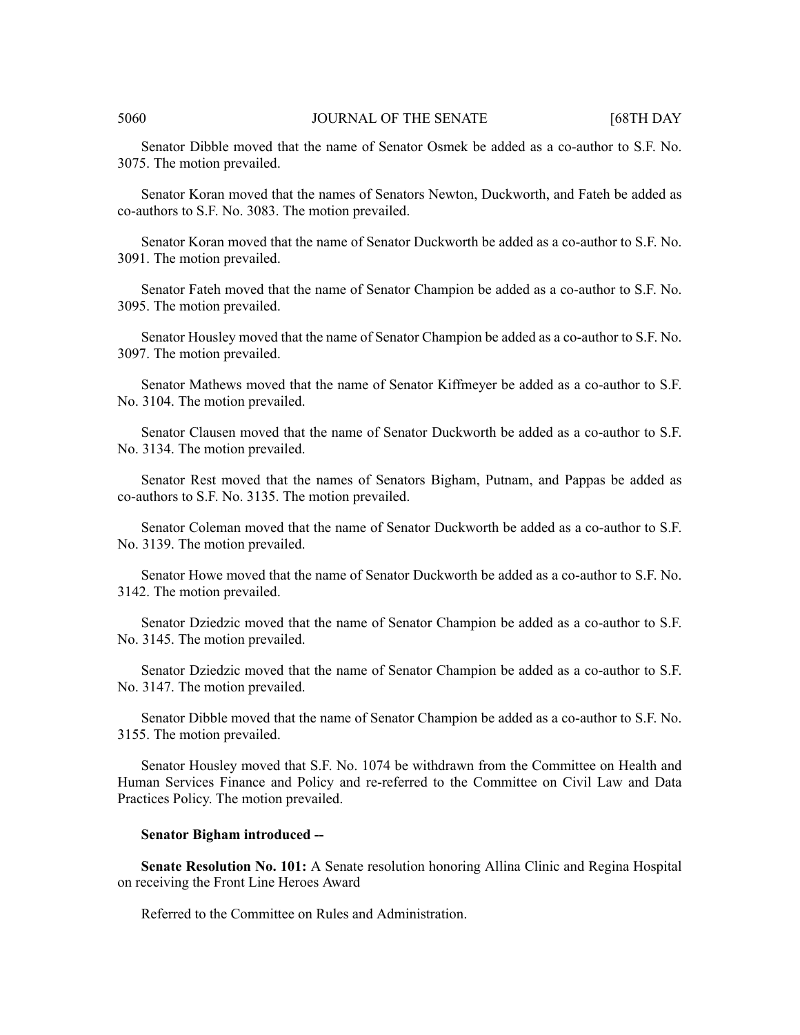Senator Dibble moved that the name of Senator Osmek be added as a co-author to S.F. No. 3075. The motion prevailed.

Senator Koran moved that the names of Senators Newton, Duckworth, and Fateh be added as co-authors to S.F. No. 3083. The motion prevailed.

Senator Koran moved that the name of Senator Duckworth be added as a co-author to S.F. No. 3091. The motion prevailed.

Senator Fateh moved that the name of Senator Champion be added as a co-author to S.F. No. 3095. The motion prevailed.

Senator Housley moved that the name of Senator Champion be added as a co-author to S.F. No. 3097. The motion prevailed.

Senator Mathews moved that the name of Senator Kiffmeyer be added as a co-author to S.F. No. 3104. The motion prevailed.

Senator Clausen moved that the name of Senator Duckworth be added as a co-author to S.F. No. 3134. The motion prevailed.

Senator Rest moved that the names of Senators Bigham, Putnam, and Pappas be added as co-authors to S.F. No. 3135. The motion prevailed.

Senator Coleman moved that the name of Senator Duckworth be added as a co-author to S.F. No. 3139. The motion prevailed.

Senator Howe moved that the name of Senator Duckworth be added as a co-author to S.F. No. 3142. The motion prevailed.

Senator Dziedzic moved that the name of Senator Champion be added as a co-author to S.F. No. 3145. The motion prevailed.

Senator Dziedzic moved that the name of Senator Champion be added as a co-author to S.F. No. 3147. The motion prevailed.

Senator Dibble moved that the name of Senator Champion be added as a co-author to S.F. No. 3155. The motion prevailed.

Senator Housley moved that S.F. No. 1074 be withdrawn from the Committee on Health and Human Services Finance and Policy and re-referred to the Committee on Civil Law and Data Practices Policy. The motion prevailed.

### **Senator Bigham introduced --**

**Senate Resolution No. 101:** A Senate resolution honoring Allina Clinic and Regina Hospital on receiving the Front Line Heroes Award

Referred to the Committee on Rules and Administration.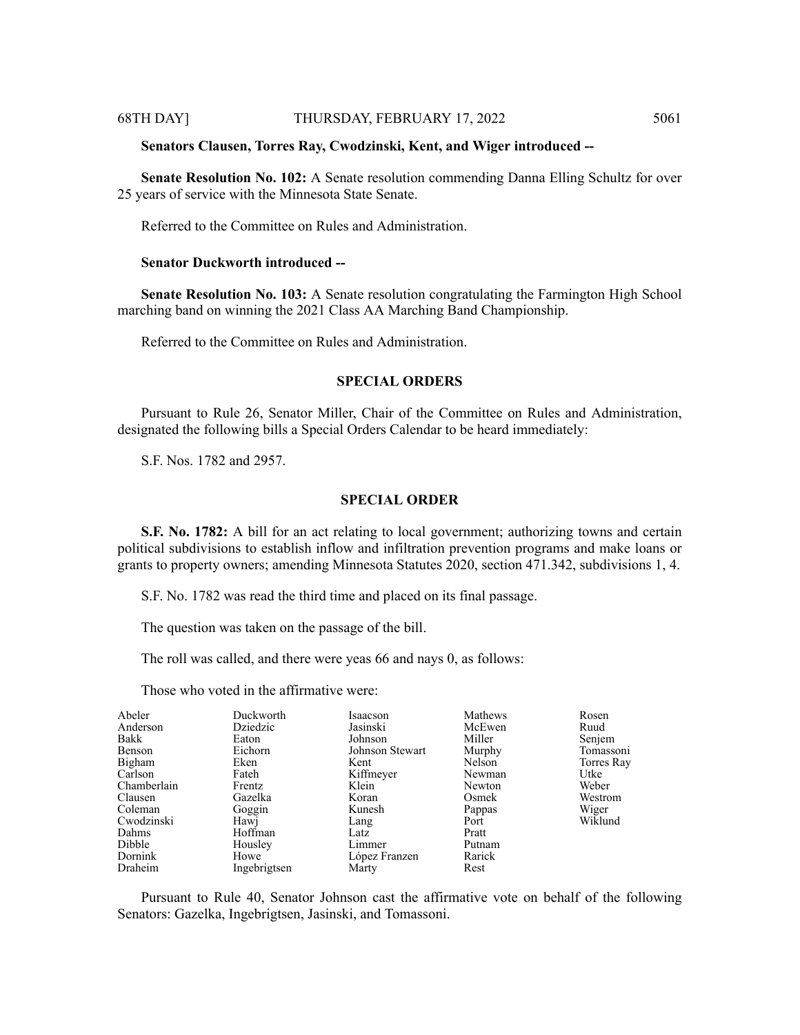#### **Senators Clausen, Torres Ray, Cwodzinski, Kent, and Wiger introduced --**

**Senate Resolution No. 102:** A Senate resolution commending Danna Elling Schultz for over 25 years of service with the Minnesota State Senate.

Referred to the Committee on Rules and Administration.

#### **Senator Duckworth introduced --**

**Senate Resolution No. 103:** A Senate resolution congratulating the Farmington High School marching band on winning the 2021 Class AA Marching Band Championship.

Referred to the Committee on Rules and Administration.

# **SPECIAL ORDERS**

Pursuant to Rule 26, Senator Miller, Chair of the Committee on Rules and Administration, designated the following bills a Special Orders Calendar to be heard immediately:

S.F. Nos. 1782 and 2957.

#### **SPECIAL ORDER**

**S.F. No. 1782:** A bill for an act relating to local government; authorizing towns and certain political subdivisions to establish inflow and infiltration prevention programs and make loans or grants to property owners; amending Minnesota Statutes 2020, section 471.342, subdivisions 1, 4.

S.F. No. 1782 was read the third time and placed on its final passage.

The question was taken on the passage of the bill.

The roll was called, and there were yeas 66 and nays 0, as follows:

Those who voted in the affirmative were:

| Abeler      | Duckworth    | Isaacson        | Mathews | Rosen      |
|-------------|--------------|-----------------|---------|------------|
| Anderson    | Dziedzic     | Jasinski        | McEwen  | Ruud       |
| Bakk        | Eaton        | Johnson         | Miller  | Senjem     |
| Benson      | Eichorn      | Johnson Stewart | Murphy  | Tomassoni  |
| Bigham      | Eken         | Kent            | Nelson  | Torres Ray |
| Carlson     | Fateh        | Kiffmeyer       | Newman  | Utke       |
| Chamberlain | Frentz       | Klein           | Newton  | Weber      |
| Clausen     | Gazelka      | Koran           | Osmek   | Westrom    |
| Coleman     | Goggin       | Kunesh          | Pappas  | Wiger      |
| Cwodzinski  | Hawj         | Lang            | Port    | Wiklund    |
| Dahms       | Hoffman      | Latz            | Pratt   |            |
| Dibble      | Housley      | Limmer          | Putnam  |            |
| Dornink     | Howe         | López Franzen   | Rarick  |            |
| Draheim     | Ingebrigtsen | Marty           | Rest    |            |

Pursuant to Rule 40, Senator Johnson cast the affirmative vote on behalf of the following Senators: Gazelka, Ingebrigtsen, Jasinski, and Tomassoni.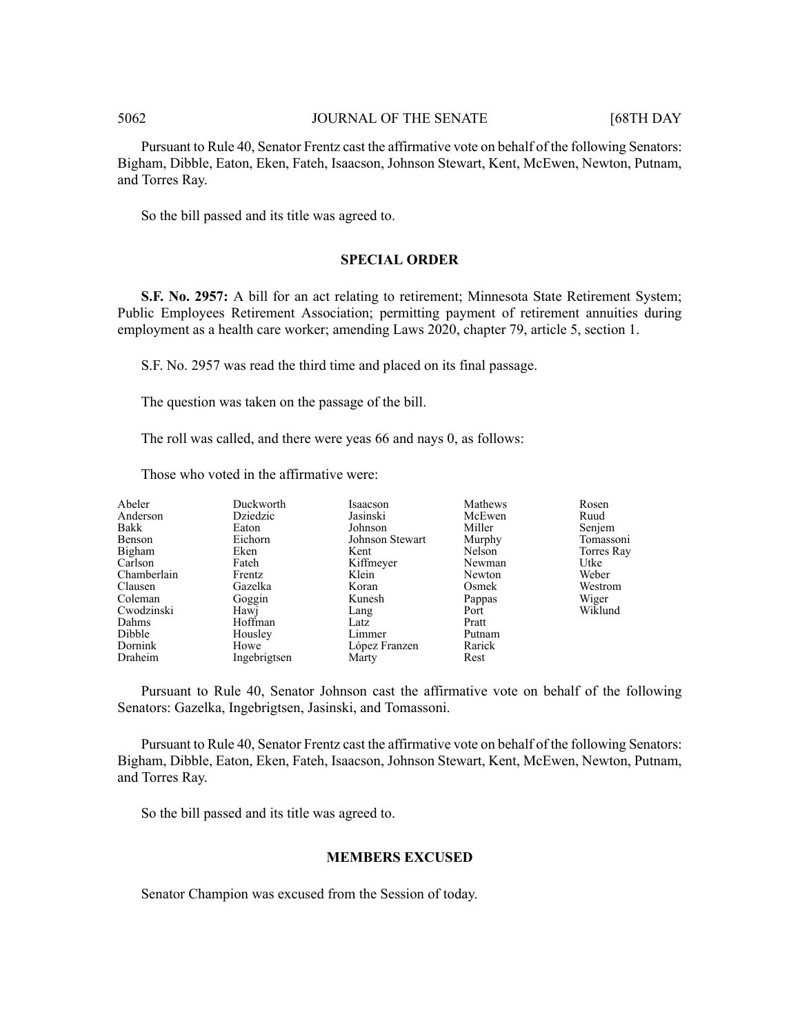Pursuant to Rule 40, Senator Frentz cast the affirmative vote on behalf of the following Senators: Bigham, Dibble, Eaton, Eken, Fateh, Isaacson, Johnson Stewart, Kent, McEwen, Newton, Putnam, and Torres Ray.

So the bill passed and its title was agreed to.

# **SPECIAL ORDER**

**S.F. No. 2957:** A bill for an act relating to retirement; Minnesota State Retirement System; Public Employees Retirement Association; permitting payment of retirement annuities during employment as a health care worker; amending Laws 2020, chapter 79, article 5, section 1.

S.F. No. 2957 was read the third time and placed on its final passage.

The question was taken on the passage of the bill.

The roll was called, and there were yeas 66 and nays 0, as follows:

Those who voted in the affirmative were:

| Abeler      | Duckworth    | Isaacson        | Mathews | Rosen      |
|-------------|--------------|-----------------|---------|------------|
| Anderson    | Dziedzic     | Jasinski        | McEwen  | Ruud       |
| Bakk        | Eaton        | Johnson         | Miller  | Senjem     |
| Benson      | Eichorn      | Johnson Stewart | Murphy  | Tomassoni  |
| Bigham      | Eken         | Kent            | Nelson  | Torres Ray |
| Carlson     | Fateh        | Kiffmeyer       | Newman  | Utke       |
| Chamberlain | Frentz       | Klein           | Newton  | Weber      |
| Clausen     | Gazelka      | Koran           | Osmek   | Westrom    |
| Coleman     | Goggin       | Kunesh          | Pappas  | Wiger      |
| Cwodzinski  | Hawj         | Lang            | Port    | Wiklund    |
| Dahms       | Hoffman      | Latz            | Pratt   |            |
| Dibble      | Housley      | Limmer          | Putnam  |            |
| Dornink     | Howe         | López Franzen   | Rarick  |            |
| Draheim     | Ingebrigtsen | Marty           | Rest    |            |

Pursuant to Rule 40, Senator Johnson cast the affirmative vote on behalf of the following Senators: Gazelka, Ingebrigtsen, Jasinski, and Tomassoni.

Pursuant to Rule 40, Senator Frentz cast the affirmative vote on behalf of the following Senators: Bigham, Dibble, Eaton, Eken, Fateh, Isaacson, Johnson Stewart, Kent, McEwen, Newton, Putnam, and Torres Ray.

So the bill passed and its title was agreed to.

# **MEMBERS EXCUSED**

Senator Champion was excused from the Session of today.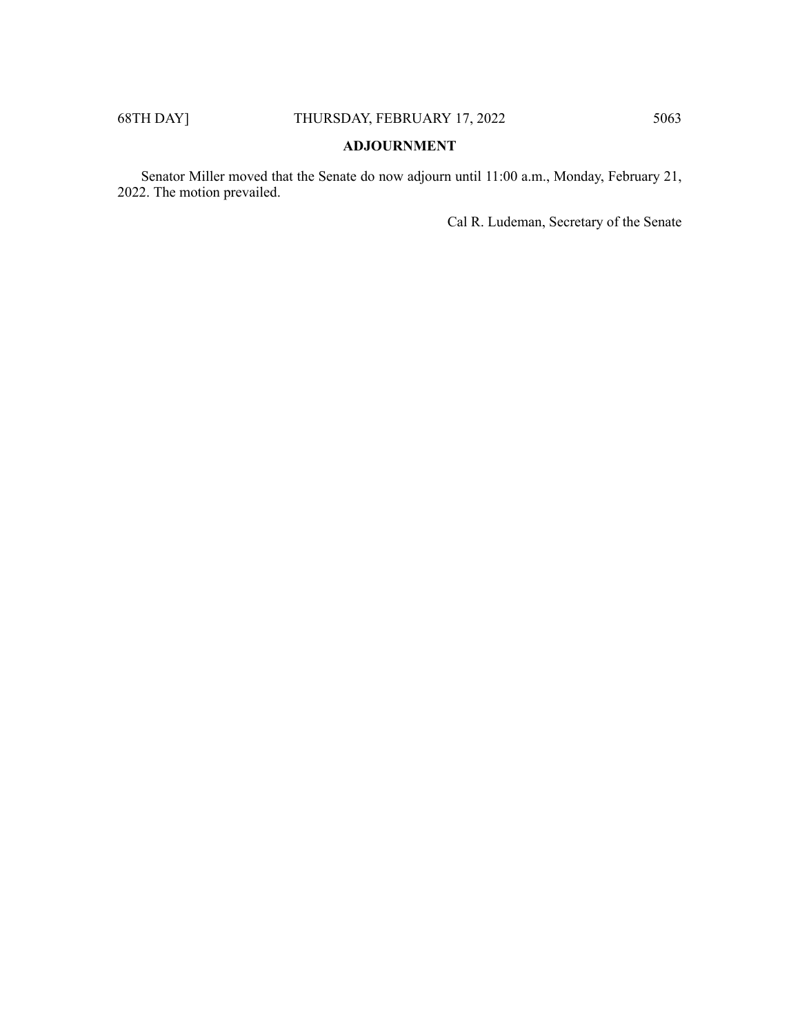# **ADJOURNMENT**

Senator Miller moved that the Senate do now adjourn until 11:00 a.m., Monday, February 21, 2022. The motion prevailed.

Cal R. Ludeman, Secretary of the Senate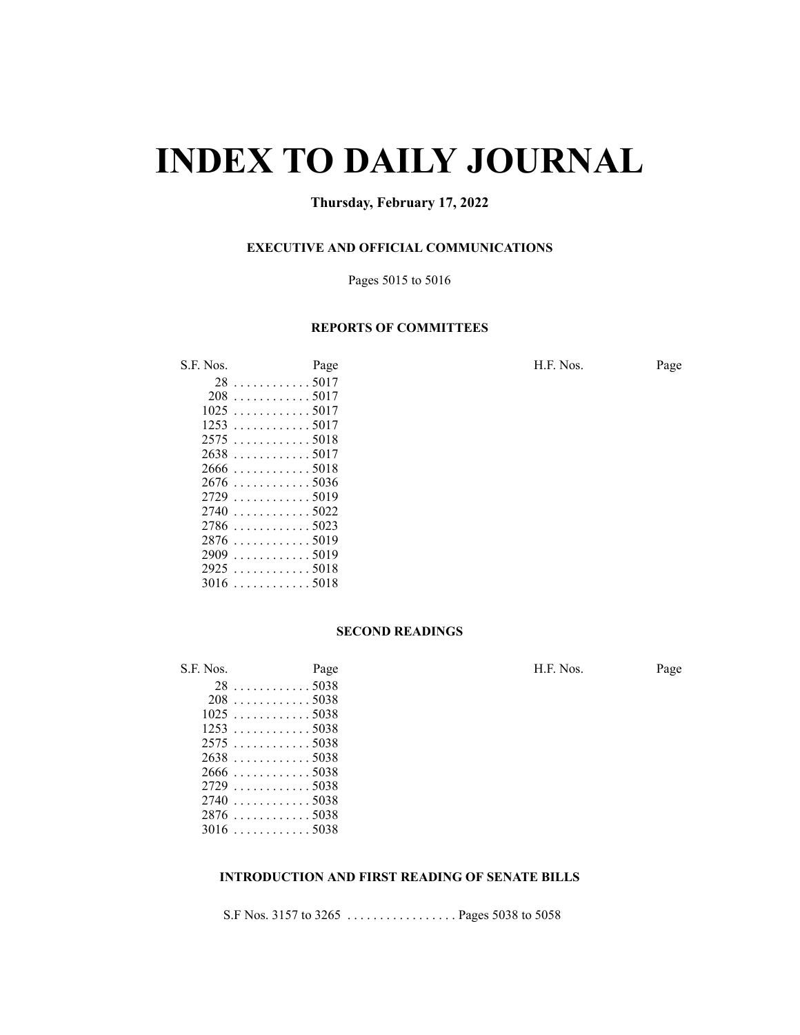# **INDEX TO DAILY JOURNAL**

# **Thursday, February 17, 2022**

# **EXECUTIVE AND OFFICIAL COMMUNICATIONS**

#### Pages 5015 to 5016

## **REPORTS OF COMMITTEES**

S.F. Nos. Page Page Page H.F. Nos. Page . . . . . . . . . . . . 5017

| ۷Õ   | <u>. JUI /</u> |
|------|----------------|
| 208  | . 5017         |
| 1025 | . 5017         |
| 1253 | . 5017         |
| 2575 | . 5018         |
| 2638 | . 5017         |
| 2666 | . 5018         |
| 2676 | . 5036         |
| 2729 | . 5019         |
| 2740 | . 5022         |
| 2786 | . 5023         |
| 2876 | . 5019         |
| 2909 | . 5019         |
| 2925 | . 5018         |
| 3016 | . 5018         |

#### **SECOND READINGS**

S.F. Nos. Page H.F. Nos. Page . . . . . . . . . . . . 5038 . . . . . . . . . . . . 5038  $1025...$  . . . . . . . . . . . 5038 . . . . . . . . . . . . 5038 . . . . . . . . . . . . 5038 . . . . . . . . . . . . 5038 . . . . . . . . . . . . 5038 . . . . . . . . . . . . 5038 . . . . . . . . . . . . 5038 . . . . . . . . . . . . 5038 . . . . . . . . . . . . 5038

# **INTRODUCTION AND FIRST READING OF SENATE BILLS**

S.F Nos. 3157 to 3265 . . . . . . . . . . . . . . . . . Pages 5038 to 5058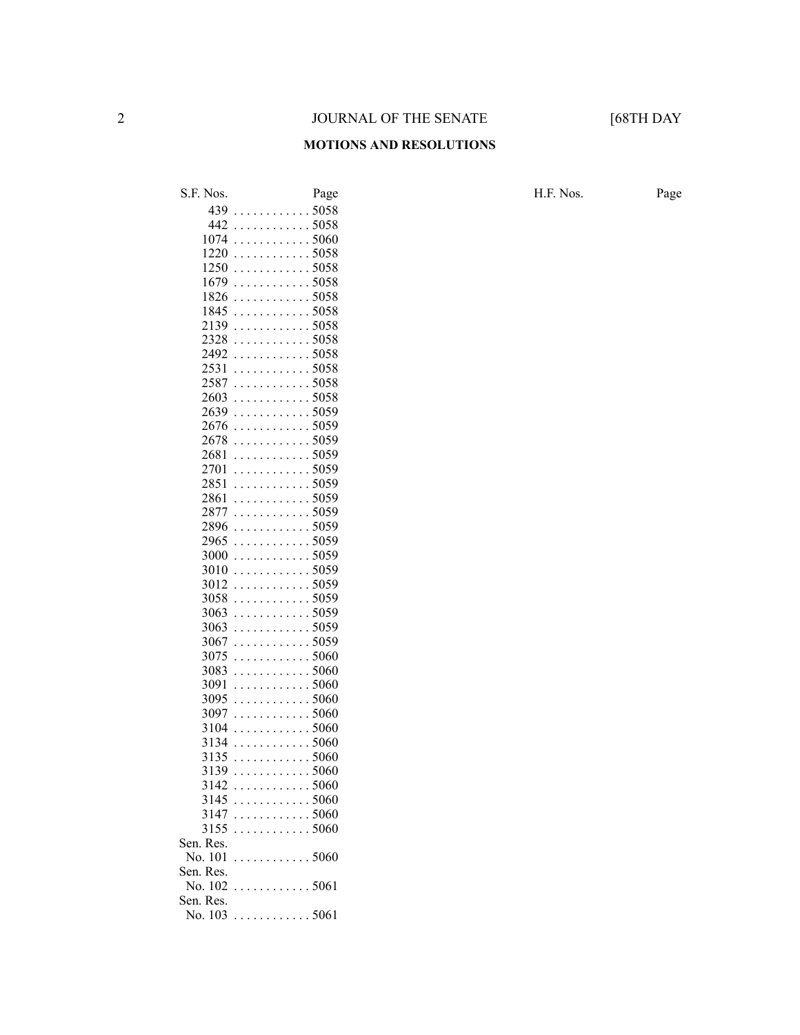#### **MOTIONS AND RESOLUTIONS**

S.F. Nos. Page Page Page H.F. Nos. Page . . . . . . . . . . . . 5058 . . . . . . . . . . . . 5058 . . . . . . . . . . . . 5060 . . . . . . . . . . . . 5058 . . . . . . . . . . . . 5058  $1679... \ldots \ldots \ldots 5058$  $1826... \ldots \ldots \ldots 5058$  . . . . . . . . . . . . 5058 . . . . . . . . . . . . 5058 . . . . . . . . . . . . 5058 . . . . . . . . . . . . 5058 . . . . . . . . . . . . 5058 . . . . . . . . . . . . 5058 . . . . . . . . . . . . 5058 . . . . . . . . . . . . 5059 . . . . . . . . . . . . 5059 . . . . . . . . . . . . 5059 . . . . . . . . . . . . 5059 . . . . . . . . . . . . 5059 . . . . . . . . . . . . 5059 . . . . . . . . . . . . 5059 . . . . . . . . . . . . 5059 . . . . . . . . . . . . 5059 . . . . . . . . . . . . 5059 . . . . . . . . . . . . 5059 . . . . . . . . . . . . 5059 . . . . . . . . . . . . 5059 . . . . . . . . . . . . 5059 . . . . . . . . . . . . 5059 . . . . . . . . . . . . 5059 . . . . . . . . . . . . 5059 . . . . . . . . . . . . 5060 . . . . . . . . . . . . 5060 . . . . . . . . . . . . 5060 . . . . . . . . . . . . 5060 . . . . . . . . . . . . 5060 . . . . . . . . . . . . 5060 . . . . . . . . . . . . 5060 . . . . . . . . . . . . 5060 . . . . . . . . . . . . 5060 . . . . . . . . . . . . 5060 . . . . . . . . . . . . 5060 . . . . . . . . . . . . 5060 . . . . . . . . . . . . 5060 No. 101 . . . . . . . . . . . . 5060 Sen. Res. No. .............. 5061 Sen. Res. No. ............. 5061 Sen. Res.